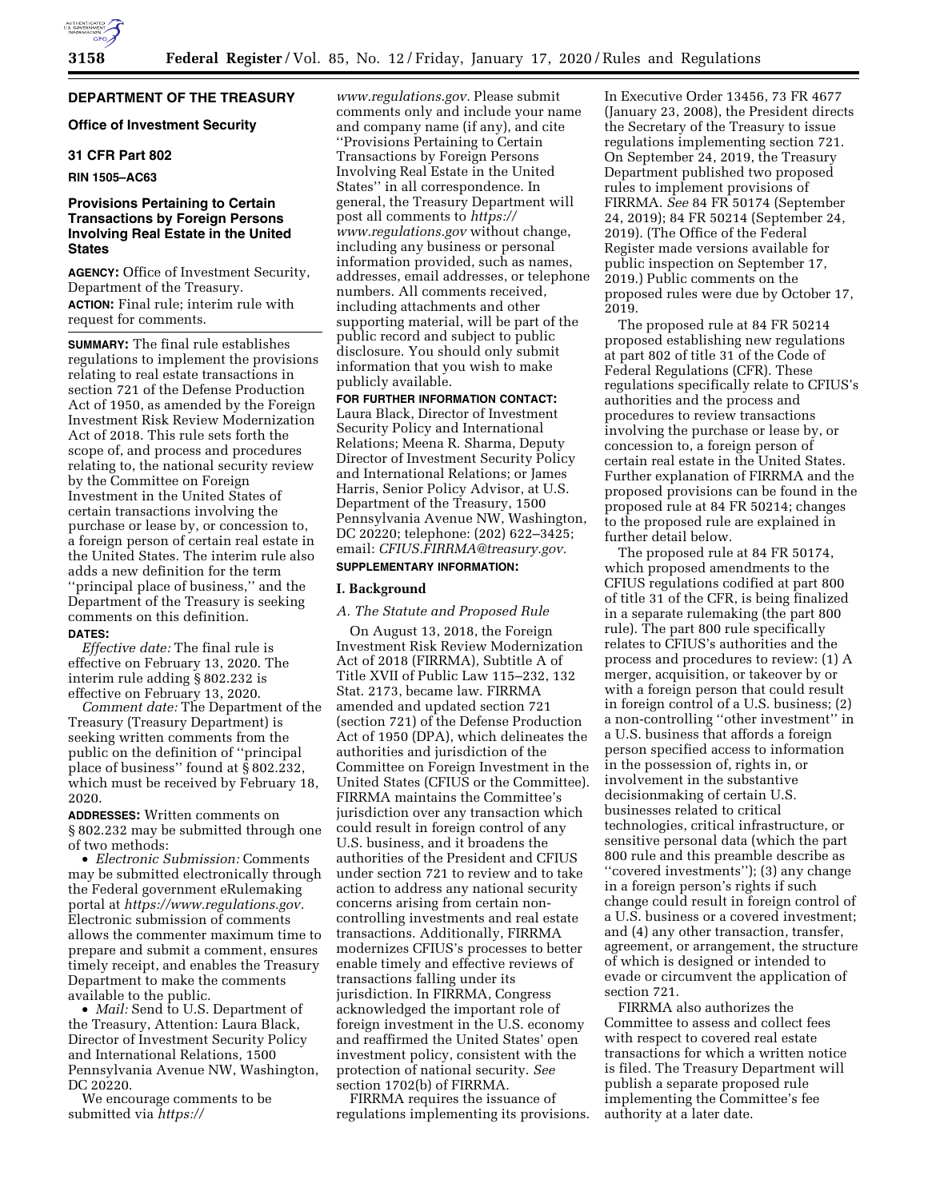# **DEPARTMENT OF THE TREASURY**

# **Office of Investment Security**

# **31 CFR Part 802**

# **RIN 1505–AC63**

# **Provisions Pertaining to Certain Transactions by Foreign Persons Involving Real Estate in the United States**

**AGENCY:** Office of Investment Security, Department of the Treasury. **ACTION:** Final rule; interim rule with request for comments.

**SUMMARY:** The final rule establishes regulations to implement the provisions relating to real estate transactions in section 721 of the Defense Production Act of 1950, as amended by the Foreign Investment Risk Review Modernization Act of 2018. This rule sets forth the scope of, and process and procedures relating to, the national security review by the Committee on Foreign Investment in the United States of certain transactions involving the purchase or lease by, or concession to, a foreign person of certain real estate in the United States. The interim rule also adds a new definition for the term ''principal place of business,'' and the Department of the Treasury is seeking comments on this definition. **DATES:** 

*Effective date:* The final rule is effective on February 13, 2020. The interim rule adding § 802.232 is effective on February 13, 2020.

*Comment date:* The Department of the Treasury (Treasury Department) is seeking written comments from the public on the definition of ''principal place of business'' found at § 802.232, which must be received by February 18, 2020.

**ADDRESSES:** Written comments on § 802.232 may be submitted through one of two methods:

• *Electronic Submission:* Comments may be submitted electronically through the Federal government eRulemaking portal at *[https://www.regulations.gov.](https://www.regulations.gov)*  Electronic submission of comments allows the commenter maximum time to prepare and submit a comment, ensures timely receipt, and enables the Treasury Department to make the comments available to the public.

• *Mail:* Send to U.S. Department of the Treasury, Attention: Laura Black, Director of Investment Security Policy and International Relations, 1500 Pennsylvania Avenue NW, Washington, DC 20220.

We encourage comments to be submitted via *[https://](https://www.regulations.gov)*

*[www.regulations.gov.](https://www.regulations.gov)* Please submit comments only and include your name and company name (if any), and cite ''Provisions Pertaining to Certain Transactions by Foreign Persons Involving Real Estate in the United States'' in all correspondence. In general, the Treasury Department will post all comments to *[https://](https://www.regulations.gov) [www.regulations.gov](https://www.regulations.gov)* without change, including any business or personal information provided, such as names, addresses, email addresses, or telephone numbers. All comments received, including attachments and other supporting material, will be part of the public record and subject to public disclosure. You should only submit information that you wish to make publicly available.

### **FOR FURTHER INFORMATION CONTACT:**

Laura Black, Director of Investment Security Policy and International Relations; Meena R. Sharma, Deputy Director of Investment Security Policy and International Relations; or James Harris, Senior Policy Advisor, at U.S. Department of the Treasury, 1500 Pennsylvania Avenue NW, Washington, DC 20220; telephone: (202) 622–3425; email: *[CFIUS.FIRRMA@treasury.gov.](mailto:CFIUS.FIRRMA@treasury.gov)* 

# **SUPPLEMENTARY INFORMATION:**

# **I. Background**

### *A. The Statute and Proposed Rule*

On August 13, 2018, the Foreign Investment Risk Review Modernization Act of 2018 (FIRRMA), Subtitle A of Title XVII of Public Law 115–232, 132 Stat. 2173, became law. FIRRMA amended and updated section 721 (section 721) of the Defense Production Act of 1950 (DPA), which delineates the authorities and jurisdiction of the Committee on Foreign Investment in the United States (CFIUS or the Committee). FIRRMA maintains the Committee's jurisdiction over any transaction which could result in foreign control of any U.S. business, and it broadens the authorities of the President and CFIUS under section 721 to review and to take action to address any national security concerns arising from certain noncontrolling investments and real estate transactions. Additionally, FIRRMA modernizes CFIUS's processes to better enable timely and effective reviews of transactions falling under its jurisdiction. In FIRRMA, Congress acknowledged the important role of foreign investment in the U.S. economy and reaffirmed the United States' open investment policy, consistent with the protection of national security. *See*  section 1702(b) of FIRRMA.

FIRRMA requires the issuance of regulations implementing its provisions. In Executive Order 13456, 73 FR 4677 (January 23, 2008), the President directs the Secretary of the Treasury to issue regulations implementing section 721. On September 24, 2019, the Treasury Department published two proposed rules to implement provisions of FIRRMA. *See* 84 FR 50174 (September 24, 2019); 84 FR 50214 (September 24, 2019). (The Office of the Federal Register made versions available for public inspection on September 17, 2019.) Public comments on the proposed rules were due by October 17, 2019.

The proposed rule at 84 FR 50214 proposed establishing new regulations at part 802 of title 31 of the Code of Federal Regulations (CFR). These regulations specifically relate to CFIUS's authorities and the process and procedures to review transactions involving the purchase or lease by, or concession to, a foreign person of certain real estate in the United States. Further explanation of FIRRMA and the proposed provisions can be found in the proposed rule at 84 FR 50214; changes to the proposed rule are explained in further detail below.

The proposed rule at 84 FR 50174, which proposed amendments to the CFIUS regulations codified at part 800 of title 31 of the CFR, is being finalized in a separate rulemaking (the part 800 rule). The part 800 rule specifically relates to CFIUS's authorities and the process and procedures to review: (1) A merger, acquisition, or takeover by or with a foreign person that could result in foreign control of a U.S. business; (2) a non-controlling ''other investment'' in a U.S. business that affords a foreign person specified access to information in the possession of, rights in, or involvement in the substantive decisionmaking of certain U.S. businesses related to critical technologies, critical infrastructure, or sensitive personal data (which the part 800 rule and this preamble describe as ''covered investments''); (3) any change in a foreign person's rights if such change could result in foreign control of a U.S. business or a covered investment; and (4) any other transaction, transfer, agreement, or arrangement, the structure of which is designed or intended to evade or circumvent the application of section 721.

FIRRMA also authorizes the Committee to assess and collect fees with respect to covered real estate transactions for which a written notice is filed. The Treasury Department will publish a separate proposed rule implementing the Committee's fee authority at a later date.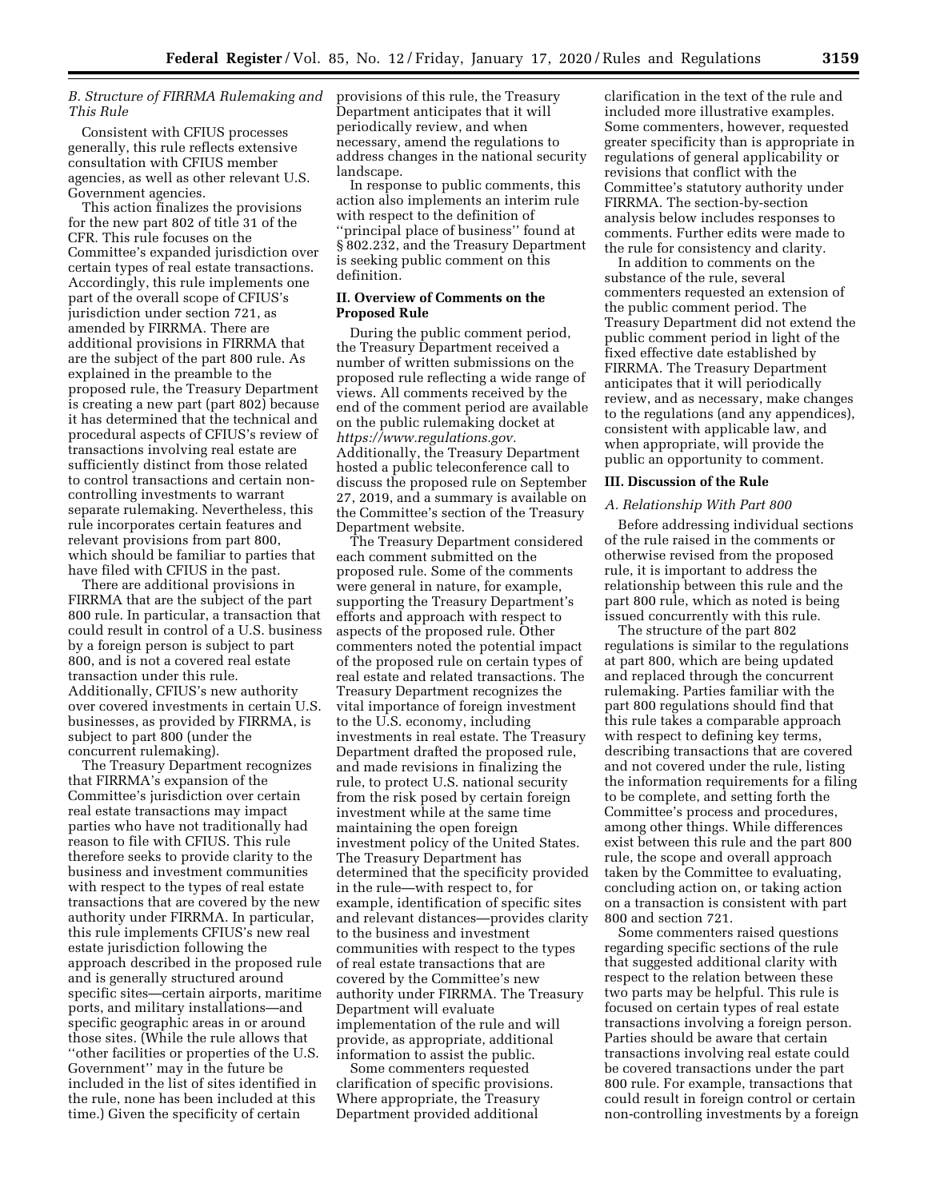# *B. Structure of FIRRMA Rulemaking and This Rule*

Consistent with CFIUS processes generally, this rule reflects extensive consultation with CFIUS member agencies, as well as other relevant U.S. Government agencies.

This action finalizes the provisions for the new part 802 of title 31 of the CFR. This rule focuses on the Committee's expanded jurisdiction over certain types of real estate transactions. Accordingly, this rule implements one part of the overall scope of CFIUS's jurisdiction under section 721, as amended by FIRRMA. There are additional provisions in FIRRMA that are the subject of the part 800 rule. As explained in the preamble to the proposed rule, the Treasury Department is creating a new part (part 802) because it has determined that the technical and procedural aspects of CFIUS's review of transactions involving real estate are sufficiently distinct from those related to control transactions and certain noncontrolling investments to warrant separate rulemaking. Nevertheless, this rule incorporates certain features and relevant provisions from part 800, which should be familiar to parties that have filed with CFIUS in the past.

There are additional provisions in FIRRMA that are the subject of the part 800 rule. In particular, a transaction that could result in control of a U.S. business by a foreign person is subject to part 800, and is not a covered real estate transaction under this rule. Additionally, CFIUS's new authority over covered investments in certain U.S. businesses, as provided by FIRRMA, is subject to part 800 (under the concurrent rulemaking).

The Treasury Department recognizes that FIRRMA's expansion of the Committee's jurisdiction over certain real estate transactions may impact parties who have not traditionally had reason to file with CFIUS. This rule therefore seeks to provide clarity to the business and investment communities with respect to the types of real estate transactions that are covered by the new authority under FIRRMA. In particular, this rule implements CFIUS's new real estate jurisdiction following the approach described in the proposed rule and is generally structured around specific sites—certain airports, maritime ports, and military installations—and specific geographic areas in or around those sites. (While the rule allows that ''other facilities or properties of the U.S. Government'' may in the future be included in the list of sites identified in the rule, none has been included at this time.) Given the specificity of certain

provisions of this rule, the Treasury Department anticipates that it will periodically review, and when necessary, amend the regulations to address changes in the national security landscape.

In response to public comments, this action also implements an interim rule with respect to the definition of ''principal place of business'' found at § 802.232, and the Treasury Department is seeking public comment on this definition.

# **II. Overview of Comments on the Proposed Rule**

During the public comment period, the Treasury Department received a number of written submissions on the proposed rule reflecting a wide range of views. All comments received by the end of the comment period are available on the public rulemaking docket at *[https://www.regulations.gov.](https://www.regulations.gov)*  Additionally, the Treasury Department hosted a public teleconference call to discuss the proposed rule on September 27, 2019, and a summary is available on the Committee's section of the Treasury Department website.

The Treasury Department considered each comment submitted on the proposed rule. Some of the comments were general in nature, for example, supporting the Treasury Department's efforts and approach with respect to aspects of the proposed rule. Other commenters noted the potential impact of the proposed rule on certain types of real estate and related transactions. The Treasury Department recognizes the vital importance of foreign investment to the U.S. economy, including investments in real estate. The Treasury Department drafted the proposed rule, and made revisions in finalizing the rule, to protect U.S. national security from the risk posed by certain foreign investment while at the same time maintaining the open foreign investment policy of the United States. The Treasury Department has determined that the specificity provided in the rule—with respect to, for example, identification of specific sites and relevant distances—provides clarity to the business and investment communities with respect to the types of real estate transactions that are covered by the Committee's new authority under FIRRMA. The Treasury Department will evaluate implementation of the rule and will provide, as appropriate, additional information to assist the public.

Some commenters requested clarification of specific provisions. Where appropriate, the Treasury Department provided additional

clarification in the text of the rule and included more illustrative examples. Some commenters, however, requested greater specificity than is appropriate in regulations of general applicability or revisions that conflict with the Committee's statutory authority under FIRRMA. The section-by-section analysis below includes responses to comments. Further edits were made to the rule for consistency and clarity.

In addition to comments on the substance of the rule, several commenters requested an extension of the public comment period. The Treasury Department did not extend the public comment period in light of the fixed effective date established by FIRRMA. The Treasury Department anticipates that it will periodically review, and as necessary, make changes to the regulations (and any appendices), consistent with applicable law, and when appropriate, will provide the public an opportunity to comment.

# **III. Discussion of the Rule**

# *A. Relationship With Part 800*

Before addressing individual sections of the rule raised in the comments or otherwise revised from the proposed rule, it is important to address the relationship between this rule and the part 800 rule, which as noted is being issued concurrently with this rule.

The structure of the part 802 regulations is similar to the regulations at part 800, which are being updated and replaced through the concurrent rulemaking. Parties familiar with the part 800 regulations should find that this rule takes a comparable approach with respect to defining key terms, describing transactions that are covered and not covered under the rule, listing the information requirements for a filing to be complete, and setting forth the Committee's process and procedures, among other things. While differences exist between this rule and the part 800 rule, the scope and overall approach taken by the Committee to evaluating, concluding action on, or taking action on a transaction is consistent with part 800 and section 721.

Some commenters raised questions regarding specific sections of the rule that suggested additional clarity with respect to the relation between these two parts may be helpful. This rule is focused on certain types of real estate transactions involving a foreign person. Parties should be aware that certain transactions involving real estate could be covered transactions under the part 800 rule. For example, transactions that could result in foreign control or certain non-controlling investments by a foreign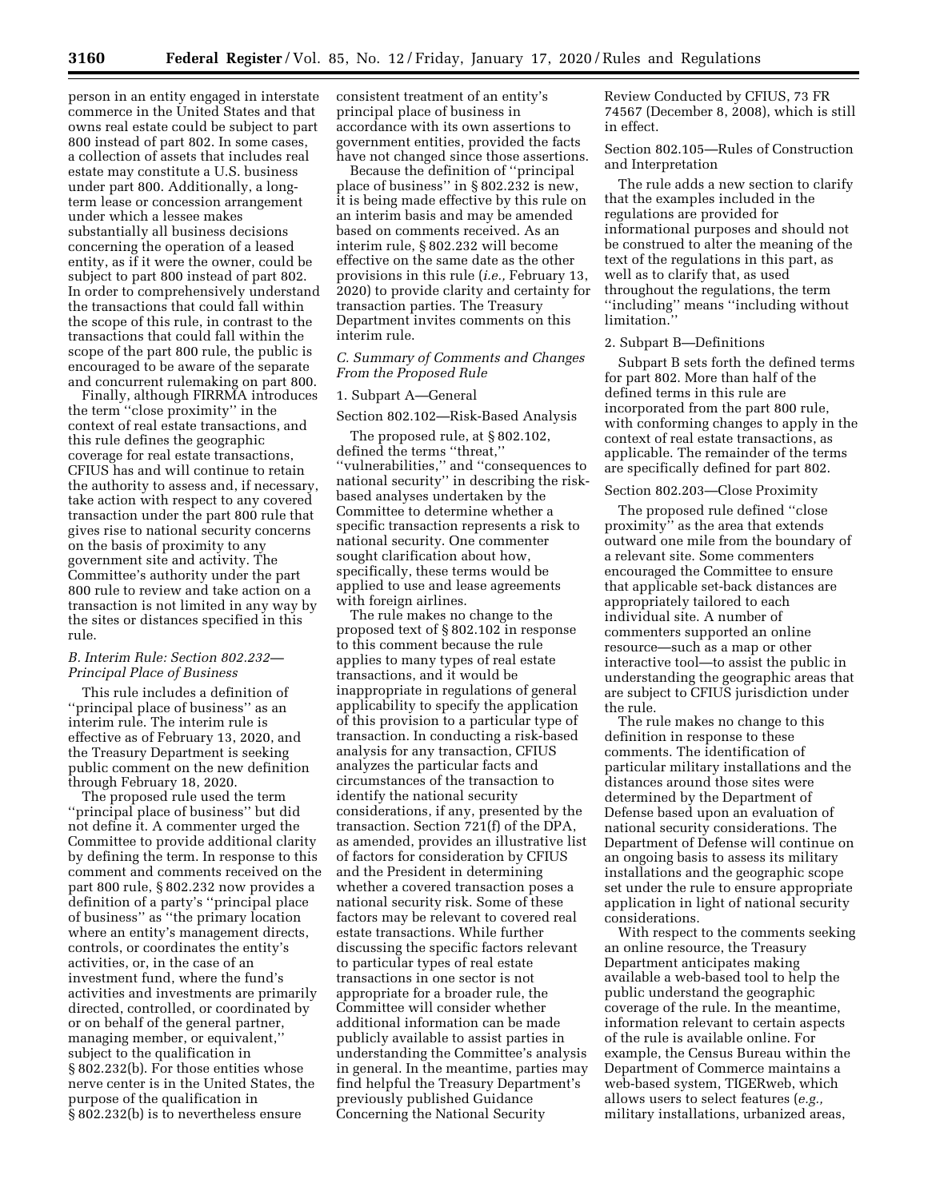person in an entity engaged in interstate commerce in the United States and that owns real estate could be subject to part 800 instead of part 802. In some cases, a collection of assets that includes real estate may constitute a U.S. business under part 800. Additionally, a longterm lease or concession arrangement under which a lessee makes substantially all business decisions concerning the operation of a leased entity, as if it were the owner, could be subject to part 800 instead of part 802. In order to comprehensively understand the transactions that could fall within the scope of this rule, in contrast to the transactions that could fall within the scope of the part 800 rule, the public is encouraged to be aware of the separate and concurrent rulemaking on part 800.

Finally, although FIRRMA introduces the term ''close proximity'' in the context of real estate transactions, and this rule defines the geographic coverage for real estate transactions, CFIUS has and will continue to retain the authority to assess and, if necessary, take action with respect to any covered transaction under the part 800 rule that gives rise to national security concerns on the basis of proximity to any government site and activity. The Committee's authority under the part 800 rule to review and take action on a transaction is not limited in any way by the sites or distances specified in this rule.

# *B. Interim Rule: Section 802.232— Principal Place of Business*

This rule includes a definition of ''principal place of business'' as an interim rule. The interim rule is effective as of February 13, 2020, and the Treasury Department is seeking public comment on the new definition through February 18, 2020.

The proposed rule used the term ''principal place of business'' but did not define it. A commenter urged the Committee to provide additional clarity by defining the term. In response to this comment and comments received on the part 800 rule, § 802.232 now provides a definition of a party's ''principal place of business'' as ''the primary location where an entity's management directs, controls, or coordinates the entity's activities, or, in the case of an investment fund, where the fund's activities and investments are primarily directed, controlled, or coordinated by or on behalf of the general partner, managing member, or equivalent,'' subject to the qualification in § 802.232(b). For those entities whose nerve center is in the United States, the purpose of the qualification in § 802.232(b) is to nevertheless ensure

consistent treatment of an entity's principal place of business in accordance with its own assertions to government entities, provided the facts have not changed since those assertions.

Because the definition of ''principal place of business'' in § 802.232 is new, it is being made effective by this rule on an interim basis and may be amended based on comments received. As an interim rule, § 802.232 will become effective on the same date as the other provisions in this rule (*i.e.,* February 13, 2020) to provide clarity and certainty for transaction parties. The Treasury Department invites comments on this interim rule.

# *C. Summary of Comments and Changes From the Proposed Rule*

# 1. Subpart A—General

Section 802.102—Risk-Based Analysis

The proposed rule, at § 802.102, defined the terms ''threat,'' ''vulnerabilities,'' and ''consequences to national security'' in describing the riskbased analyses undertaken by the Committee to determine whether a specific transaction represents a risk to national security. One commenter sought clarification about how, specifically, these terms would be applied to use and lease agreements with foreign airlines.

The rule makes no change to the proposed text of § 802.102 in response to this comment because the rule applies to many types of real estate transactions, and it would be inappropriate in regulations of general applicability to specify the application of this provision to a particular type of transaction. In conducting a risk-based analysis for any transaction, CFIUS analyzes the particular facts and circumstances of the transaction to identify the national security considerations, if any, presented by the transaction. Section 721(f) of the DPA, as amended, provides an illustrative list of factors for consideration by CFIUS and the President in determining whether a covered transaction poses a national security risk. Some of these factors may be relevant to covered real estate transactions. While further discussing the specific factors relevant to particular types of real estate transactions in one sector is not appropriate for a broader rule, the Committee will consider whether additional information can be made publicly available to assist parties in understanding the Committee's analysis in general. In the meantime, parties may find helpful the Treasury Department's previously published Guidance Concerning the National Security

Review Conducted by CFIUS, 73 FR 74567 (December 8, 2008), which is still in effect.

Section 802.105—Rules of Construction and Interpretation

The rule adds a new section to clarify that the examples included in the regulations are provided for informational purposes and should not be construed to alter the meaning of the text of the regulations in this part, as well as to clarify that, as used throughout the regulations, the term ''including'' means ''including without limitation.

### 2. Subpart B—Definitions

Subpart B sets forth the defined terms for part 802. More than half of the defined terms in this rule are incorporated from the part 800 rule, with conforming changes to apply in the context of real estate transactions, as applicable. The remainder of the terms are specifically defined for part 802.

### Section 802.203—Close Proximity

The proposed rule defined ''close proximity'' as the area that extends outward one mile from the boundary of a relevant site. Some commenters encouraged the Committee to ensure that applicable set-back distances are appropriately tailored to each individual site. A number of commenters supported an online resource—such as a map or other interactive tool—to assist the public in understanding the geographic areas that are subject to CFIUS jurisdiction under the rule.

The rule makes no change to this definition in response to these comments. The identification of particular military installations and the distances around those sites were determined by the Department of Defense based upon an evaluation of national security considerations. The Department of Defense will continue on an ongoing basis to assess its military installations and the geographic scope set under the rule to ensure appropriate application in light of national security considerations.

With respect to the comments seeking an online resource, the Treasury Department anticipates making available a web-based tool to help the public understand the geographic coverage of the rule. In the meantime, information relevant to certain aspects of the rule is available online. For example, the Census Bureau within the Department of Commerce maintains a web-based system, TIGERweb, which allows users to select features (*e.g.,*  military installations, urbanized areas,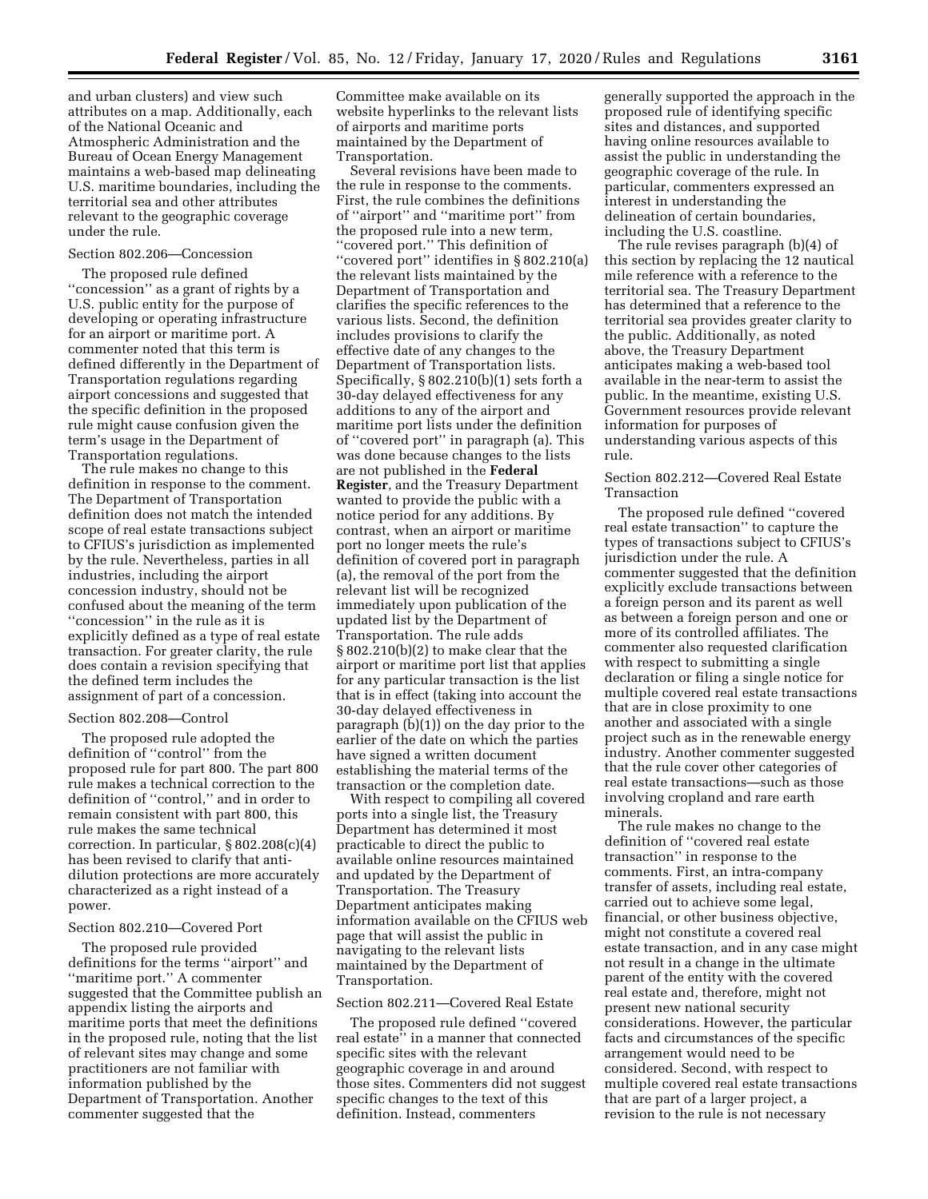and urban clusters) and view such attributes on a map. Additionally, each of the National Oceanic and Atmospheric Administration and the Bureau of Ocean Energy Management maintains a web-based map delineating U.S. maritime boundaries, including the territorial sea and other attributes relevant to the geographic coverage under the rule.

#### Section 802.206—Concession

The proposed rule defined ''concession'' as a grant of rights by a U.S. public entity for the purpose of developing or operating infrastructure for an airport or maritime port. A commenter noted that this term is defined differently in the Department of Transportation regulations regarding airport concessions and suggested that the specific definition in the proposed rule might cause confusion given the term's usage in the Department of Transportation regulations.

The rule makes no change to this definition in response to the comment. The Department of Transportation definition does not match the intended scope of real estate transactions subject to CFIUS's jurisdiction as implemented by the rule. Nevertheless, parties in all industries, including the airport concession industry, should not be confused about the meaning of the term ''concession'' in the rule as it is explicitly defined as a type of real estate transaction. For greater clarity, the rule does contain a revision specifying that the defined term includes the assignment of part of a concession.

#### Section 802.208—Control

The proposed rule adopted the definition of ''control'' from the proposed rule for part 800. The part 800 rule makes a technical correction to the definition of ''control,'' and in order to remain consistent with part 800, this rule makes the same technical correction. In particular, § 802.208(c)(4) has been revised to clarify that antidilution protections are more accurately characterized as a right instead of a power.

# Section 802.210—Covered Port

The proposed rule provided definitions for the terms ''airport'' and ''maritime port.'' A commenter suggested that the Committee publish an appendix listing the airports and maritime ports that meet the definitions in the proposed rule, noting that the list of relevant sites may change and some practitioners are not familiar with information published by the Department of Transportation. Another commenter suggested that the

Committee make available on its website hyperlinks to the relevant lists of airports and maritime ports maintained by the Department of Transportation.

Several revisions have been made to the rule in response to the comments. First, the rule combines the definitions of ''airport'' and ''maritime port'' from the proposed rule into a new term, ''covered port.'' This definition of ''covered port'' identifies in § 802.210(a) the relevant lists maintained by the Department of Transportation and clarifies the specific references to the various lists. Second, the definition includes provisions to clarify the effective date of any changes to the Department of Transportation lists. Specifically, § 802.210(b)(1) sets forth a 30-day delayed effectiveness for any additions to any of the airport and maritime port lists under the definition of ''covered port'' in paragraph (a). This was done because changes to the lists are not published in the **Federal Register**, and the Treasury Department wanted to provide the public with a notice period for any additions. By contrast, when an airport or maritime port no longer meets the rule's definition of covered port in paragraph (a), the removal of the port from the relevant list will be recognized immediately upon publication of the updated list by the Department of Transportation. The rule adds § 802.210(b)(2) to make clear that the airport or maritime port list that applies for any particular transaction is the list that is in effect (taking into account the 30-day delayed effectiveness in paragraph (b)(1)) on the day prior to the earlier of the date on which the parties have signed a written document establishing the material terms of the transaction or the completion date.

With respect to compiling all covered ports into a single list, the Treasury Department has determined it most practicable to direct the public to available online resources maintained and updated by the Department of Transportation. The Treasury Department anticipates making information available on the CFIUS web page that will assist the public in navigating to the relevant lists maintained by the Department of Transportation.

# Section 802.211—Covered Real Estate

The proposed rule defined ''covered real estate'' in a manner that connected specific sites with the relevant geographic coverage in and around those sites. Commenters did not suggest specific changes to the text of this definition. Instead, commenters

generally supported the approach in the proposed rule of identifying specific sites and distances, and supported having online resources available to assist the public in understanding the geographic coverage of the rule. In particular, commenters expressed an interest in understanding the delineation of certain boundaries, including the U.S. coastline.

The rule revises paragraph (b)(4) of this section by replacing the 12 nautical mile reference with a reference to the territorial sea. The Treasury Department has determined that a reference to the territorial sea provides greater clarity to the public. Additionally, as noted above, the Treasury Department anticipates making a web-based tool available in the near-term to assist the public. In the meantime, existing U.S. Government resources provide relevant information for purposes of understanding various aspects of this rule.

# Section 802.212—Covered Real Estate Transaction

The proposed rule defined ''covered real estate transaction'' to capture the types of transactions subject to CFIUS's jurisdiction under the rule. A commenter suggested that the definition explicitly exclude transactions between a foreign person and its parent as well as between a foreign person and one or more of its controlled affiliates. The commenter also requested clarification with respect to submitting a single declaration or filing a single notice for multiple covered real estate transactions that are in close proximity to one another and associated with a single project such as in the renewable energy industry. Another commenter suggested that the rule cover other categories of real estate transactions—such as those involving cropland and rare earth minerals.

The rule makes no change to the definition of ''covered real estate transaction'' in response to the comments. First, an intra-company transfer of assets, including real estate, carried out to achieve some legal, financial, or other business objective, might not constitute a covered real estate transaction, and in any case might not result in a change in the ultimate parent of the entity with the covered real estate and, therefore, might not present new national security considerations. However, the particular facts and circumstances of the specific arrangement would need to be considered. Second, with respect to multiple covered real estate transactions that are part of a larger project, a revision to the rule is not necessary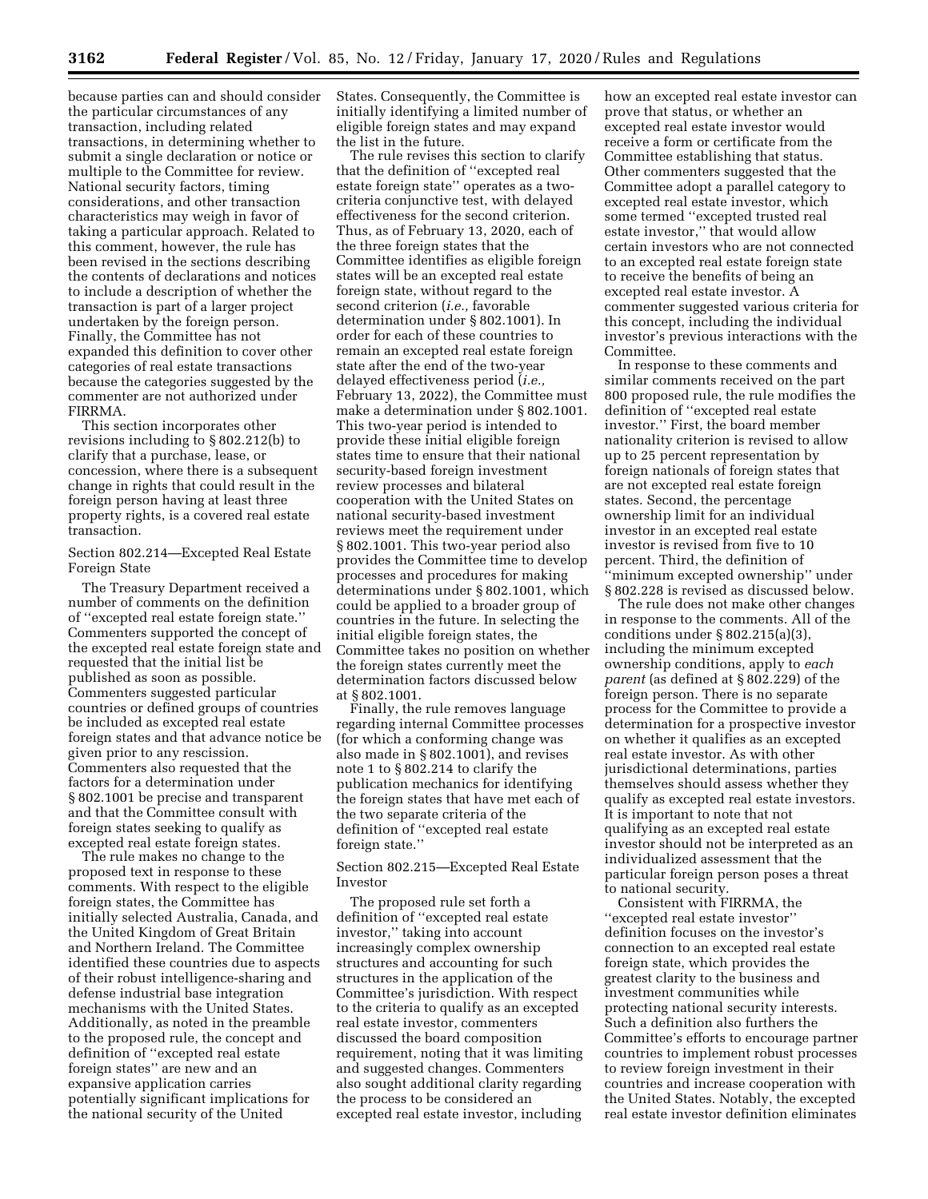because parties can and should consider the particular circumstances of any transaction, including related transactions, in determining whether to submit a single declaration or notice or multiple to the Committee for review. National security factors, timing considerations, and other transaction characteristics may weigh in favor of taking a particular approach. Related to this comment, however, the rule has been revised in the sections describing the contents of declarations and notices to include a description of whether the transaction is part of a larger project undertaken by the foreign person. Finally, the Committee has not expanded this definition to cover other categories of real estate transactions because the categories suggested by the commenter are not authorized under FIRRMA.

This section incorporates other revisions including to § 802.212(b) to clarify that a purchase, lease, or concession, where there is a subsequent change in rights that could result in the foreign person having at least three property rights, is a covered real estate transaction.

Section 802.214—Excepted Real Estate Foreign State

The Treasury Department received a number of comments on the definition of ''excepted real estate foreign state.'' Commenters supported the concept of the excepted real estate foreign state and requested that the initial list be published as soon as possible. Commenters suggested particular countries or defined groups of countries be included as excepted real estate foreign states and that advance notice be given prior to any rescission. Commenters also requested that the factors for a determination under § 802.1001 be precise and transparent and that the Committee consult with foreign states seeking to qualify as excepted real estate foreign states.

The rule makes no change to the proposed text in response to these comments. With respect to the eligible foreign states, the Committee has initially selected Australia, Canada, and the United Kingdom of Great Britain and Northern Ireland. The Committee identified these countries due to aspects of their robust intelligence-sharing and defense industrial base integration mechanisms with the United States. Additionally, as noted in the preamble to the proposed rule, the concept and definition of ''excepted real estate foreign states'' are new and an expansive application carries potentially significant implications for the national security of the United

States. Consequently, the Committee is initially identifying a limited number of eligible foreign states and may expand the list in the future.

The rule revises this section to clarify that the definition of ''excepted real estate foreign state'' operates as a twocriteria conjunctive test, with delayed effectiveness for the second criterion. Thus, as of February 13, 2020, each of the three foreign states that the Committee identifies as eligible foreign states will be an excepted real estate foreign state, without regard to the second criterion (*i.e.,* favorable determination under § 802.1001). In order for each of these countries to remain an excepted real estate foreign state after the end of the two-year delayed effectiveness period (*i.e.,*  February 13, 2022), the Committee must make a determination under § 802.1001. This two-year period is intended to provide these initial eligible foreign states time to ensure that their national security-based foreign investment review processes and bilateral cooperation with the United States on national security-based investment reviews meet the requirement under § 802.1001. This two-year period also provides the Committee time to develop processes and procedures for making determinations under § 802.1001, which could be applied to a broader group of countries in the future. In selecting the initial eligible foreign states, the Committee takes no position on whether the foreign states currently meet the determination factors discussed below at § 802.1001.

Finally, the rule removes language regarding internal Committee processes (for which a conforming change was also made in § 802.1001), and revises note 1 to § 802.214 to clarify the publication mechanics for identifying the foreign states that have met each of the two separate criteria of the definition of ''excepted real estate foreign state.''

Section 802.215—Excepted Real Estate Investor

The proposed rule set forth a definition of ''excepted real estate investor,'' taking into account increasingly complex ownership structures and accounting for such structures in the application of the Committee's jurisdiction. With respect to the criteria to qualify as an excepted real estate investor, commenters discussed the board composition requirement, noting that it was limiting and suggested changes. Commenters also sought additional clarity regarding the process to be considered an excepted real estate investor, including

how an excepted real estate investor can prove that status, or whether an excepted real estate investor would receive a form or certificate from the Committee establishing that status. Other commenters suggested that the Committee adopt a parallel category to excepted real estate investor, which some termed ''excepted trusted real estate investor,'' that would allow certain investors who are not connected to an excepted real estate foreign state to receive the benefits of being an excepted real estate investor. A commenter suggested various criteria for this concept, including the individual investor's previous interactions with the Committee.

In response to these comments and similar comments received on the part 800 proposed rule, the rule modifies the definition of ''excepted real estate investor.'' First, the board member nationality criterion is revised to allow up to 25 percent representation by foreign nationals of foreign states that are not excepted real estate foreign states. Second, the percentage ownership limit for an individual investor in an excepted real estate investor is revised from five to 10 percent. Third, the definition of 'minimum excepted ownership'' under § 802.228 is revised as discussed below.

The rule does not make other changes in response to the comments. All of the conditions under § 802.215(a)(3), including the minimum excepted ownership conditions, apply to *each parent* (as defined at § 802.229) of the foreign person. There is no separate process for the Committee to provide a determination for a prospective investor on whether it qualifies as an excepted real estate investor. As with other jurisdictional determinations, parties themselves should assess whether they qualify as excepted real estate investors. It is important to note that not qualifying as an excepted real estate investor should not be interpreted as an individualized assessment that the particular foreign person poses a threat to national security.

Consistent with FIRRMA, the ''excepted real estate investor'' definition focuses on the investor's connection to an excepted real estate foreign state, which provides the greatest clarity to the business and investment communities while protecting national security interests. Such a definition also furthers the Committee's efforts to encourage partner countries to implement robust processes to review foreign investment in their countries and increase cooperation with the United States. Notably, the excepted real estate investor definition eliminates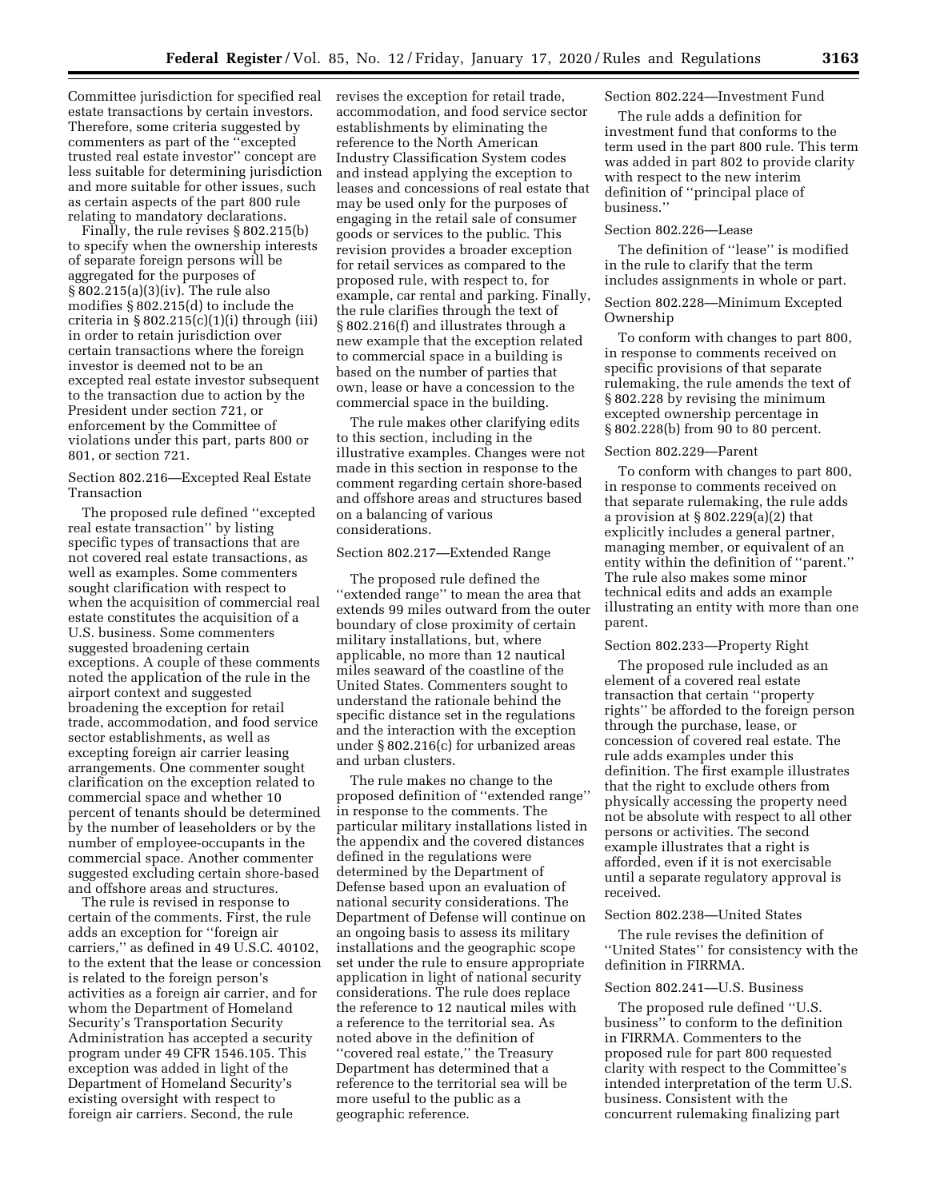Committee jurisdiction for specified real estate transactions by certain investors. Therefore, some criteria suggested by commenters as part of the ''excepted trusted real estate investor'' concept are less suitable for determining jurisdiction and more suitable for other issues, such as certain aspects of the part 800 rule relating to mandatory declarations.

Finally, the rule revises § 802.215(b) to specify when the ownership interests of separate foreign persons will be aggregated for the purposes of § 802.215(a)(3)(iv). The rule also modifies § 802.215(d) to include the criteria in  $\S 802.215(c)(1)(i)$  through (iii) in order to retain jurisdiction over certain transactions where the foreign investor is deemed not to be an excepted real estate investor subsequent to the transaction due to action by the President under section 721, or enforcement by the Committee of violations under this part, parts 800 or 801, or section 721.

Section 802.216—Excepted Real Estate Transaction

The proposed rule defined ''excepted real estate transaction'' by listing specific types of transactions that are not covered real estate transactions, as well as examples. Some commenters sought clarification with respect to when the acquisition of commercial real estate constitutes the acquisition of a U.S. business. Some commenters suggested broadening certain exceptions. A couple of these comments noted the application of the rule in the airport context and suggested broadening the exception for retail trade, accommodation, and food service sector establishments, as well as excepting foreign air carrier leasing arrangements. One commenter sought clarification on the exception related to commercial space and whether 10 percent of tenants should be determined by the number of leaseholders or by the number of employee-occupants in the commercial space. Another commenter suggested excluding certain shore-based and offshore areas and structures.

The rule is revised in response to certain of the comments. First, the rule adds an exception for ''foreign air carriers,'' as defined in 49 U.S.C. 40102, to the extent that the lease or concession is related to the foreign person's activities as a foreign air carrier, and for whom the Department of Homeland Security's Transportation Security Administration has accepted a security program under 49 CFR 1546.105. This exception was added in light of the Department of Homeland Security's existing oversight with respect to foreign air carriers. Second, the rule

revises the exception for retail trade, accommodation, and food service sector establishments by eliminating the reference to the North American Industry Classification System codes and instead applying the exception to leases and concessions of real estate that may be used only for the purposes of engaging in the retail sale of consumer goods or services to the public. This revision provides a broader exception for retail services as compared to the proposed rule, with respect to, for example, car rental and parking. Finally, the rule clarifies through the text of § 802.216(f) and illustrates through a new example that the exception related to commercial space in a building is based on the number of parties that own, lease or have a concession to the commercial space in the building.

The rule makes other clarifying edits to this section, including in the illustrative examples. Changes were not made in this section in response to the comment regarding certain shore-based and offshore areas and structures based on a balancing of various considerations.

### Section 802.217—Extended Range

The proposed rule defined the ''extended range'' to mean the area that extends 99 miles outward from the outer boundary of close proximity of certain military installations, but, where applicable, no more than 12 nautical miles seaward of the coastline of the United States. Commenters sought to understand the rationale behind the specific distance set in the regulations and the interaction with the exception under § 802.216(c) for urbanized areas and urban clusters.

The rule makes no change to the proposed definition of ''extended range'' in response to the comments. The particular military installations listed in the appendix and the covered distances defined in the regulations were determined by the Department of Defense based upon an evaluation of national security considerations. The Department of Defense will continue on an ongoing basis to assess its military installations and the geographic scope set under the rule to ensure appropriate application in light of national security considerations. The rule does replace the reference to 12 nautical miles with a reference to the territorial sea. As noted above in the definition of ''covered real estate,'' the Treasury Department has determined that a reference to the territorial sea will be more useful to the public as a geographic reference.

### Section 802.224—Investment Fund

The rule adds a definition for investment fund that conforms to the term used in the part 800 rule. This term was added in part 802 to provide clarity with respect to the new interim definition of ''principal place of business.''

### Section 802.226—Lease

The definition of ''lease'' is modified in the rule to clarify that the term includes assignments in whole or part.

# Section 802.228—Minimum Excepted Ownership

To conform with changes to part 800, in response to comments received on specific provisions of that separate rulemaking, the rule amends the text of § 802.228 by revising the minimum excepted ownership percentage in § 802.228(b) from 90 to 80 percent.

# Section 802.229—Parent

To conform with changes to part 800, in response to comments received on that separate rulemaking, the rule adds a provision at § 802.229(a)(2) that explicitly includes a general partner, managing member, or equivalent of an entity within the definition of ''parent.'' The rule also makes some minor technical edits and adds an example illustrating an entity with more than one parent.

#### Section 802.233—Property Right

The proposed rule included as an element of a covered real estate transaction that certain ''property rights'' be afforded to the foreign person through the purchase, lease, or concession of covered real estate. The rule adds examples under this definition. The first example illustrates that the right to exclude others from physically accessing the property need not be absolute with respect to all other persons or activities. The second example illustrates that a right is afforded, even if it is not exercisable until a separate regulatory approval is received.

### Section 802.238—United States

The rule revises the definition of ''United States'' for consistency with the definition in FIRRMA.

### Section 802.241—U.S. Business

The proposed rule defined ''U.S. business'' to conform to the definition in FIRRMA. Commenters to the proposed rule for part 800 requested clarity with respect to the Committee's intended interpretation of the term U.S. business. Consistent with the concurrent rulemaking finalizing part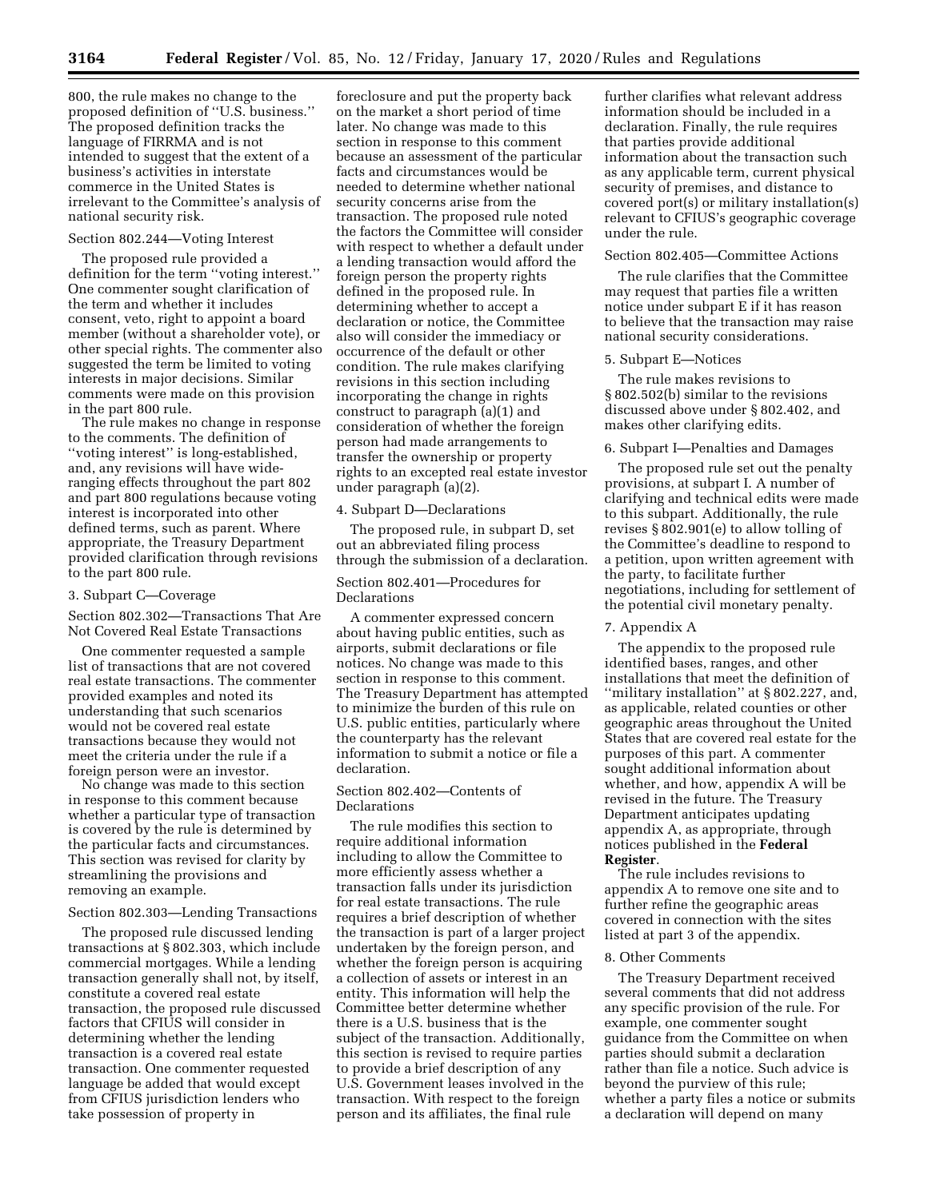800, the rule makes no change to the proposed definition of ''U.S. business.'' The proposed definition tracks the language of FIRRMA and is not intended to suggest that the extent of a business's activities in interstate commerce in the United States is irrelevant to the Committee's analysis of national security risk.

# Section 802.244—Voting Interest

The proposed rule provided a definition for the term ''voting interest.'' One commenter sought clarification of the term and whether it includes consent, veto, right to appoint a board member (without a shareholder vote), or other special rights. The commenter also suggested the term be limited to voting interests in major decisions. Similar comments were made on this provision in the part 800 rule.

The rule makes no change in response to the comments. The definition of ''voting interest'' is long-established, and, any revisions will have wideranging effects throughout the part 802 and part 800 regulations because voting interest is incorporated into other defined terms, such as parent. Where appropriate, the Treasury Department provided clarification through revisions to the part 800 rule.

### 3. Subpart C—Coverage

Section 802.302—Transactions That Are Not Covered Real Estate Transactions

One commenter requested a sample list of transactions that are not covered real estate transactions. The commenter provided examples and noted its understanding that such scenarios would not be covered real estate transactions because they would not meet the criteria under the rule if a foreign person were an investor.

No change was made to this section in response to this comment because whether a particular type of transaction is covered by the rule is determined by the particular facts and circumstances. This section was revised for clarity by streamlining the provisions and removing an example.

### Section 802.303—Lending Transactions

The proposed rule discussed lending transactions at § 802.303, which include commercial mortgages. While a lending transaction generally shall not, by itself, constitute a covered real estate transaction, the proposed rule discussed factors that CFIUS will consider in determining whether the lending transaction is a covered real estate transaction. One commenter requested language be added that would except from CFIUS jurisdiction lenders who take possession of property in

foreclosure and put the property back on the market a short period of time later. No change was made to this section in response to this comment because an assessment of the particular facts and circumstances would be needed to determine whether national security concerns arise from the transaction. The proposed rule noted the factors the Committee will consider with respect to whether a default under a lending transaction would afford the foreign person the property rights defined in the proposed rule. In determining whether to accept a declaration or notice, the Committee also will consider the immediacy or occurrence of the default or other condition. The rule makes clarifying revisions in this section including incorporating the change in rights construct to paragraph (a)(1) and consideration of whether the foreign person had made arrangements to transfer the ownership or property rights to an excepted real estate investor under paragraph (a)(2).

# 4. Subpart D—Declarations

The proposed rule, in subpart D, set out an abbreviated filing process through the submission of a declaration.

# Section 802.401—Procedures for **Declarations**

A commenter expressed concern about having public entities, such as airports, submit declarations or file notices. No change was made to this section in response to this comment. The Treasury Department has attempted to minimize the burden of this rule on U.S. public entities, particularly where the counterparty has the relevant information to submit a notice or file a declaration.

# Section 802.402—Contents of Declarations

The rule modifies this section to require additional information including to allow the Committee to more efficiently assess whether a transaction falls under its jurisdiction for real estate transactions. The rule requires a brief description of whether the transaction is part of a larger project undertaken by the foreign person, and whether the foreign person is acquiring a collection of assets or interest in an entity. This information will help the Committee better determine whether there is a U.S. business that is the subject of the transaction. Additionally, this section is revised to require parties to provide a brief description of any U.S. Government leases involved in the transaction. With respect to the foreign person and its affiliates, the final rule

further clarifies what relevant address information should be included in a declaration. Finally, the rule requires that parties provide additional information about the transaction such as any applicable term, current physical security of premises, and distance to covered port(s) or military installation(s) relevant to CFIUS's geographic coverage under the rule.

### Section 802.405—Committee Actions

The rule clarifies that the Committee may request that parties file a written notice under subpart E if it has reason to believe that the transaction may raise national security considerations.

# 5. Subpart E—Notices

The rule makes revisions to § 802.502(b) similar to the revisions discussed above under § 802.402, and makes other clarifying edits.

### 6. Subpart I—Penalties and Damages

The proposed rule set out the penalty provisions, at subpart I. A number of clarifying and technical edits were made to this subpart. Additionally, the rule revises § 802.901(e) to allow tolling of the Committee's deadline to respond to a petition, upon written agreement with the party, to facilitate further negotiations, including for settlement of the potential civil monetary penalty.

### 7. Appendix A

The appendix to the proposed rule identified bases, ranges, and other installations that meet the definition of ''military installation'' at § 802.227, and, as applicable, related counties or other geographic areas throughout the United States that are covered real estate for the purposes of this part. A commenter sought additional information about whether, and how, appendix A will be revised in the future. The Treasury Department anticipates updating appendix A, as appropriate, through notices published in the **Federal Register**.

The rule includes revisions to appendix A to remove one site and to further refine the geographic areas covered in connection with the sites listed at part 3 of the appendix.

### 8. Other Comments

The Treasury Department received several comments that did not address any specific provision of the rule. For example, one commenter sought guidance from the Committee on when parties should submit a declaration rather than file a notice. Such advice is beyond the purview of this rule; whether a party files a notice or submits a declaration will depend on many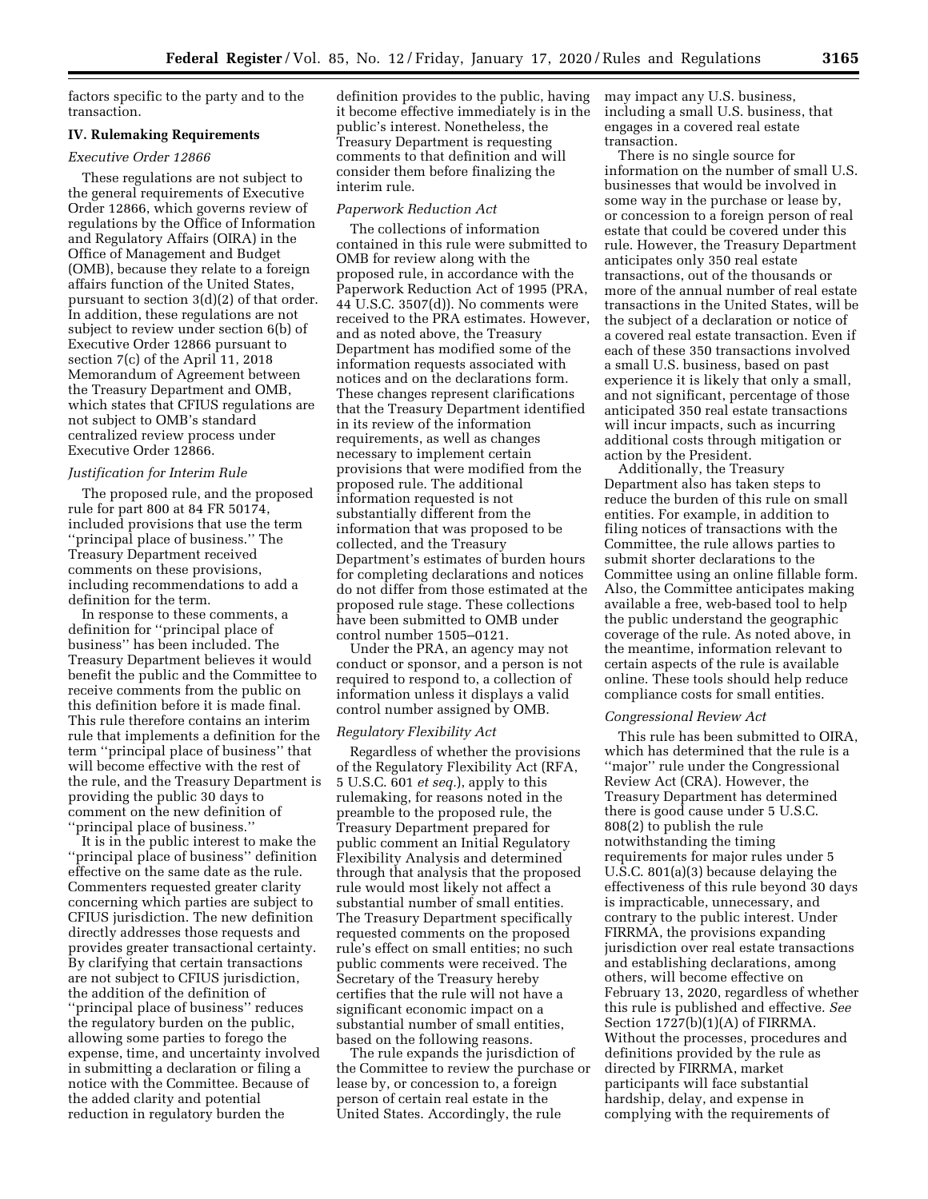factors specific to the party and to the transaction.

# **IV. Rulemaking Requirements**

# *Executive Order 12866*

These regulations are not subject to the general requirements of Executive Order 12866, which governs review of regulations by the Office of Information and Regulatory Affairs (OIRA) in the Office of Management and Budget (OMB), because they relate to a foreign affairs function of the United States, pursuant to section 3(d)(2) of that order. In addition, these regulations are not subject to review under section 6(b) of Executive Order 12866 pursuant to section 7(c) of the April 11, 2018 Memorandum of Agreement between the Treasury Department and OMB, which states that CFIUS regulations are not subject to OMB's standard centralized review process under Executive Order 12866.

# *Justification for Interim Rule*

The proposed rule, and the proposed rule for part 800 at 84 FR 50174, included provisions that use the term ''principal place of business.'' The Treasury Department received comments on these provisions, including recommendations to add a definition for the term.

In response to these comments, a definition for ''principal place of business'' has been included. The Treasury Department believes it would benefit the public and the Committee to receive comments from the public on this definition before it is made final. This rule therefore contains an interim rule that implements a definition for the term ''principal place of business'' that will become effective with the rest of the rule, and the Treasury Department is providing the public 30 days to comment on the new definition of ''principal place of business.''

It is in the public interest to make the ''principal place of business'' definition effective on the same date as the rule. Commenters requested greater clarity concerning which parties are subject to CFIUS jurisdiction. The new definition directly addresses those requests and provides greater transactional certainty. By clarifying that certain transactions are not subject to CFIUS jurisdiction, the addition of the definition of ''principal place of business'' reduces the regulatory burden on the public, allowing some parties to forego the expense, time, and uncertainty involved in submitting a declaration or filing a notice with the Committee. Because of the added clarity and potential reduction in regulatory burden the

definition provides to the public, having it become effective immediately is in the public's interest. Nonetheless, the Treasury Department is requesting comments to that definition and will consider them before finalizing the interim rule.

# *Paperwork Reduction Act*

The collections of information contained in this rule were submitted to OMB for review along with the proposed rule, in accordance with the Paperwork Reduction Act of 1995 (PRA, 44 U.S.C. 3507(d)). No comments were received to the PRA estimates. However, and as noted above, the Treasury Department has modified some of the information requests associated with notices and on the declarations form. These changes represent clarifications that the Treasury Department identified in its review of the information requirements, as well as changes necessary to implement certain provisions that were modified from the proposed rule. The additional information requested is not substantially different from the information that was proposed to be collected, and the Treasury Department's estimates of burden hours for completing declarations and notices do not differ from those estimated at the proposed rule stage. These collections have been submitted to OMB under control number 1505–0121.

Under the PRA, an agency may not conduct or sponsor, and a person is not required to respond to, a collection of information unless it displays a valid control number assigned by OMB.

# *Regulatory Flexibility Act*

Regardless of whether the provisions of the Regulatory Flexibility Act (RFA, 5 U.S.C. 601 *et seq.*), apply to this rulemaking, for reasons noted in the preamble to the proposed rule, the Treasury Department prepared for public comment an Initial Regulatory Flexibility Analysis and determined through that analysis that the proposed rule would most likely not affect a substantial number of small entities. The Treasury Department specifically requested comments on the proposed rule's effect on small entities; no such public comments were received. The Secretary of the Treasury hereby certifies that the rule will not have a significant economic impact on a substantial number of small entities, based on the following reasons.

The rule expands the jurisdiction of the Committee to review the purchase or lease by, or concession to, a foreign person of certain real estate in the United States. Accordingly, the rule

may impact any U.S. business, including a small U.S. business, that engages in a covered real estate transaction.

There is no single source for information on the number of small U.S. businesses that would be involved in some way in the purchase or lease by, or concession to a foreign person of real estate that could be covered under this rule. However, the Treasury Department anticipates only 350 real estate transactions, out of the thousands or more of the annual number of real estate transactions in the United States, will be the subject of a declaration or notice of a covered real estate transaction. Even if each of these 350 transactions involved a small U.S. business, based on past experience it is likely that only a small, and not significant, percentage of those anticipated 350 real estate transactions will incur impacts, such as incurring additional costs through mitigation or action by the President.

Additionally, the Treasury Department also has taken steps to reduce the burden of this rule on small entities. For example, in addition to filing notices of transactions with the Committee, the rule allows parties to submit shorter declarations to the Committee using an online fillable form. Also, the Committee anticipates making available a free, web-based tool to help the public understand the geographic coverage of the rule. As noted above, in the meantime, information relevant to certain aspects of the rule is available online. These tools should help reduce compliance costs for small entities.

### *Congressional Review Act*

This rule has been submitted to OIRA, which has determined that the rule is a ''major'' rule under the Congressional Review Act (CRA). However, the Treasury Department has determined there is good cause under 5 U.S.C. 808(2) to publish the rule notwithstanding the timing requirements for major rules under 5 U.S.C. 801(a)(3) because delaying the effectiveness of this rule beyond 30 days is impracticable, unnecessary, and contrary to the public interest. Under FIRRMA, the provisions expanding jurisdiction over real estate transactions and establishing declarations, among others, will become effective on February 13, 2020, regardless of whether this rule is published and effective. *See*  Section 1727(b)(1)(A) of FIRRMA. Without the processes, procedures and definitions provided by the rule as directed by FIRRMA, market participants will face substantial hardship, delay, and expense in complying with the requirements of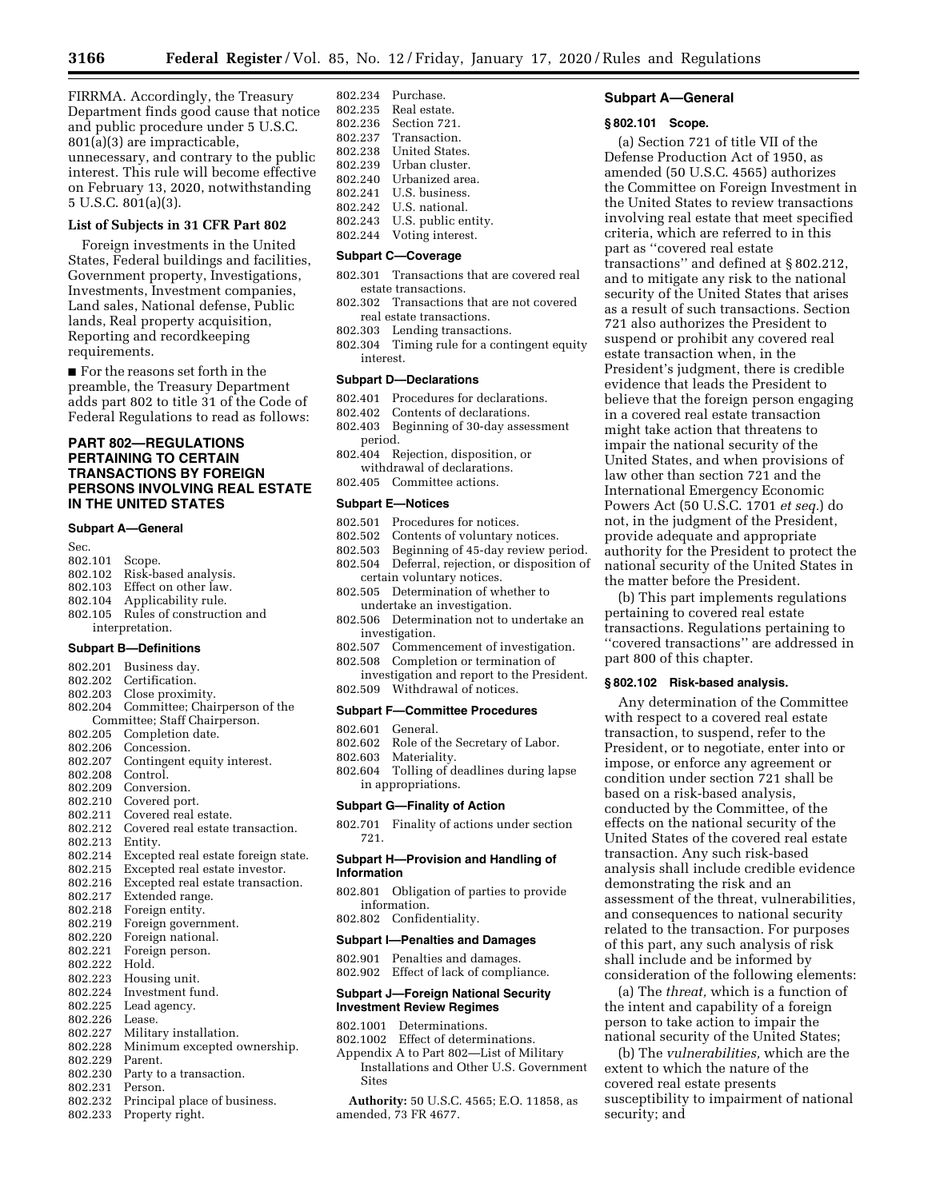FIRRMA. Accordingly, the Treasury Department finds good cause that notice and public procedure under 5 U.S.C. 801(a)(3) are impracticable, unnecessary, and contrary to the public interest. This rule will become effective on February 13, 2020, notwithstanding 5 U.S.C. 801(a)(3).

# **List of Subjects in 31 CFR Part 802**

Foreign investments in the United States, Federal buildings and facilities, Government property, Investigations, Investments, Investment companies, Land sales, National defense, Public lands, Real property acquisition, Reporting and recordkeeping requirements.

■ For the reasons set forth in the preamble, the Treasury Department adds part 802 to title 31 of the Code of Federal Regulations to read as follows:

# **PART 802—REGULATIONS PERTAINING TO CERTAIN TRANSACTIONS BY FOREIGN PERSONS INVOLVING REAL ESTATE IN THE UNITED STATES**

#### **Subpart A—General**

Sec. 802.101 Scope. 802.102 Risk-based analysis. 802.103 Effect on other law. 802.104 Applicability rule. 802.105 Rules of construction and interpretation.

#### **Subpart B—Definitions**

- 802.201 Business day.<br>802.202 Certification. Certification. 802.203 Close proximity.<br>802.204 Committee: Chai Committee; Chairperson of the Committee; Staff Chairperson.<br>802.205 Completion date. 802.205 Completion date. Concession. 802.207 Contingent equity interest. 802.208 Control.<br>802.209 Convers Conversion. 802.210 Covered port.<br>802.211 Covered real 802.211 Covered real estate.<br>802.212 Covered real estate Covered real estate transaction. 802.213 Entity. Excepted real estate foreign state. 802.215 Excepted real estate investor. 802.216 Excepted real estate transaction. 802.217 Extended range. 802.218 Foreign entity. Foreign government. 802.220 Foreign national. 802.221 Foreign person. 802.222 Hold. 802.223 Housing unit. Investment fund.
- 
- 802.225 Lead agency.
- 802.226 Lease.
- 802.227 Military installation.
- Minimum excepted ownership.
- 802.229 Parent.
- 802.230 Party to a transaction.
- 802.231 Person.
- 802.232 Principal place of business.
- 802.233 Property right.
- 802.234 Purchase. 802.235 Real estate. Section 721. 802.237 Transaction. 802.238 United States.<br>802.239 Urban cluster. Urban cluster. 802.240 Urbanized area.<br>802.241 U.S. business. 802.241 U.S. business.<br>802.242 U.S. national. U.S. national. 802.243 U.S. public entity.
- 802.244 Voting interest.

# **Subpart C—Coverage**

- 802.301 Transactions that are covered real estate transactions.
- 802.302 Transactions that are not covered real estate transactions.
- 802.303 Lending transactions.
- 802.304 Timing rule for a contingent equity interest.

#### **Subpart D—Declarations**

- 802.401 Procedures for declarations.
- 802.402 Contents of declarations.
- 802.403 Beginning of 30-day assessment period.
- 802.404 Rejection, disposition, or withdrawal of declarations.
- 802.405 Committee actions.

# **Subpart E—Notices**

- 802.501 Procedures for notices.<br>802.502 Contents of voluntary i
- Contents of voluntary notices.
- 802.503 Beginning of 45-day review period.
- 802.504 Deferral, rejection, or disposition of certain voluntary notices.
- 802.505 Determination of whether to undertake an investigation.
- 802.506 Determination not to undertake an investigation.<br>802.507 Commer
- Commencement of investigation.
- 802.508 Completion or termination of
- investigation and report to the President. 802.509 Withdrawal of notices.

#### **Subpart F—Committee Procedures**

- 802.601 General.
- 802.602 Role of the Secretary of Labor.
- 802.603 Materiality.
- 802.604 Tolling of deadlines during lapse in appropriations.

### **Subpart G—Finality of Action**

802.701 Finality of actions under section 721.

### **Subpart H—Provision and Handling of Information**

- 802.801 Obligation of parties to provide information. 802.802 Confidentiality.
- 

# **Subpart I—Penalties and Damages**

802.901 Penalties and damages. 802.902 Effect of lack of compliance.

# **Subpart J—Foreign National Security Investment Review Regimes**

- 802.1001 Determinations.
- 802.1002 Effect of determinations.
- Appendix A to Part 802—List of Military Installations and Other U.S. Government Sites
- **Authority:** 50 U.S.C. 4565; E.O. 11858, as amended, 73 FR 4677.

#### **Subpart A—General**

### **§ 802.101 Scope.**

(a) Section 721 of title VII of the Defense Production Act of 1950, as amended (50 U.S.C. 4565) authorizes the Committee on Foreign Investment in the United States to review transactions involving real estate that meet specified criteria, which are referred to in this part as ''covered real estate transactions'' and defined at § 802.212, and to mitigate any risk to the national security of the United States that arises as a result of such transactions. Section 721 also authorizes the President to suspend or prohibit any covered real estate transaction when, in the President's judgment, there is credible evidence that leads the President to believe that the foreign person engaging in a covered real estate transaction might take action that threatens to impair the national security of the United States, and when provisions of law other than section 721 and the International Emergency Economic Powers Act (50 U.S.C. 1701 *et seq.*) do not, in the judgment of the President, provide adequate and appropriate authority for the President to protect the national security of the United States in the matter before the President.

(b) This part implements regulations pertaining to covered real estate transactions. Regulations pertaining to ''covered transactions'' are addressed in part 800 of this chapter.

### **§ 802.102 Risk-based analysis.**

Any determination of the Committee with respect to a covered real estate transaction, to suspend, refer to the President, or to negotiate, enter into or impose, or enforce any agreement or condition under section 721 shall be based on a risk-based analysis, conducted by the Committee, of the effects on the national security of the United States of the covered real estate transaction. Any such risk-based analysis shall include credible evidence demonstrating the risk and an assessment of the threat, vulnerabilities, and consequences to national security related to the transaction. For purposes of this part, any such analysis of risk shall include and be informed by consideration of the following elements:

(a) The *threat,* which is a function of the intent and capability of a foreign person to take action to impair the national security of the United States;

(b) The *vulnerabilities,* which are the extent to which the nature of the covered real estate presents susceptibility to impairment of national security; and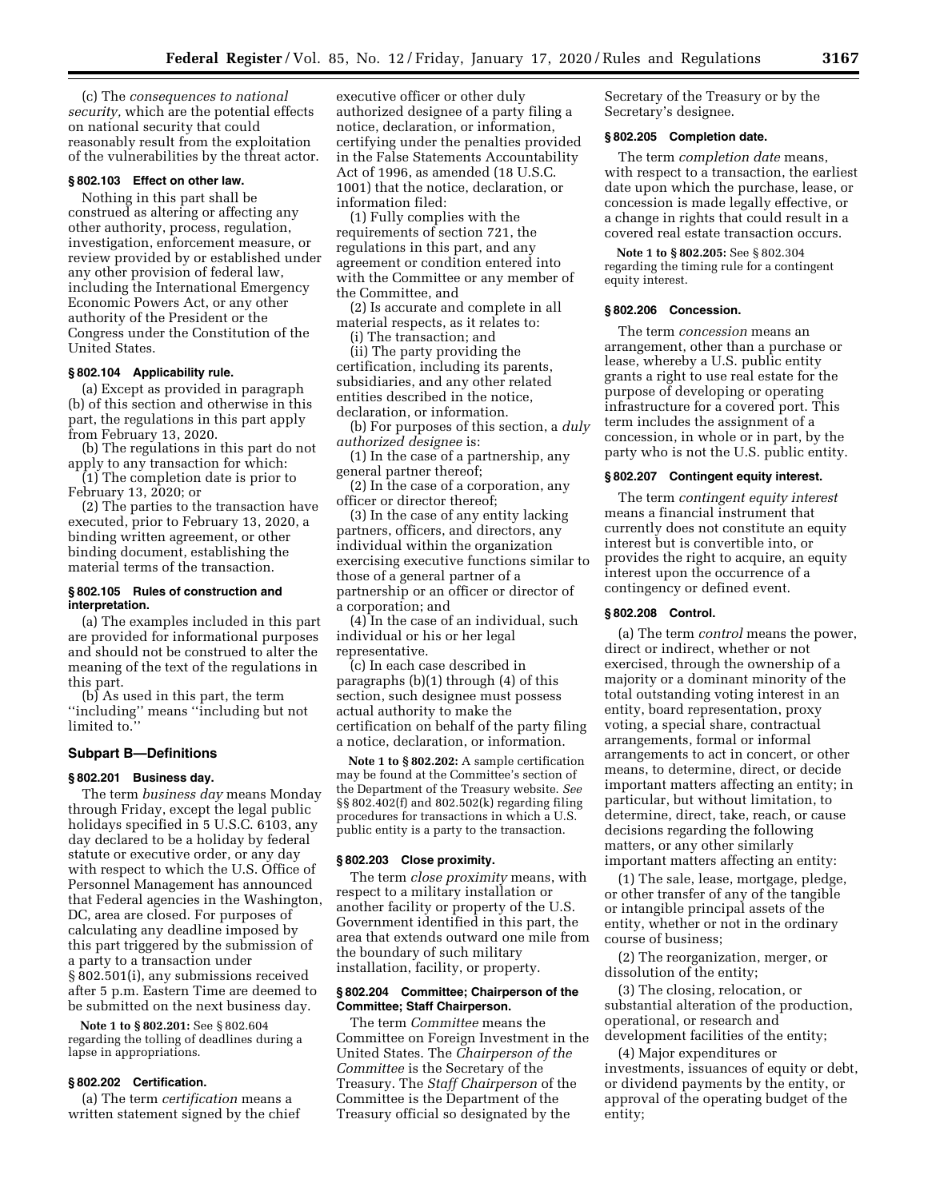(c) The *consequences to national security,* which are the potential effects on national security that could reasonably result from the exploitation of the vulnerabilities by the threat actor.

# **§ 802.103 Effect on other law.**

Nothing in this part shall be construed as altering or affecting any other authority, process, regulation, investigation, enforcement measure, or review provided by or established under any other provision of federal law, including the International Emergency Economic Powers Act, or any other authority of the President or the Congress under the Constitution of the United States.

# **§ 802.104 Applicability rule.**

(a) Except as provided in paragraph (b) of this section and otherwise in this part, the regulations in this part apply from February 13, 2020.

(b) The regulations in this part do not apply to any transaction for which:

(1) The completion date is prior to February 13, 2020; or

(2) The parties to the transaction have executed, prior to February 13, 2020, a binding written agreement, or other binding document, establishing the material terms of the transaction.

### **§ 802.105 Rules of construction and interpretation.**

(a) The examples included in this part are provided for informational purposes and should not be construed to alter the meaning of the text of the regulations in this part.

(b) As used in this part, the term ''including'' means ''including but not limited to.

### **Subpart B—Definitions**

#### **§ 802.201 Business day.**

The term *business day* means Monday through Friday, except the legal public holidays specified in 5 U.S.C. 6103, any day declared to be a holiday by federal statute or executive order, or any day with respect to which the U.S. Office of Personnel Management has announced that Federal agencies in the Washington, DC, area are closed. For purposes of calculating any deadline imposed by this part triggered by the submission of a party to a transaction under § 802.501(i), any submissions received after 5 p.m. Eastern Time are deemed to be submitted on the next business day.

**Note 1 to § 802.201:** See § 802.604 regarding the tolling of deadlines during a lapse in appropriations.

### **§ 802.202 Certification.**

(a) The term *certification* means a written statement signed by the chief

executive officer or other duly authorized designee of a party filing a notice, declaration, or information, certifying under the penalties provided in the False Statements Accountability Act of 1996, as amended (18 U.S.C. 1001) that the notice, declaration, or information filed:

(1) Fully complies with the requirements of section 721, the regulations in this part, and any agreement or condition entered into with the Committee or any member of the Committee, and

(2) Is accurate and complete in all material respects, as it relates to:

(i) The transaction; and

(ii) The party providing the certification, including its parents, subsidiaries, and any other related entities described in the notice, declaration, or information.

(b) For purposes of this section, a *duly authorized designee* is:

(1) In the case of a partnership, any general partner thereof;

(2) In the case of a corporation, any officer or director thereof;

(3) In the case of any entity lacking partners, officers, and directors, any individual within the organization exercising executive functions similar to those of a general partner of a partnership or an officer or director of a corporation; and

(4) In the case of an individual, such individual or his or her legal representative.

(c) In each case described in paragraphs (b)(1) through (4) of this section, such designee must possess actual authority to make the certification on behalf of the party filing a notice, declaration, or information.

**Note 1 to § 802.202:** A sample certification may be found at the Committee's section of the Department of the Treasury website. *See*  §§ 802.402(f) and 802.502(k) regarding filing procedures for transactions in which a U.S. public entity is a party to the transaction.

### **§ 802.203 Close proximity.**

The term *close proximity* means, with respect to a military installation or another facility or property of the U.S. Government identified in this part, the area that extends outward one mile from the boundary of such military installation, facility, or property.

### **§ 802.204 Committee; Chairperson of the Committee; Staff Chairperson.**

The term *Committee* means the Committee on Foreign Investment in the United States. The *Chairperson of the Committee* is the Secretary of the Treasury. The *Staff Chairperson* of the Committee is the Department of the Treasury official so designated by the

Secretary of the Treasury or by the Secretary's designee.

# **§ 802.205 Completion date.**

The term *completion date* means, with respect to a transaction, the earliest date upon which the purchase, lease, or concession is made legally effective, or a change in rights that could result in a covered real estate transaction occurs.

**Note 1 to § 802.205:** See § 802.304 regarding the timing rule for a contingent equity interest.

### **§ 802.206 Concession.**

The term *concession* means an arrangement, other than a purchase or lease, whereby a U.S. public entity grants a right to use real estate for the purpose of developing or operating infrastructure for a covered port. This term includes the assignment of a concession, in whole or in part, by the party who is not the U.S. public entity.

#### **§ 802.207 Contingent equity interest.**

The term *contingent equity interest*  means a financial instrument that currently does not constitute an equity interest but is convertible into, or provides the right to acquire, an equity interest upon the occurrence of a contingency or defined event.

# **§ 802.208 Control.**

(a) The term *control* means the power, direct or indirect, whether or not exercised, through the ownership of a majority or a dominant minority of the total outstanding voting interest in an entity, board representation, proxy voting, a special share, contractual arrangements, formal or informal arrangements to act in concert, or other means, to determine, direct, or decide important matters affecting an entity; in particular, but without limitation, to determine, direct, take, reach, or cause decisions regarding the following matters, or any other similarly important matters affecting an entity:

(1) The sale, lease, mortgage, pledge, or other transfer of any of the tangible or intangible principal assets of the entity, whether or not in the ordinary course of business;

(2) The reorganization, merger, or dissolution of the entity;

(3) The closing, relocation, or substantial alteration of the production, operational, or research and development facilities of the entity;

(4) Major expenditures or investments, issuances of equity or debt, or dividend payments by the entity, or approval of the operating budget of the entity;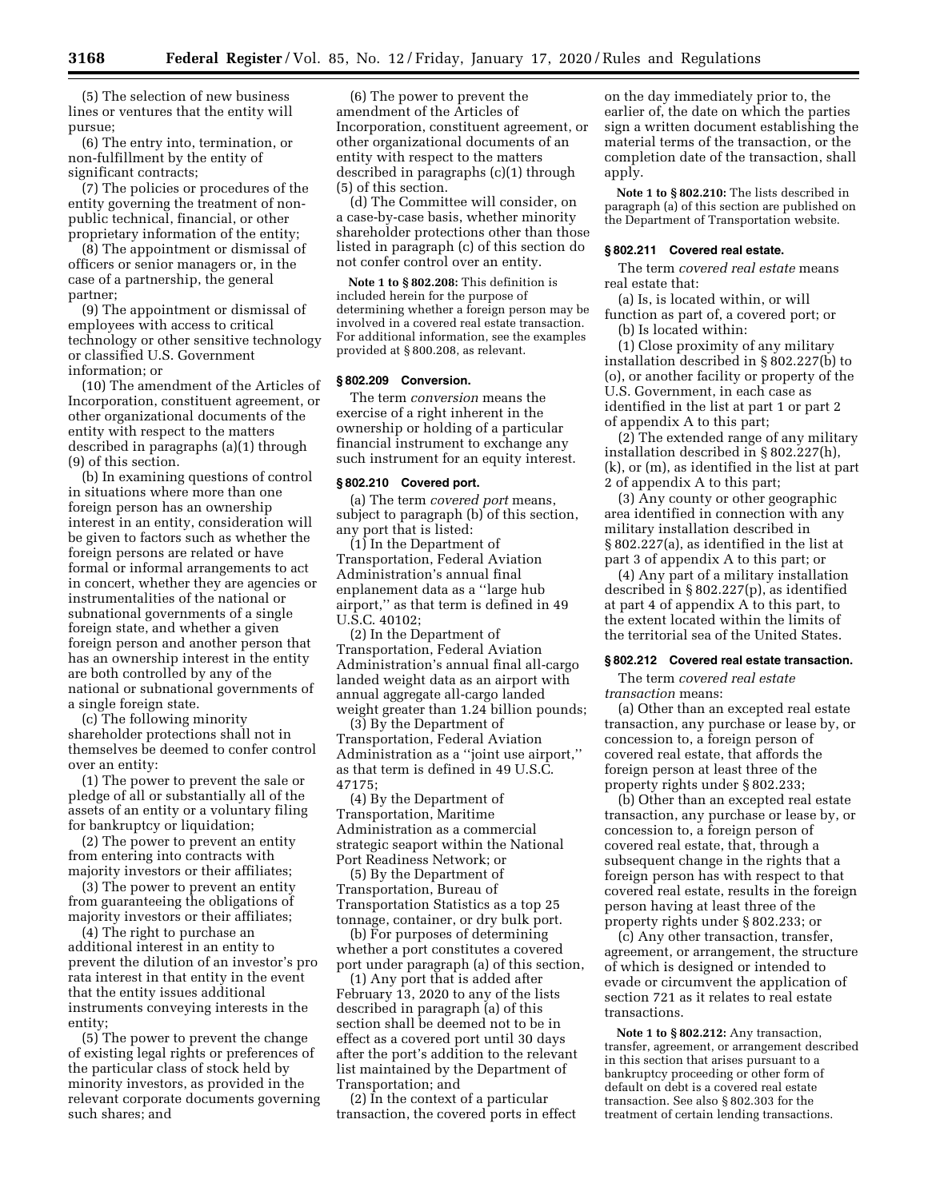(5) The selection of new business lines or ventures that the entity will pursue;

(6) The entry into, termination, or non-fulfillment by the entity of significant contracts;

(7) The policies or procedures of the entity governing the treatment of nonpublic technical, financial, or other proprietary information of the entity;

(8) The appointment or dismissal of officers or senior managers or, in the case of a partnership, the general partner;

(9) The appointment or dismissal of employees with access to critical technology or other sensitive technology or classified U.S. Government information; or

(10) The amendment of the Articles of Incorporation, constituent agreement, or other organizational documents of the entity with respect to the matters described in paragraphs (a)(1) through (9) of this section.

(b) In examining questions of control in situations where more than one foreign person has an ownership interest in an entity, consideration will be given to factors such as whether the foreign persons are related or have formal or informal arrangements to act in concert, whether they are agencies or instrumentalities of the national or subnational governments of a single foreign state, and whether a given foreign person and another person that has an ownership interest in the entity are both controlled by any of the national or subnational governments of a single foreign state.

(c) The following minority shareholder protections shall not in themselves be deemed to confer control over an entity:

(1) The power to prevent the sale or pledge of all or substantially all of the assets of an entity or a voluntary filing for bankruptcy or liquidation;

(2) The power to prevent an entity from entering into contracts with majority investors or their affiliates;

(3) The power to prevent an entity from guaranteeing the obligations of majority investors or their affiliates;

(4) The right to purchase an additional interest in an entity to prevent the dilution of an investor's pro rata interest in that entity in the event that the entity issues additional instruments conveying interests in the entity;

(5) The power to prevent the change of existing legal rights or preferences of the particular class of stock held by minority investors, as provided in the relevant corporate documents governing such shares; and

(6) The power to prevent the amendment of the Articles of Incorporation, constituent agreement, or other organizational documents of an entity with respect to the matters described in paragraphs (c)(1) through (5) of this section.

(d) The Committee will consider, on a case-by-case basis, whether minority shareholder protections other than those listed in paragraph (c) of this section do not confer control over an entity.

**Note 1 to § 802.208:** This definition is included herein for the purpose of determining whether a foreign person may be involved in a covered real estate transaction. For additional information, see the examples provided at § 800.208, as relevant.

# **§ 802.209 Conversion.**

The term *conversion* means the exercise of a right inherent in the ownership or holding of a particular financial instrument to exchange any such instrument for an equity interest.

### **§ 802.210 Covered port.**

(a) The term *covered port* means, subject to paragraph (b) of this section, any port that is listed:

(1) In the Department of Transportation, Federal Aviation Administration's annual final enplanement data as a ''large hub airport,'' as that term is defined in 49 U.S.C. 40102;

(2) In the Department of Transportation, Federal Aviation Administration's annual final all-cargo landed weight data as an airport with annual aggregate all-cargo landed weight greater than 1.24 billion pounds;

(3) By the Department of Transportation, Federal Aviation Administration as a ''joint use airport,'' as that term is defined in 49 U.S.C. 47175;

(4) By the Department of Transportation, Maritime Administration as a commercial strategic seaport within the National Port Readiness Network; or

(5) By the Department of Transportation, Bureau of Transportation Statistics as a top 25 tonnage, container, or dry bulk port.

(b) For purposes of determining whether a port constitutes a covered port under paragraph (a) of this section,

(1) Any port that is added after February 13, 2020 to any of the lists described in paragraph (a) of this section shall be deemed not to be in effect as a covered port until 30 days after the port's addition to the relevant list maintained by the Department of Transportation; and

(2) In the context of a particular transaction, the covered ports in effect

on the day immediately prior to, the earlier of, the date on which the parties sign a written document establishing the material terms of the transaction, or the completion date of the transaction, shall apply.

**Note 1 to § 802.210:** The lists described in paragraph (a) of this section are published on the Department of Transportation website.

#### **§ 802.211 Covered real estate.**

The term *covered real estate* means real estate that:

(a) Is, is located within, or will function as part of, a covered port; or (b) Is located within:

(1) Close proximity of any military installation described in § 802.227(b) to (o), or another facility or property of the U.S. Government, in each case as identified in the list at part 1 or part 2 of appendix A to this part;

(2) The extended range of any military installation described in § 802.227(h), (k), or (m), as identified in the list at part 2 of appendix A to this part;

(3) Any county or other geographic area identified in connection with any military installation described in § 802.227(a), as identified in the list at part 3 of appendix A to this part; or

(4) Any part of a military installation described in § 802.227(p), as identified at part 4 of appendix A to this part, to the extent located within the limits of the territorial sea of the United States.

### **§ 802.212 Covered real estate transaction.**

The term *covered real estate transaction* means:

(a) Other than an excepted real estate transaction, any purchase or lease by, or concession to, a foreign person of covered real estate, that affords the foreign person at least three of the property rights under § 802.233;

(b) Other than an excepted real estate transaction, any purchase or lease by, or concession to, a foreign person of covered real estate, that, through a subsequent change in the rights that a foreign person has with respect to that covered real estate, results in the foreign person having at least three of the property rights under § 802.233; or

(c) Any other transaction, transfer, agreement, or arrangement, the structure of which is designed or intended to evade or circumvent the application of section 721 as it relates to real estate transactions.

**Note 1 to § 802.212:** Any transaction, transfer, agreement, or arrangement described in this section that arises pursuant to a bankruptcy proceeding or other form of default on debt is a covered real estate transaction. See also § 802.303 for the treatment of certain lending transactions.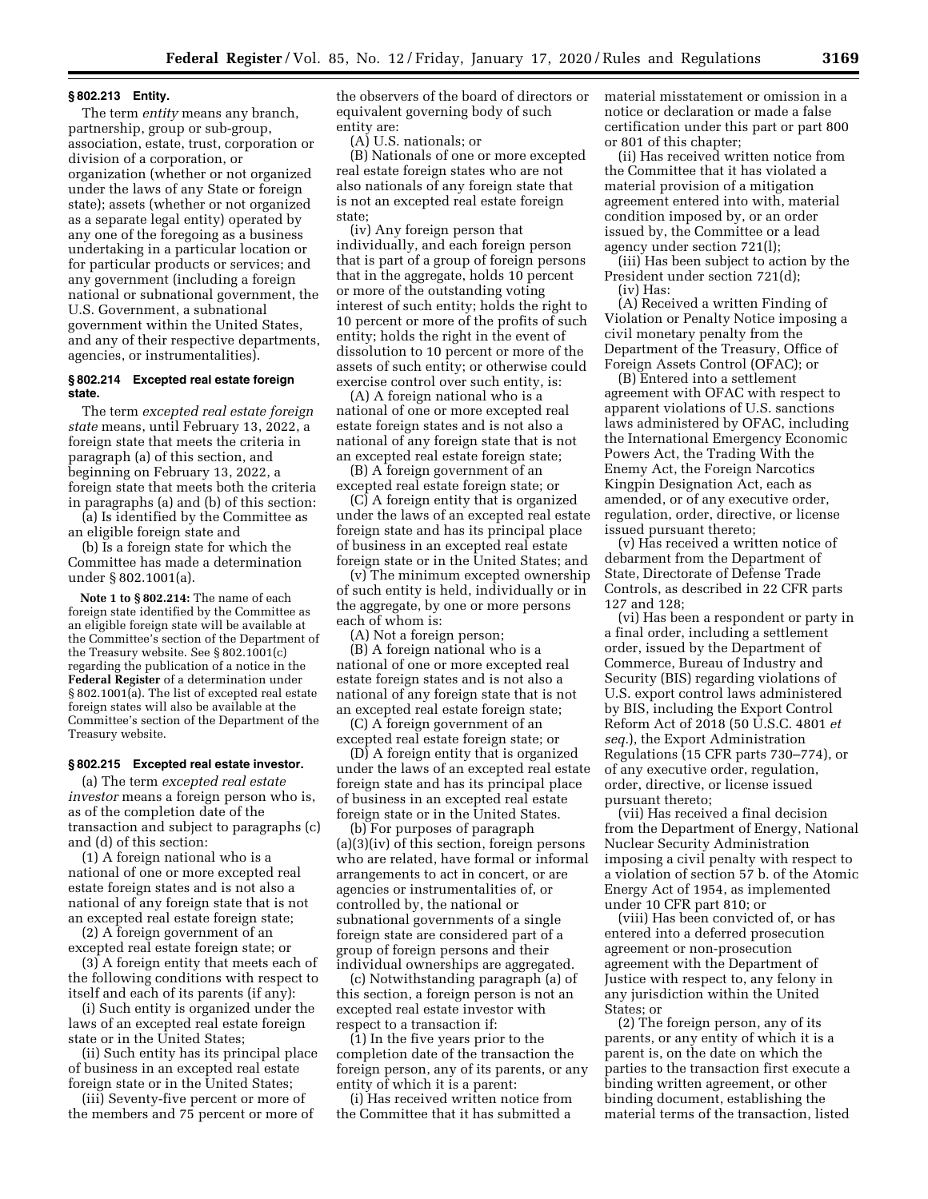### **§ 802.213 Entity.**

The term *entity* means any branch, partnership, group or sub-group, association, estate, trust, corporation or division of a corporation, or organization (whether or not organized under the laws of any State or foreign state); assets (whether or not organized as a separate legal entity) operated by any one of the foregoing as a business undertaking in a particular location or for particular products or services; and any government (including a foreign national or subnational government, the U.S. Government, a subnational government within the United States, and any of their respective departments, agencies, or instrumentalities).

# **§ 802.214 Excepted real estate foreign state.**

The term *excepted real estate foreign state* means, until February 13, 2022, a foreign state that meets the criteria in paragraph (a) of this section, and beginning on February 13, 2022, a foreign state that meets both the criteria in paragraphs (a) and (b) of this section:

(a) Is identified by the Committee as an eligible foreign state and

(b) Is a foreign state for which the Committee has made a determination under § 802.1001(a).

**Note 1 to § 802.214:** The name of each foreign state identified by the Committee as an eligible foreign state will be available at the Committee's section of the Department of the Treasury website. See § 802.1001(c) regarding the publication of a notice in the **Federal Register** of a determination under § 802.1001(a). The list of excepted real estate foreign states will also be available at the Committee's section of the Department of the Treasury website.

# **§ 802.215 Excepted real estate investor.**

(a) The term *excepted real estate investor* means a foreign person who is, as of the completion date of the transaction and subject to paragraphs (c) and (d) of this section:

(1) A foreign national who is a national of one or more excepted real estate foreign states and is not also a national of any foreign state that is not an excepted real estate foreign state;

(2) A foreign government of an excepted real estate foreign state; or

(3) A foreign entity that meets each of the following conditions with respect to itself and each of its parents (if any):

(i) Such entity is organized under the laws of an excepted real estate foreign state or in the United States;

(ii) Such entity has its principal place of business in an excepted real estate foreign state or in the United States;

(iii) Seventy-five percent or more of the members and 75 percent or more of the observers of the board of directors or equivalent governing body of such entity are:

(A) U.S. nationals; or

(B) Nationals of one or more excepted real estate foreign states who are not also nationals of any foreign state that is not an excepted real estate foreign state;

(iv) Any foreign person that individually, and each foreign person that is part of a group of foreign persons that in the aggregate, holds 10 percent or more of the outstanding voting interest of such entity; holds the right to 10 percent or more of the profits of such entity; holds the right in the event of dissolution to 10 percent or more of the assets of such entity; or otherwise could exercise control over such entity, is:

(A) A foreign national who is a national of one or more excepted real estate foreign states and is not also a national of any foreign state that is not an excepted real estate foreign state;

(B) A foreign government of an excepted real estate foreign state; or

(C) A foreign entity that is organized under the laws of an excepted real estate foreign state and has its principal place of business in an excepted real estate foreign state or in the United States; and

(v) The minimum excepted ownership of such entity is held, individually or in the aggregate, by one or more persons each of whom is:

(A) Not a foreign person;

(B) A foreign national who is a national of one or more excepted real estate foreign states and is not also a national of any foreign state that is not an excepted real estate foreign state;

(C) A foreign government of an excepted real estate foreign state; or

(D) A foreign entity that is organized under the laws of an excepted real estate foreign state and has its principal place of business in an excepted real estate foreign state or in the United States.

(b) For purposes of paragraph (a)(3)(iv) of this section, foreign persons who are related, have formal or informal arrangements to act in concert, or are agencies or instrumentalities of, or controlled by, the national or subnational governments of a single foreign state are considered part of a group of foreign persons and their individual ownerships are aggregated.

(c) Notwithstanding paragraph (a) of this section, a foreign person is not an excepted real estate investor with respect to a transaction if:

(1) In the five years prior to the completion date of the transaction the foreign person, any of its parents, or any entity of which it is a parent:

(i) Has received written notice from the Committee that it has submitted a

material misstatement or omission in a notice or declaration or made a false certification under this part or part 800 or 801 of this chapter;

(ii) Has received written notice from the Committee that it has violated a material provision of a mitigation agreement entered into with, material condition imposed by, or an order issued by, the Committee or a lead agency under section 721(l);

(iii) Has been subject to action by the President under section 721(d); (iv) Has:

(A) Received a written Finding of Violation or Penalty Notice imposing a civil monetary penalty from the Department of the Treasury, Office of Foreign Assets Control (OFAC); or

(B) Entered into a settlement agreement with OFAC with respect to apparent violations of U.S. sanctions laws administered by OFAC, including the International Emergency Economic Powers Act, the Trading With the Enemy Act, the Foreign Narcotics Kingpin Designation Act, each as amended, or of any executive order, regulation, order, directive, or license issued pursuant thereto;

(v) Has received a written notice of debarment from the Department of State, Directorate of Defense Trade Controls, as described in 22 CFR parts 127 and 128;

(vi) Has been a respondent or party in a final order, including a settlement order, issued by the Department of Commerce, Bureau of Industry and Security (BIS) regarding violations of U.S. export control laws administered by BIS, including the Export Control Reform Act of 2018 (50 U.S.C. 4801 *et seq.*), the Export Administration Regulations (15 CFR parts 730–774), or of any executive order, regulation, order, directive, or license issued pursuant thereto;

(vii) Has received a final decision from the Department of Energy, National Nuclear Security Administration imposing a civil penalty with respect to a violation of section 57 b. of the Atomic Energy Act of 1954, as implemented under 10 CFR part 810; or

(viii) Has been convicted of, or has entered into a deferred prosecution agreement or non-prosecution agreement with the Department of Justice with respect to, any felony in any jurisdiction within the United States; or

(2) The foreign person, any of its parents, or any entity of which it is a parent is, on the date on which the parties to the transaction first execute a binding written agreement, or other binding document, establishing the material terms of the transaction, listed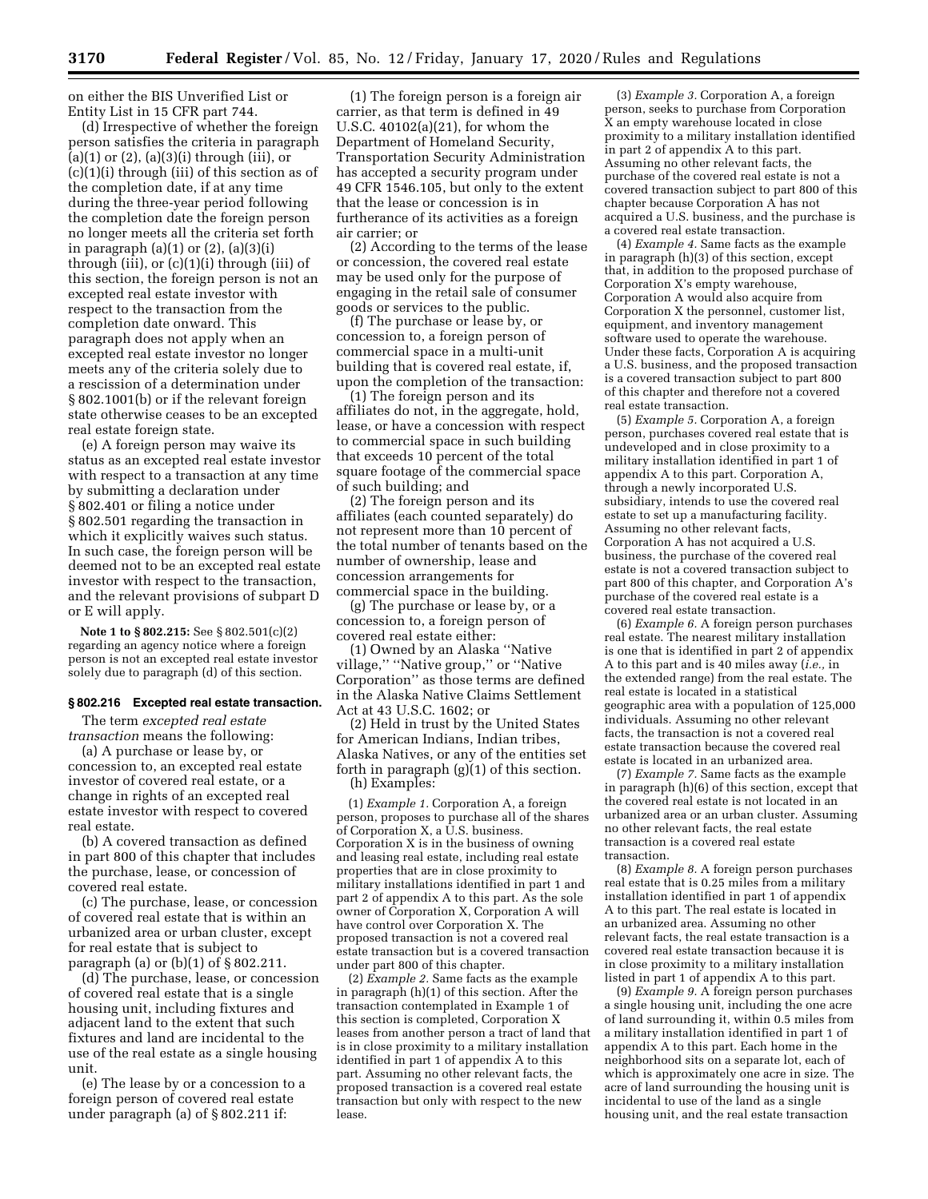on either the BIS Unverified List or Entity List in 15 CFR part 744.

(d) Irrespective of whether the foreign person satisfies the criteria in paragraph  $(a)(1)$  or  $(2)$ ,  $(a)(3)(i)$  through  $(iii)$ , or (c)(1)(i) through (iii) of this section as of the completion date, if at any time during the three-year period following the completion date the foreign person no longer meets all the criteria set forth in paragraph (a)(1) or (2), (a)(3)(i) through (iii), or (c)(1)(i) through (iii) of this section, the foreign person is not an excepted real estate investor with respect to the transaction from the completion date onward. This paragraph does not apply when an excepted real estate investor no longer meets any of the criteria solely due to a rescission of a determination under § 802.1001(b) or if the relevant foreign state otherwise ceases to be an excepted real estate foreign state.

(e) A foreign person may waive its status as an excepted real estate investor with respect to a transaction at any time by submitting a declaration under § 802.401 or filing a notice under § 802.501 regarding the transaction in which it explicitly waives such status. In such case, the foreign person will be deemed not to be an excepted real estate investor with respect to the transaction, and the relevant provisions of subpart D or E will apply.

**Note 1 to § 802.215:** See § 802.501(c)(2) regarding an agency notice where a foreign person is not an excepted real estate investor solely due to paragraph (d) of this section.

#### **§ 802.216 Excepted real estate transaction.**

The term *excepted real estate transaction* means the following:

(a) A purchase or lease by, or concession to, an excepted real estate investor of covered real estate, or a change in rights of an excepted real estate investor with respect to covered real estate.

(b) A covered transaction as defined in part 800 of this chapter that includes the purchase, lease, or concession of covered real estate.

(c) The purchase, lease, or concession of covered real estate that is within an urbanized area or urban cluster, except for real estate that is subject to paragraph (a) or  $(b)(1)$  of  $\S 802.211$ .

(d) The purchase, lease, or concession of covered real estate that is a single housing unit, including fixtures and adjacent land to the extent that such fixtures and land are incidental to the use of the real estate as a single housing unit.

(e) The lease by or a concession to a foreign person of covered real estate under paragraph (a) of § 802.211 if:

(1) The foreign person is a foreign air carrier, as that term is defined in 49 U.S.C. 40102(a)(21), for whom the Department of Homeland Security, Transportation Security Administration has accepted a security program under 49 CFR 1546.105, but only to the extent that the lease or concession is in furtherance of its activities as a foreign air carrier; or

(2) According to the terms of the lease or concession, the covered real estate may be used only for the purpose of engaging in the retail sale of consumer goods or services to the public.

(f) The purchase or lease by, or concession to, a foreign person of commercial space in a multi-unit building that is covered real estate, if, upon the completion of the transaction:

(1) The foreign person and its affiliates do not, in the aggregate, hold, lease, or have a concession with respect to commercial space in such building that exceeds 10 percent of the total square footage of the commercial space of such building; and

(2) The foreign person and its affiliates (each counted separately) do not represent more than 10 percent of the total number of tenants based on the number of ownership, lease and concession arrangements for commercial space in the building.

(g) The purchase or lease by, or a concession to, a foreign person of covered real estate either:

(1) Owned by an Alaska ''Native village,'' ''Native group,'' or ''Native Corporation'' as those terms are defined in the Alaska Native Claims Settlement Act at 43 U.S.C. 1602; or

(2) Held in trust by the United States for American Indians, Indian tribes, Alaska Natives, or any of the entities set forth in paragraph (g)(1) of this section. (h) Examples:

(1) *Example 1.* Corporation A, a foreign person, proposes to purchase all of the shares of Corporation X, a U.S. business. Corporation X is in the business of owning and leasing real estate, including real estate properties that are in close proximity to military installations identified in part 1 and part 2 of appendix A to this part. As the sole owner of Corporation X, Corporation A will have control over Corporation X. The proposed transaction is not a covered real estate transaction but is a covered transaction under part 800 of this chapter.

(2) *Example 2.* Same facts as the example in paragraph (h)(1) of this section. After the transaction contemplated in Example 1 of this section is completed, Corporation X leases from another person a tract of land that is in close proximity to a military installation identified in part 1 of appendix A to this part. Assuming no other relevant facts, the proposed transaction is a covered real estate transaction but only with respect to the new lease.

(3) *Example 3.* Corporation A, a foreign person, seeks to purchase from Corporation X an empty warehouse located in close proximity to a military installation identified in part 2 of appendix A to this part. Assuming no other relevant facts, the purchase of the covered real estate is not a covered transaction subject to part 800 of this chapter because Corporation A has not acquired a U.S. business, and the purchase is a covered real estate transaction.

(4) *Example 4.* Same facts as the example in paragraph (h)(3) of this section, except that, in addition to the proposed purchase of Corporation X's empty warehouse, Corporation A would also acquire from Corporation X the personnel, customer list, equipment, and inventory management software used to operate the warehouse. Under these facts, Corporation A is acquiring a U.S. business, and the proposed transaction is a covered transaction subject to part 800 of this chapter and therefore not a covered real estate transaction.

(5) *Example 5.* Corporation A, a foreign person, purchases covered real estate that is undeveloped and in close proximity to a military installation identified in part 1 of appendix A to this part. Corporation A, through a newly incorporated U.S. subsidiary, intends to use the covered real estate to set up a manufacturing facility. Assuming no other relevant facts, Corporation A has not acquired a U.S. business, the purchase of the covered real estate is not a covered transaction subject to part 800 of this chapter, and Corporation A's purchase of the covered real estate is a covered real estate transaction.

(6) *Example 6.* A foreign person purchases real estate. The nearest military installation is one that is identified in part 2 of appendix A to this part and is 40 miles away (*i.e.,* in the extended range) from the real estate. The real estate is located in a statistical geographic area with a population of 125,000 individuals. Assuming no other relevant facts, the transaction is not a covered real estate transaction because the covered real estate is located in an urbanized area.

(7) *Example 7.* Same facts as the example in paragraph (h)(6) of this section, except that the covered real estate is not located in an urbanized area or an urban cluster. Assuming no other relevant facts, the real estate transaction is a covered real estate transaction.

(8) *Example 8.* A foreign person purchases real estate that is 0.25 miles from a military installation identified in part 1 of appendix A to this part. The real estate is located in an urbanized area. Assuming no other relevant facts, the real estate transaction is a covered real estate transaction because it is in close proximity to a military installation listed in part 1 of appendix A to this part.

(9) *Example 9.* A foreign person purchases a single housing unit, including the one acre of land surrounding it, within 0.5 miles from a military installation identified in part 1 of appendix A to this part. Each home in the neighborhood sits on a separate lot, each of which is approximately one acre in size. The acre of land surrounding the housing unit is incidental to use of the land as a single housing unit, and the real estate transaction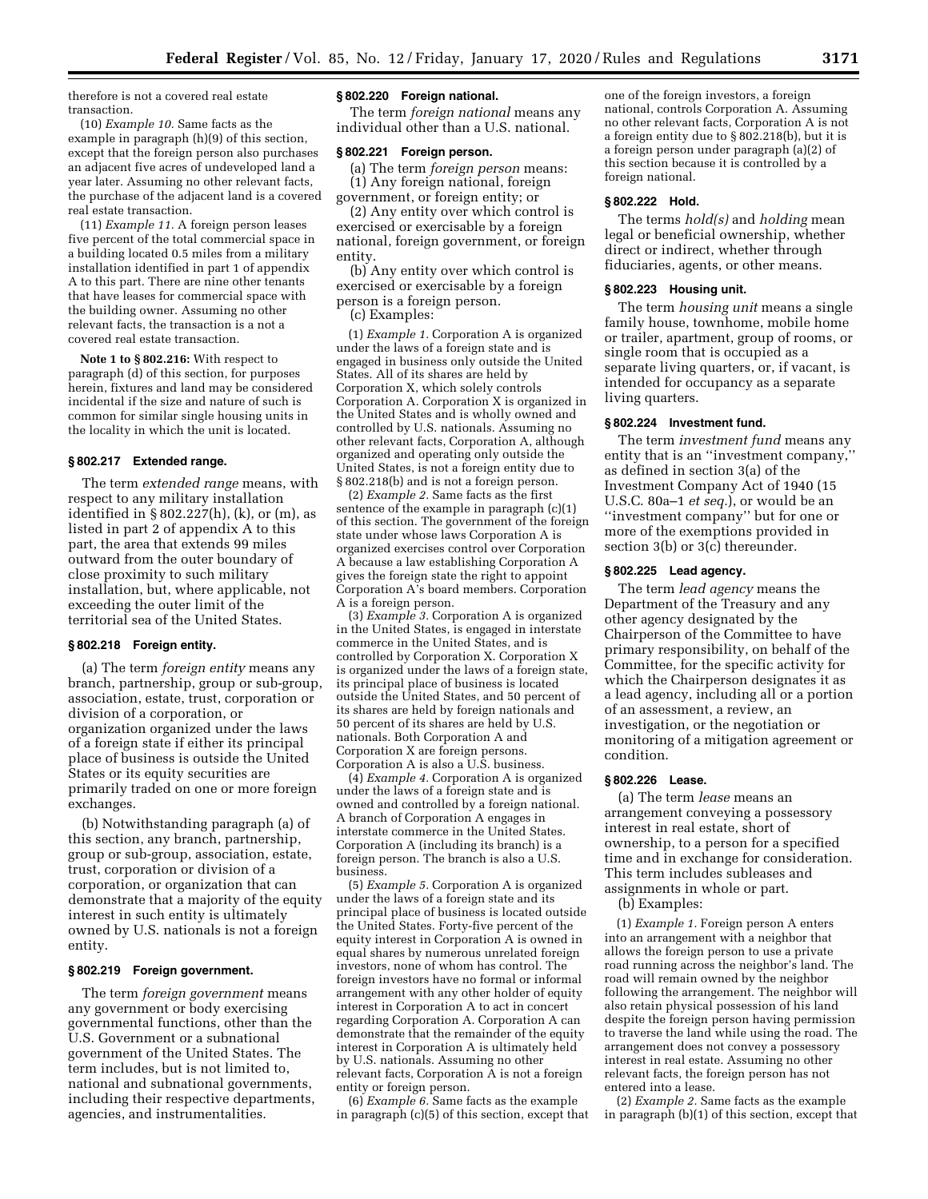therefore is not a covered real estate transaction.

(10) *Example 10.* Same facts as the example in paragraph (h)(9) of this section, except that the foreign person also purchases an adjacent five acres of undeveloped land a year later. Assuming no other relevant facts, the purchase of the adjacent land is a covered real estate transaction.

(11) *Example 11.* A foreign person leases five percent of the total commercial space in a building located 0.5 miles from a military installation identified in part 1 of appendix A to this part. There are nine other tenants that have leases for commercial space with the building owner. Assuming no other relevant facts, the transaction is a not a covered real estate transaction.

**Note 1 to § 802.216:** With respect to paragraph (d) of this section, for purposes herein, fixtures and land may be considered incidental if the size and nature of such is common for similar single housing units in the locality in which the unit is located.

# **§ 802.217 Extended range.**

The term *extended range* means, with respect to any military installation identified in  $\S 802.227(h)$ , (k), or (m), as listed in part 2 of appendix A to this part, the area that extends 99 miles outward from the outer boundary of close proximity to such military installation, but, where applicable, not exceeding the outer limit of the territorial sea of the United States.

#### **§ 802.218 Foreign entity.**

(a) The term *foreign entity* means any branch, partnership, group or sub-group, association, estate, trust, corporation or division of a corporation, or organization organized under the laws of a foreign state if either its principal place of business is outside the United States or its equity securities are primarily traded on one or more foreign exchanges.

(b) Notwithstanding paragraph (a) of this section, any branch, partnership, group or sub-group, association, estate, trust, corporation or division of a corporation, or organization that can demonstrate that a majority of the equity interest in such entity is ultimately owned by U.S. nationals is not a foreign entity.

#### **§ 802.219 Foreign government.**

The term *foreign government* means any government or body exercising governmental functions, other than the U.S. Government or a subnational government of the United States. The term includes, but is not limited to, national and subnational governments, including their respective departments, agencies, and instrumentalities.

# **§ 802.220 Foreign national.**

The term *foreign national* means any individual other than a U.S. national.

#### **§ 802.221 Foreign person.**

(a) The term *foreign person* means: (1) Any foreign national, foreign government, or foreign entity; or

(2) Any entity over which control is exercised or exercisable by a foreign national, foreign government, or foreign entity.

(b) Any entity over which control is exercised or exercisable by a foreign person is a foreign person.

(c) Examples:

(1) *Example 1.* Corporation A is organized under the laws of a foreign state and is engaged in business only outside the United States. All of its shares are held by Corporation X, which solely controls Corporation A. Corporation X is organized in the United States and is wholly owned and controlled by U.S. nationals. Assuming no other relevant facts, Corporation A, although organized and operating only outside the United States, is not a foreign entity due to § 802.218(b) and is not a foreign person.

(2) *Example 2.* Same facts as the first sentence of the example in paragraph (c)(1) of this section. The government of the foreign state under whose laws Corporation A is organized exercises control over Corporation A because a law establishing Corporation A gives the foreign state the right to appoint Corporation A's board members. Corporation A is a foreign person.

(3) *Example 3.* Corporation A is organized in the United States, is engaged in interstate commerce in the United States, and is controlled by Corporation X. Corporation X is organized under the laws of a foreign state, its principal place of business is located outside the United States, and 50 percent of its shares are held by foreign nationals and 50 percent of its shares are held by U.S. nationals. Both Corporation A and Corporation X are foreign persons. Corporation A is also a U.S. business.

(4) *Example 4.* Corporation A is organized under the laws of a foreign state and is owned and controlled by a foreign national. A branch of Corporation A engages in interstate commerce in the United States. Corporation A (including its branch) is a foreign person. The branch is also a U.S. business.

(5) *Example 5.* Corporation A is organized under the laws of a foreign state and its principal place of business is located outside the United States. Forty-five percent of the equity interest in Corporation A is owned in equal shares by numerous unrelated foreign investors, none of whom has control. The foreign investors have no formal or informal arrangement with any other holder of equity interest in Corporation A to act in concert regarding Corporation A. Corporation A can demonstrate that the remainder of the equity interest in Corporation A is ultimately held by U.S. nationals. Assuming no other relevant facts, Corporation A is not a foreign entity or foreign person.

(6) *Example 6.* Same facts as the example in paragraph (c)(5) of this section, except that one of the foreign investors, a foreign national, controls Corporation A. Assuming no other relevant facts, Corporation A is not a foreign entity due to § 802.218(b), but it is a foreign person under paragraph (a)(2) of this section because it is controlled by a foreign national.

### **§ 802.222 Hold.**

The terms *hold(s)* and *holding* mean legal or beneficial ownership, whether direct or indirect, whether through fiduciaries, agents, or other means.

# **§ 802.223 Housing unit.**

The term *housing unit* means a single family house, townhome, mobile home or trailer, apartment, group of rooms, or single room that is occupied as a separate living quarters, or, if vacant, is intended for occupancy as a separate living quarters.

# **§ 802.224 Investment fund.**

The term *investment fund* means any entity that is an ''investment company,'' as defined in section 3(a) of the Investment Company Act of 1940 (15 U.S.C. 80a–1 *et seq.*), or would be an ''investment company'' but for one or more of the exemptions provided in section 3(b) or 3(c) thereunder.

# **§ 802.225 Lead agency.**

The term *lead agency* means the Department of the Treasury and any other agency designated by the Chairperson of the Committee to have primary responsibility, on behalf of the Committee, for the specific activity for which the Chairperson designates it as a lead agency, including all or a portion of an assessment, a review, an investigation, or the negotiation or monitoring of a mitigation agreement or condition.

# **§ 802.226 Lease.**

(a) The term *lease* means an arrangement conveying a possessory interest in real estate, short of ownership, to a person for a specified time and in exchange for consideration. This term includes subleases and assignments in whole or part.

(b) Examples:

(1) *Example 1.* Foreign person A enters into an arrangement with a neighbor that allows the foreign person to use a private road running across the neighbor's land. The road will remain owned by the neighbor following the arrangement. The neighbor will also retain physical possession of his land despite the foreign person having permission to traverse the land while using the road. The arrangement does not convey a possessory interest in real estate. Assuming no other relevant facts, the foreign person has not entered into a lease.

(2) *Example 2.* Same facts as the example in paragraph  $(b)(1)$  of this section, except that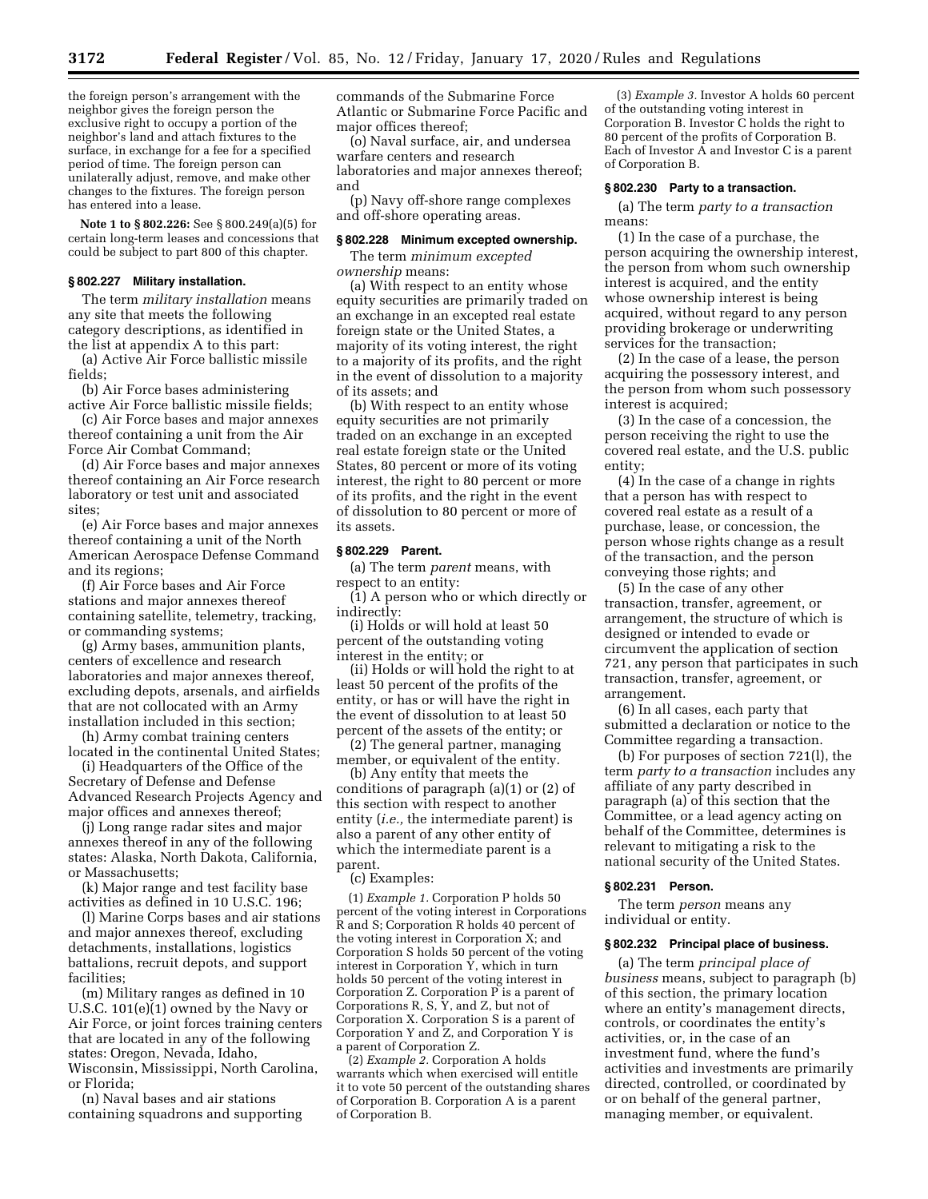the foreign person's arrangement with the neighbor gives the foreign person the exclusive right to occupy a portion of the neighbor's land and attach fixtures to the surface, in exchange for a fee for a specified period of time. The foreign person can unilaterally adjust, remove, and make other changes to the fixtures. The foreign person has entered into a lease.

**Note 1 to § 802.226:** See § 800.249(a)(5) for certain long-term leases and concessions that could be subject to part 800 of this chapter.

### **§ 802.227 Military installation.**

The term *military installation* means any site that meets the following category descriptions, as identified in the list at appendix A to this part:

(a) Active Air Force ballistic missile fields;

(b) Air Force bases administering active Air Force ballistic missile fields;

(c) Air Force bases and major annexes thereof containing a unit from the Air Force Air Combat Command;

(d) Air Force bases and major annexes thereof containing an Air Force research laboratory or test unit and associated sites;

(e) Air Force bases and major annexes thereof containing a unit of the North American Aerospace Defense Command and its regions;

(f) Air Force bases and Air Force stations and major annexes thereof containing satellite, telemetry, tracking, or commanding systems;

(g) Army bases, ammunition plants, centers of excellence and research laboratories and major annexes thereof, excluding depots, arsenals, and airfields that are not collocated with an Army installation included in this section;

(h) Army combat training centers located in the continental United States;

(i) Headquarters of the Office of the Secretary of Defense and Defense Advanced Research Projects Agency and major offices and annexes thereof;

(j) Long range radar sites and major annexes thereof in any of the following states: Alaska, North Dakota, California, or Massachusetts;

(k) Major range and test facility base activities as defined in 10 U.S.C. 196;

(l) Marine Corps bases and air stations and major annexes thereof, excluding detachments, installations, logistics battalions, recruit depots, and support facilities;

(m) Military ranges as defined in 10 U.S.C. 101(e)(1) owned by the Navy or Air Force, or joint forces training centers that are located in any of the following states: Oregon, Nevada, Idaho, Wisconsin, Mississippi, North Carolina, or Florida;

(n) Naval bases and air stations containing squadrons and supporting commands of the Submarine Force Atlantic or Submarine Force Pacific and major offices thereof;

(o) Naval surface, air, and undersea warfare centers and research laboratories and major annexes thereof; and

(p) Navy off-shore range complexes and off-shore operating areas.

# **§ 802.228 Minimum excepted ownership.**

The term *minimum excepted ownership* means:

(a) With respect to an entity whose equity securities are primarily traded on an exchange in an excepted real estate foreign state or the United States, a majority of its voting interest, the right to a majority of its profits, and the right in the event of dissolution to a majority of its assets; and

(b) With respect to an entity whose equity securities are not primarily traded on an exchange in an excepted real estate foreign state or the United States, 80 percent or more of its voting interest, the right to 80 percent or more of its profits, and the right in the event of dissolution to 80 percent or more of its assets.

# **§ 802.229 Parent.**

(a) The term *parent* means, with respect to an entity:

(1) A person who or which directly or indirectly:

(i) Holds or will hold at least 50 percent of the outstanding voting interest in the entity; or

(ii) Holds or will hold the right to at least 50 percent of the profits of the entity, or has or will have the right in the event of dissolution to at least 50 percent of the assets of the entity; or

(2) The general partner, managing member, or equivalent of the entity.

(b) Any entity that meets the conditions of paragraph (a)(1) or (2) of this section with respect to another entity (*i.e.,* the intermediate parent) is also a parent of any other entity of which the intermediate parent is a parent.

(c) Examples:

(1) *Example 1.* Corporation P holds 50 percent of the voting interest in Corporations R and S; Corporation R holds 40 percent of the voting interest in Corporation X; and Corporation S holds 50 percent of the voting interest in Corporation Y, which in turn holds 50 percent of the voting interest in Corporation Z. Corporation P is a parent of Corporations  $R$ ,  $S$ ,  $Y$ , and  $Z$ , but not of Corporation X. Corporation S is a parent of Corporation Y and Z, and Corporation Y is a parent of Corporation Z.

(2) *Example 2.* Corporation A holds warrants which when exercised will entitle it to vote 50 percent of the outstanding shares of Corporation B. Corporation A is a parent of Corporation B.

(3) *Example 3.* Investor A holds 60 percent of the outstanding voting interest in Corporation B. Investor C holds the right to 80 percent of the profits of Corporation B. Each of Investor A and Investor C is a parent of Corporation B.

### **§ 802.230 Party to a transaction.**

(a) The term *party to a transaction*  means:

(1) In the case of a purchase, the person acquiring the ownership interest, the person from whom such ownership interest is acquired, and the entity whose ownership interest is being acquired, without regard to any person providing brokerage or underwriting services for the transaction;

(2) In the case of a lease, the person acquiring the possessory interest, and the person from whom such possessory interest is acquired;

(3) In the case of a concession, the person receiving the right to use the covered real estate, and the U.S. public entity;

(4) In the case of a change in rights that a person has with respect to covered real estate as a result of a purchase, lease, or concession, the person whose rights change as a result of the transaction, and the person conveying those rights; and

(5) In the case of any other transaction, transfer, agreement, or arrangement, the structure of which is designed or intended to evade or circumvent the application of section 721, any person that participates in such transaction, transfer, agreement, or arrangement.

(6) In all cases, each party that submitted a declaration or notice to the Committee regarding a transaction.

(b) For purposes of section 721(l), the term *party to a transaction* includes any affiliate of any party described in paragraph (a) of this section that the Committee, or a lead agency acting on behalf of the Committee, determines is relevant to mitigating a risk to the national security of the United States.

#### **§ 802.231 Person.**

The term *person* means any individual or entity.

#### **§ 802.232 Principal place of business.**

(a) The term *principal place of business* means, subject to paragraph (b) of this section, the primary location where an entity's management directs, controls, or coordinates the entity's activities, or, in the case of an investment fund, where the fund's activities and investments are primarily directed, controlled, or coordinated by or on behalf of the general partner, managing member, or equivalent.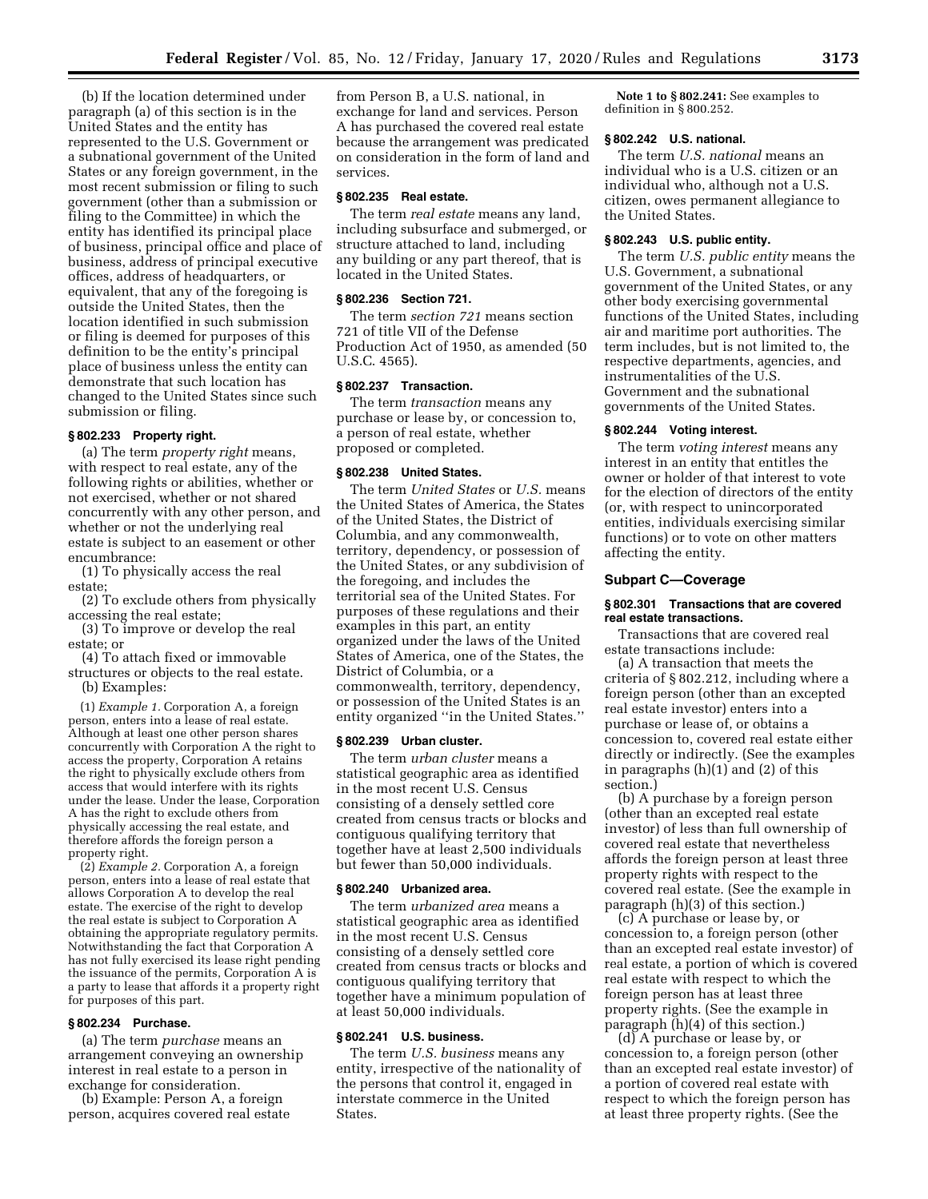(b) If the location determined under paragraph (a) of this section is in the United States and the entity has represented to the U.S. Government or a subnational government of the United States or any foreign government, in the most recent submission or filing to such government (other than a submission or filing to the Committee) in which the entity has identified its principal place of business, principal office and place of business, address of principal executive offices, address of headquarters, or equivalent, that any of the foregoing is outside the United States, then the location identified in such submission or filing is deemed for purposes of this definition to be the entity's principal place of business unless the entity can demonstrate that such location has changed to the United States since such submission or filing.

# **§ 802.233 Property right.**

(a) The term *property right* means, with respect to real estate, any of the following rights or abilities, whether or not exercised, whether or not shared concurrently with any other person, and whether or not the underlying real estate is subject to an easement or other encumbrance:

(1) To physically access the real estate;

(2) To exclude others from physically accessing the real estate;

(3) To improve or develop the real estate; or

(4) To attach fixed or immovable structures or objects to the real estate. (b) Examples:

(1) *Example 1.* Corporation A, a foreign person, enters into a lease of real estate. Although at least one other person shares concurrently with Corporation A the right to access the property, Corporation A retains the right to physically exclude others from access that would interfere with its rights under the lease. Under the lease, Corporation A has the right to exclude others from physically accessing the real estate, and therefore affords the foreign person a property right.

(2) *Example 2.* Corporation A, a foreign person, enters into a lease of real estate that allows Corporation A to develop the real estate. The exercise of the right to develop the real estate is subject to Corporation A obtaining the appropriate regulatory permits. Notwithstanding the fact that Corporation A has not fully exercised its lease right pending the issuance of the permits, Corporation A is a party to lease that affords it a property right for purposes of this part.

# **§ 802.234 Purchase.**

(a) The term *purchase* means an arrangement conveying an ownership interest in real estate to a person in exchange for consideration.

(b) Example: Person A, a foreign person, acquires covered real estate

from Person B, a U.S. national, in exchange for land and services. Person A has purchased the covered real estate because the arrangement was predicated on consideration in the form of land and services.

# **§ 802.235 Real estate.**

The term *real estate* means any land, including subsurface and submerged, or structure attached to land, including any building or any part thereof, that is located in the United States.

### **§ 802.236 Section 721.**

The term *section 721* means section 721 of title VII of the Defense Production Act of 1950, as amended (50 U.S.C. 4565).

### **§ 802.237 Transaction.**

The term *transaction* means any purchase or lease by, or concession to, a person of real estate, whether proposed or completed.

# **§ 802.238 United States.**

The term *United States* or *U.S.* means the United States of America, the States of the United States, the District of Columbia, and any commonwealth, territory, dependency, or possession of the United States, or any subdivision of the foregoing, and includes the territorial sea of the United States. For purposes of these regulations and their examples in this part, an entity organized under the laws of the United States of America, one of the States, the District of Columbia, or a commonwealth, territory, dependency, or possession of the United States is an entity organized ''in the United States.''

### **§ 802.239 Urban cluster.**

The term *urban cluster* means a statistical geographic area as identified in the most recent U.S. Census consisting of a densely settled core created from census tracts or blocks and contiguous qualifying territory that together have at least 2,500 individuals but fewer than 50,000 individuals.

### **§ 802.240 Urbanized area.**

The term *urbanized area* means a statistical geographic area as identified in the most recent U.S. Census consisting of a densely settled core created from census tracts or blocks and contiguous qualifying territory that together have a minimum population of at least 50,000 individuals.

#### **§ 802.241 U.S. business.**

The term *U.S. business* means any entity, irrespective of the nationality of the persons that control it, engaged in interstate commerce in the United States.

**Note 1 to § 802.241:** See examples to definition in § 800.252.

### **§ 802.242 U.S. national.**

The term *U.S. national* means an individual who is a U.S. citizen or an individual who, although not a U.S. citizen, owes permanent allegiance to the United States.

# **§ 802.243 U.S. public entity.**

The term *U.S. public entity* means the U.S. Government, a subnational government of the United States, or any other body exercising governmental functions of the United States, including air and maritime port authorities. The term includes, but is not limited to, the respective departments, agencies, and instrumentalities of the U.S. Government and the subnational governments of the United States.

### **§ 802.244 Voting interest.**

The term *voting interest* means any interest in an entity that entitles the owner or holder of that interest to vote for the election of directors of the entity (or, with respect to unincorporated entities, individuals exercising similar functions) or to vote on other matters affecting the entity.

# **Subpart C—Coverage**

# **§ 802.301 Transactions that are covered real estate transactions.**

Transactions that are covered real estate transactions include:

(a) A transaction that meets the criteria of § 802.212, including where a foreign person (other than an excepted real estate investor) enters into a purchase or lease of, or obtains a concession to, covered real estate either directly or indirectly. (See the examples in paragraphs (h)(1) and (2) of this section.)

(b) A purchase by a foreign person (other than an excepted real estate investor) of less than full ownership of covered real estate that nevertheless affords the foreign person at least three property rights with respect to the covered real estate. (See the example in paragraph (h)(3) of this section.)

(c) A purchase or lease by, or concession to, a foreign person (other than an excepted real estate investor) of real estate, a portion of which is covered real estate with respect to which the foreign person has at least three property rights. (See the example in paragraph (h)(4) of this section.)

(d) A purchase or lease by, or concession to, a foreign person (other than an excepted real estate investor) of a portion of covered real estate with respect to which the foreign person has at least three property rights. (See the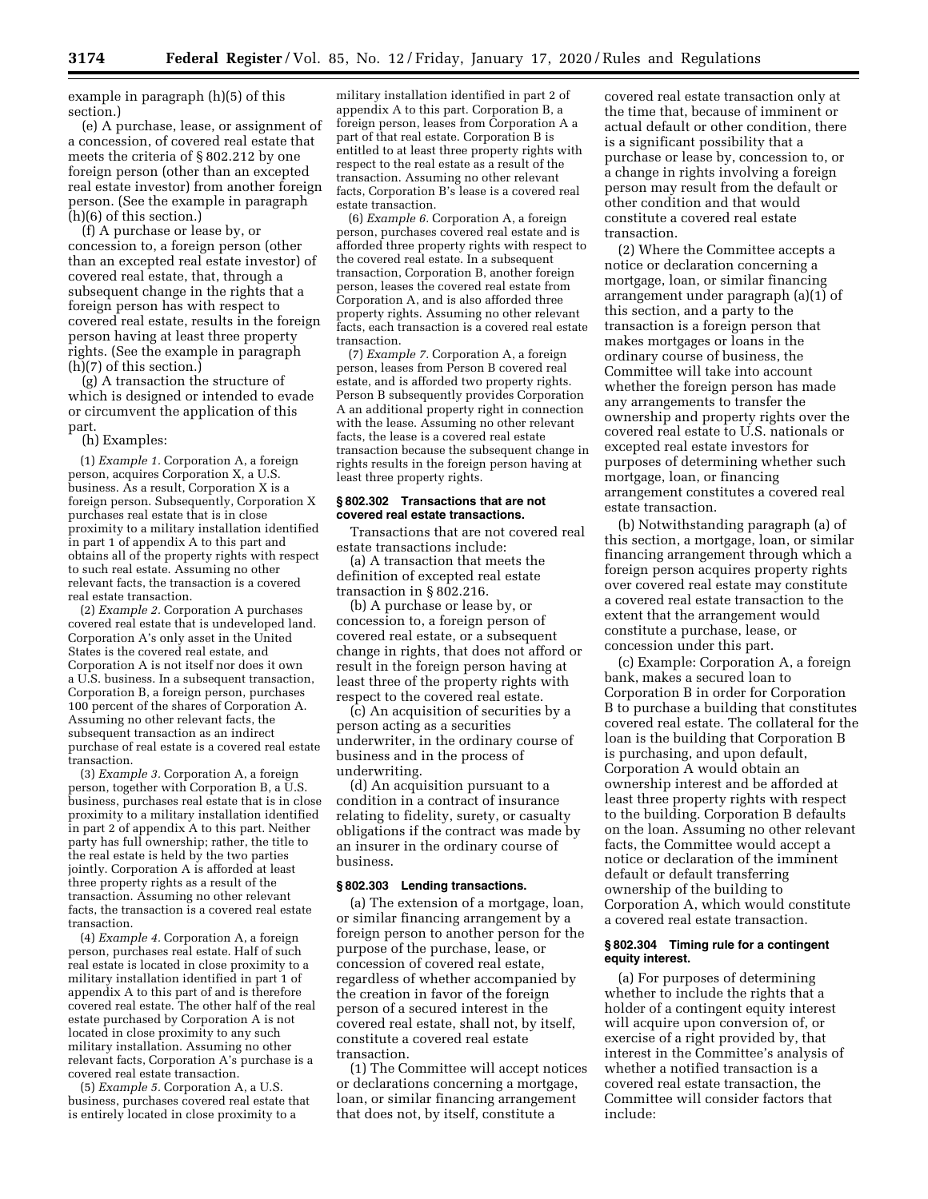example in paragraph (h)(5) of this section.)

(e) A purchase, lease, or assignment of a concession, of covered real estate that meets the criteria of § 802.212 by one foreign person (other than an excepted real estate investor) from another foreign person. (See the example in paragraph (h)(6) of this section.)

(f) A purchase or lease by, or concession to, a foreign person (other than an excepted real estate investor) of covered real estate, that, through a subsequent change in the rights that a foreign person has with respect to covered real estate, results in the foreign person having at least three property rights. (See the example in paragraph (h)(7) of this section.)

(g) A transaction the structure of which is designed or intended to evade or circumvent the application of this part.

# (h) Examples:

(1) *Example 1.* Corporation A, a foreign person, acquires Corporation X, a U.S. business. As a result, Corporation X is a foreign person. Subsequently, Corporation X purchases real estate that is in close proximity to a military installation identified in part 1 of appendix A to this part and obtains all of the property rights with respect to such real estate. Assuming no other relevant facts, the transaction is a covered real estate transaction.

(2) *Example 2.* Corporation A purchases covered real estate that is undeveloped land. Corporation A's only asset in the United States is the covered real estate, and Corporation A is not itself nor does it own a U.S. business. In a subsequent transaction, Corporation B, a foreign person, purchases 100 percent of the shares of Corporation A. Assuming no other relevant facts, the subsequent transaction as an indirect purchase of real estate is a covered real estate transaction.

(3) *Example 3.* Corporation A, a foreign person, together with Corporation B, a U.S. business, purchases real estate that is in close proximity to a military installation identified in part 2 of appendix A to this part. Neither party has full ownership; rather, the title to the real estate is held by the two parties jointly. Corporation A is afforded at least three property rights as a result of the transaction. Assuming no other relevant facts, the transaction is a covered real estate transaction.

(4) *Example 4.* Corporation A, a foreign person, purchases real estate. Half of such real estate is located in close proximity to a military installation identified in part 1 of appendix A to this part of and is therefore covered real estate. The other half of the real estate purchased by Corporation A is not located in close proximity to any such military installation. Assuming no other relevant facts, Corporation A's purchase is a covered real estate transaction.

(5) *Example 5.* Corporation A, a U.S. business, purchases covered real estate that is entirely located in close proximity to a

military installation identified in part 2 of appendix A to this part. Corporation B, a foreign person, leases from Corporation A a part of that real estate. Corporation B is entitled to at least three property rights with respect to the real estate as a result of the transaction. Assuming no other relevant facts, Corporation B's lease is a covered real estate transaction.

(6) *Example 6.* Corporation A, a foreign person, purchases covered real estate and is afforded three property rights with respect to the covered real estate. In a subsequent transaction, Corporation B, another foreign person, leases the covered real estate from Corporation A, and is also afforded three property rights. Assuming no other relevant facts, each transaction is a covered real estate transaction.

(7) *Example 7.* Corporation A, a foreign person, leases from Person B covered real estate, and is afforded two property rights. Person B subsequently provides Corporation A an additional property right in connection with the lease. Assuming no other relevant facts, the lease is a covered real estate transaction because the subsequent change in rights results in the foreign person having at least three property rights.

### **§ 802.302 Transactions that are not covered real estate transactions.**

Transactions that are not covered real estate transactions include:

(a) A transaction that meets the definition of excepted real estate transaction in § 802.216.

(b) A purchase or lease by, or concession to, a foreign person of covered real estate, or a subsequent change in rights, that does not afford or result in the foreign person having at least three of the property rights with respect to the covered real estate.

(c) An acquisition of securities by a person acting as a securities underwriter, in the ordinary course of business and in the process of underwriting.

(d) An acquisition pursuant to a condition in a contract of insurance relating to fidelity, surety, or casualty obligations if the contract was made by an insurer in the ordinary course of business.

#### **§ 802.303 Lending transactions.**

(a) The extension of a mortgage, loan, or similar financing arrangement by a foreign person to another person for the purpose of the purchase, lease, or concession of covered real estate, regardless of whether accompanied by the creation in favor of the foreign person of a secured interest in the covered real estate, shall not, by itself, constitute a covered real estate transaction.

(1) The Committee will accept notices or declarations concerning a mortgage, loan, or similar financing arrangement that does not, by itself, constitute a

covered real estate transaction only at the time that, because of imminent or actual default or other condition, there is a significant possibility that a purchase or lease by, concession to, or a change in rights involving a foreign person may result from the default or other condition and that would constitute a covered real estate transaction.

(2) Where the Committee accepts a notice or declaration concerning a mortgage, loan, or similar financing arrangement under paragraph (a)(1) of this section, and a party to the transaction is a foreign person that makes mortgages or loans in the ordinary course of business, the Committee will take into account whether the foreign person has made any arrangements to transfer the ownership and property rights over the covered real estate to U.S. nationals or excepted real estate investors for purposes of determining whether such mortgage, loan, or financing arrangement constitutes a covered real estate transaction.

(b) Notwithstanding paragraph (a) of this section, a mortgage, loan, or similar financing arrangement through which a foreign person acquires property rights over covered real estate may constitute a covered real estate transaction to the extent that the arrangement would constitute a purchase, lease, or concession under this part.

(c) Example: Corporation A, a foreign bank, makes a secured loan to Corporation B in order for Corporation B to purchase a building that constitutes covered real estate. The collateral for the loan is the building that Corporation B is purchasing, and upon default, Corporation A would obtain an ownership interest and be afforded at least three property rights with respect to the building. Corporation B defaults on the loan. Assuming no other relevant facts, the Committee would accept a notice or declaration of the imminent default or default transferring ownership of the building to Corporation A, which would constitute a covered real estate transaction.

# **§ 802.304 Timing rule for a contingent equity interest.**

(a) For purposes of determining whether to include the rights that a holder of a contingent equity interest will acquire upon conversion of, or exercise of a right provided by, that interest in the Committee's analysis of whether a notified transaction is a covered real estate transaction, the Committee will consider factors that include: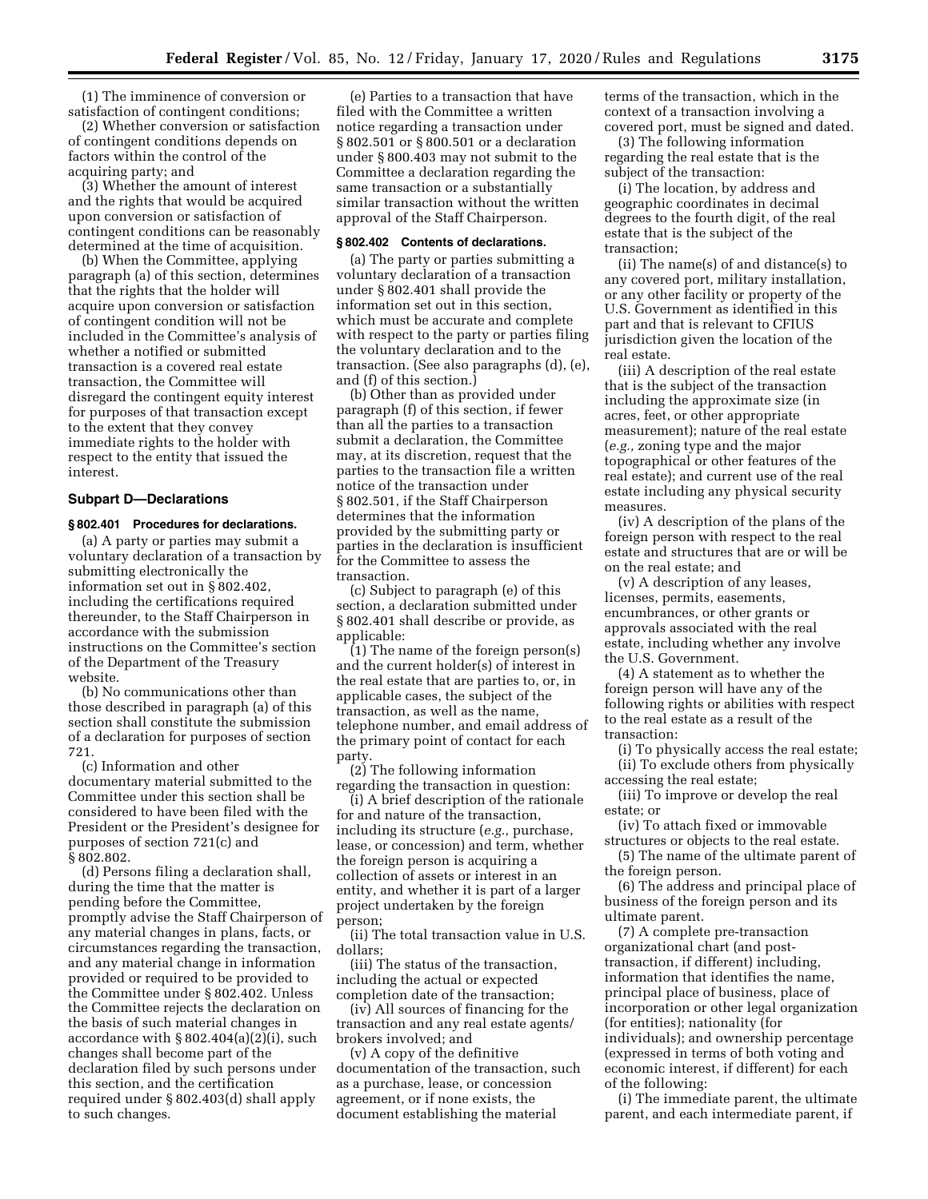(1) The imminence of conversion or satisfaction of contingent conditions;

(2) Whether conversion or satisfaction of contingent conditions depends on factors within the control of the acquiring party; and

(3) Whether the amount of interest and the rights that would be acquired upon conversion or satisfaction of contingent conditions can be reasonably determined at the time of acquisition.

(b) When the Committee, applying paragraph (a) of this section, determines that the rights that the holder will acquire upon conversion or satisfaction of contingent condition will not be included in the Committee's analysis of whether a notified or submitted transaction is a covered real estate transaction, the Committee will disregard the contingent equity interest for purposes of that transaction except to the extent that they convey immediate rights to the holder with respect to the entity that issued the interest.

# **Subpart D—Declarations**

# **§ 802.401 Procedures for declarations.**

(a) A party or parties may submit a voluntary declaration of a transaction by submitting electronically the information set out in § 802.402, including the certifications required thereunder, to the Staff Chairperson in accordance with the submission instructions on the Committee's section of the Department of the Treasury website.

(b) No communications other than those described in paragraph (a) of this section shall constitute the submission of a declaration for purposes of section 721.

(c) Information and other documentary material submitted to the Committee under this section shall be considered to have been filed with the President or the President's designee for purposes of section 721(c) and § 802.802.

(d) Persons filing a declaration shall, during the time that the matter is pending before the Committee, promptly advise the Staff Chairperson of any material changes in plans, facts, or circumstances regarding the transaction, and any material change in information provided or required to be provided to the Committee under § 802.402. Unless the Committee rejects the declaration on the basis of such material changes in accordance with  $\S 802.404(a)(2)(i)$ , such changes shall become part of the declaration filed by such persons under this section, and the certification required under § 802.403(d) shall apply to such changes.

(e) Parties to a transaction that have filed with the Committee a written notice regarding a transaction under § 802.501 or § 800.501 or a declaration under § 800.403 may not submit to the Committee a declaration regarding the same transaction or a substantially similar transaction without the written approval of the Staff Chairperson.

### **§ 802.402 Contents of declarations.**

(a) The party or parties submitting a voluntary declaration of a transaction under § 802.401 shall provide the information set out in this section, which must be accurate and complete with respect to the party or parties filing the voluntary declaration and to the transaction. (See also paragraphs (d), (e), and (f) of this section.)

(b) Other than as provided under paragraph (f) of this section, if fewer than all the parties to a transaction submit a declaration, the Committee may, at its discretion, request that the parties to the transaction file a written notice of the transaction under § 802.501, if the Staff Chairperson determines that the information provided by the submitting party or parties in the declaration is insufficient for the Committee to assess the transaction.

(c) Subject to paragraph (e) of this section, a declaration submitted under § 802.401 shall describe or provide, as applicable:

(1) The name of the foreign person(s) and the current holder(s) of interest in the real estate that are parties to, or, in applicable cases, the subject of the transaction, as well as the name, telephone number, and email address of the primary point of contact for each party.

(2) The following information regarding the transaction in question:

(i) A brief description of the rationale for and nature of the transaction, including its structure (*e.g.,* purchase, lease, or concession) and term, whether the foreign person is acquiring a collection of assets or interest in an entity, and whether it is part of a larger project undertaken by the foreign person;

(ii) The total transaction value in U.S. dollars;

(iii) The status of the transaction, including the actual or expected completion date of the transaction;

(iv) All sources of financing for the transaction and any real estate agents/ brokers involved; and

(v) A copy of the definitive documentation of the transaction, such as a purchase, lease, or concession agreement, or if none exists, the document establishing the material

terms of the transaction, which in the context of a transaction involving a covered port, must be signed and dated.

(3) The following information regarding the real estate that is the subject of the transaction:

(i) The location, by address and geographic coordinates in decimal degrees to the fourth digit, of the real estate that is the subject of the transaction;

(ii) The name(s) of and distance(s) to any covered port, military installation, or any other facility or property of the U.S. Government as identified in this part and that is relevant to CFIUS jurisdiction given the location of the real estate.

(iii) A description of the real estate that is the subject of the transaction including the approximate size (in acres, feet, or other appropriate measurement); nature of the real estate (*e.g.,* zoning type and the major topographical or other features of the real estate); and current use of the real estate including any physical security measures.

(iv) A description of the plans of the foreign person with respect to the real estate and structures that are or will be on the real estate; and

(v) A description of any leases, licenses, permits, easements, encumbrances, or other grants or approvals associated with the real estate, including whether any involve the U.S. Government.

(4) A statement as to whether the foreign person will have any of the following rights or abilities with respect to the real estate as a result of the transaction:

(i) To physically access the real estate; (ii) To exclude others from physically accessing the real estate;

(iii) To improve or develop the real estate; or

(iv) To attach fixed or immovable structures or objects to the real estate.

(5) The name of the ultimate parent of the foreign person.

(6) The address and principal place of business of the foreign person and its ultimate parent.

(7) A complete pre-transaction organizational chart (and posttransaction, if different) including, information that identifies the name, principal place of business, place of incorporation or other legal organization (for entities); nationality (for individuals); and ownership percentage (expressed in terms of both voting and economic interest, if different) for each of the following:

(i) The immediate parent, the ultimate parent, and each intermediate parent, if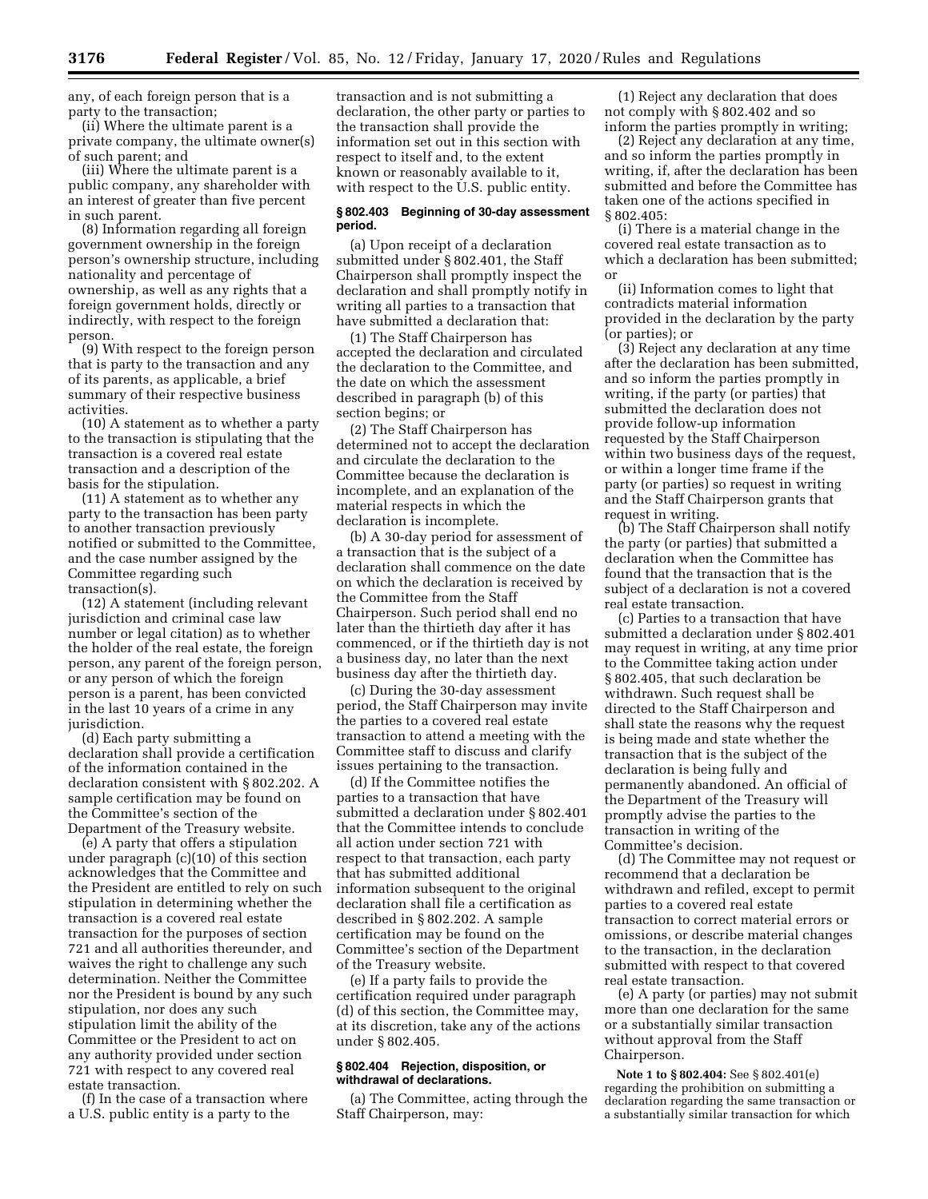any, of each foreign person that is a party to the transaction;

(ii) Where the ultimate parent is a private company, the ultimate owner(s) of such parent; and

(iii) Where the ultimate parent is a public company, any shareholder with an interest of greater than five percent in such parent.

(8) Information regarding all foreign government ownership in the foreign person's ownership structure, including nationality and percentage of ownership, as well as any rights that a foreign government holds, directly or indirectly, with respect to the foreign person.

(9) With respect to the foreign person that is party to the transaction and any of its parents, as applicable, a brief summary of their respective business activities.

(10) A statement as to whether a party to the transaction is stipulating that the transaction is a covered real estate transaction and a description of the basis for the stipulation.

(11) A statement as to whether any party to the transaction has been party to another transaction previously notified or submitted to the Committee, and the case number assigned by the Committee regarding such transaction(s).

(12) A statement (including relevant jurisdiction and criminal case law number or legal citation) as to whether the holder of the real estate, the foreign person, any parent of the foreign person, or any person of which the foreign person is a parent, has been convicted in the last 10 years of a crime in any jurisdiction.

(d) Each party submitting a declaration shall provide a certification of the information contained in the declaration consistent with § 802.202. A sample certification may be found on the Committee's section of the Department of the Treasury website.

(e) A party that offers a stipulation under paragraph (c)(10) of this section acknowledges that the Committee and the President are entitled to rely on such stipulation in determining whether the transaction is a covered real estate transaction for the purposes of section 721 and all authorities thereunder, and waives the right to challenge any such determination. Neither the Committee nor the President is bound by any such stipulation, nor does any such stipulation limit the ability of the Committee or the President to act on any authority provided under section 721 with respect to any covered real estate transaction.

(f) In the case of a transaction where a U.S. public entity is a party to the

transaction and is not submitting a declaration, the other party or parties to the transaction shall provide the information set out in this section with respect to itself and, to the extent known or reasonably available to it, with respect to the U.S. public entity.

# **§ 802.403 Beginning of 30-day assessment period.**

(a) Upon receipt of a declaration submitted under § 802.401, the Staff Chairperson shall promptly inspect the declaration and shall promptly notify in writing all parties to a transaction that have submitted a declaration that:

(1) The Staff Chairperson has accepted the declaration and circulated the declaration to the Committee, and the date on which the assessment described in paragraph (b) of this section begins; or

(2) The Staff Chairperson has determined not to accept the declaration and circulate the declaration to the Committee because the declaration is incomplete, and an explanation of the material respects in which the declaration is incomplete.

(b) A 30-day period for assessment of a transaction that is the subject of a declaration shall commence on the date on which the declaration is received by the Committee from the Staff Chairperson. Such period shall end no later than the thirtieth day after it has commenced, or if the thirtieth day is not a business day, no later than the next business day after the thirtieth day.

(c) During the 30-day assessment period, the Staff Chairperson may invite the parties to a covered real estate transaction to attend a meeting with the Committee staff to discuss and clarify issues pertaining to the transaction.

(d) If the Committee notifies the parties to a transaction that have submitted a declaration under § 802.401 that the Committee intends to conclude all action under section 721 with respect to that transaction, each party that has submitted additional information subsequent to the original declaration shall file a certification as described in § 802.202. A sample certification may be found on the Committee's section of the Department of the Treasury website.

(e) If a party fails to provide the certification required under paragraph (d) of this section, the Committee may, at its discretion, take any of the actions under § 802.405.

### **§ 802.404 Rejection, disposition, or withdrawal of declarations.**

(a) The Committee, acting through the Staff Chairperson, may:

(1) Reject any declaration that does not comply with § 802.402 and so inform the parties promptly in writing;

(2) Reject any declaration at any time, and so inform the parties promptly in writing, if, after the declaration has been submitted and before the Committee has taken one of the actions specified in § 802.405:

(i) There is a material change in the covered real estate transaction as to which a declaration has been submitted; or

(ii) Information comes to light that contradicts material information provided in the declaration by the party (or parties); or

(3) Reject any declaration at any time after the declaration has been submitted, and so inform the parties promptly in writing, if the party (or parties) that submitted the declaration does not provide follow-up information requested by the Staff Chairperson within two business days of the request, or within a longer time frame if the party (or parties) so request in writing and the Staff Chairperson grants that request in writing.

(b) The Staff Chairperson shall notify the party (or parties) that submitted a declaration when the Committee has found that the transaction that is the subject of a declaration is not a covered real estate transaction.

(c) Parties to a transaction that have submitted a declaration under § 802.401 may request in writing, at any time prior to the Committee taking action under § 802.405, that such declaration be withdrawn. Such request shall be directed to the Staff Chairperson and shall state the reasons why the request is being made and state whether the transaction that is the subject of the declaration is being fully and permanently abandoned. An official of the Department of the Treasury will promptly advise the parties to the transaction in writing of the Committee's decision.

(d) The Committee may not request or recommend that a declaration be withdrawn and refiled, except to permit parties to a covered real estate transaction to correct material errors or omissions, or describe material changes to the transaction, in the declaration submitted with respect to that covered real estate transaction.

(e) A party (or parties) may not submit more than one declaration for the same or a substantially similar transaction without approval from the Staff Chairperson.

**Note 1 to § 802.404:** See § 802.401(e) regarding the prohibition on submitting a declaration regarding the same transaction or a substantially similar transaction for which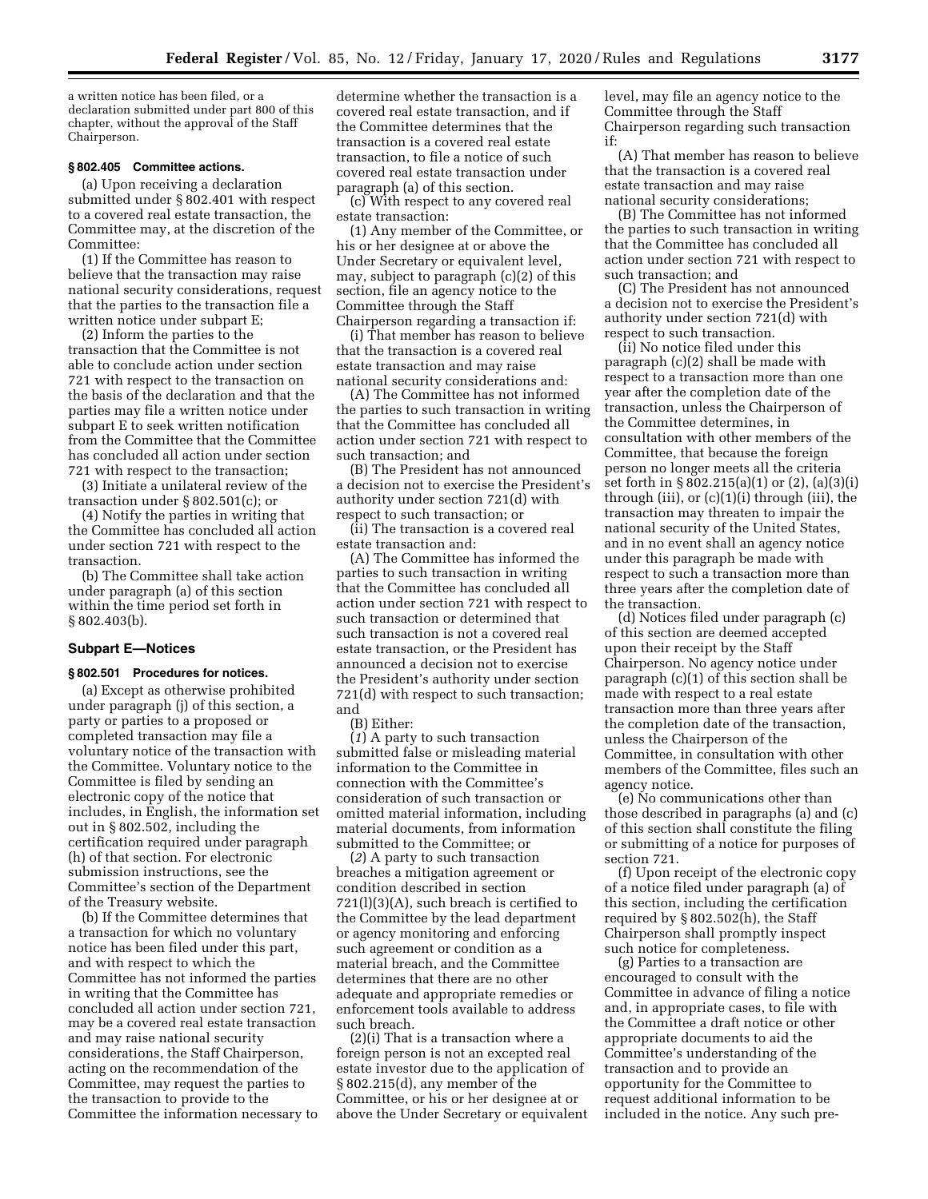a written notice has been filed, or a declaration submitted under part 800 of this chapter, without the approval of the Staff Chairperson.

### **§ 802.405 Committee actions.**

(a) Upon receiving a declaration submitted under § 802.401 with respect to a covered real estate transaction, the Committee may, at the discretion of the Committee:

(1) If the Committee has reason to believe that the transaction may raise national security considerations, request that the parties to the transaction file a written notice under subpart E;

(2) Inform the parties to the transaction that the Committee is not able to conclude action under section 721 with respect to the transaction on the basis of the declaration and that the parties may file a written notice under subpart E to seek written notification from the Committee that the Committee has concluded all action under section 721 with respect to the transaction;

(3) Initiate a unilateral review of the transaction under § 802.501(c); or

(4) Notify the parties in writing that the Committee has concluded all action under section 721 with respect to the transaction.

(b) The Committee shall take action under paragraph (a) of this section within the time period set forth in § 802.403(b).

# **Subpart E—Notices**

### **§ 802.501 Procedures for notices.**

(a) Except as otherwise prohibited under paragraph (j) of this section, a party or parties to a proposed or completed transaction may file a voluntary notice of the transaction with the Committee. Voluntary notice to the Committee is filed by sending an electronic copy of the notice that includes, in English, the information set out in § 802.502, including the certification required under paragraph (h) of that section. For electronic submission instructions, see the Committee's section of the Department of the Treasury website.

(b) If the Committee determines that a transaction for which no voluntary notice has been filed under this part, and with respect to which the Committee has not informed the parties in writing that the Committee has concluded all action under section 721, may be a covered real estate transaction and may raise national security considerations, the Staff Chairperson, acting on the recommendation of the Committee, may request the parties to the transaction to provide to the Committee the information necessary to determine whether the transaction is a covered real estate transaction, and if the Committee determines that the transaction is a covered real estate transaction, to file a notice of such covered real estate transaction under paragraph (a) of this section.

(c) With respect to any covered real estate transaction:

(1) Any member of the Committee, or his or her designee at or above the Under Secretary or equivalent level, may, subject to paragraph (c)(2) of this section, file an agency notice to the Committee through the Staff Chairperson regarding a transaction if:

(i) That member has reason to believe that the transaction is a covered real estate transaction and may raise national security considerations and:

(A) The Committee has not informed the parties to such transaction in writing that the Committee has concluded all action under section 721 with respect to such transaction; and

(B) The President has not announced a decision not to exercise the President's authority under section 721(d) with respect to such transaction; or

(ii) The transaction is a covered real estate transaction and:

(A) The Committee has informed the parties to such transaction in writing that the Committee has concluded all action under section 721 with respect to such transaction or determined that such transaction is not a covered real estate transaction, or the President has announced a decision not to exercise the President's authority under section 721(d) with respect to such transaction; and

(B) Either:

(*1*) A party to such transaction submitted false or misleading material information to the Committee in connection with the Committee's consideration of such transaction or omitted material information, including material documents, from information submitted to the Committee; or

(*2*) A party to such transaction breaches a mitigation agreement or condition described in section 721(l)(3)(A), such breach is certified to the Committee by the lead department or agency monitoring and enforcing such agreement or condition as a material breach, and the Committee determines that there are no other adequate and appropriate remedies or enforcement tools available to address such breach.

(2)(i) That is a transaction where a foreign person is not an excepted real estate investor due to the application of § 802.215(d), any member of the Committee, or his or her designee at or above the Under Secretary or equivalent level, may file an agency notice to the Committee through the Staff Chairperson regarding such transaction if:

(A) That member has reason to believe that the transaction is a covered real estate transaction and may raise national security considerations;

(B) The Committee has not informed the parties to such transaction in writing that the Committee has concluded all action under section 721 with respect to such transaction; and

(C) The President has not announced a decision not to exercise the President's authority under section 721(d) with respect to such transaction.

(ii) No notice filed under this paragraph (c)(2) shall be made with respect to a transaction more than one year after the completion date of the transaction, unless the Chairperson of the Committee determines, in consultation with other members of the Committee, that because the foreign person no longer meets all the criteria set forth in § 802.215(a)(1) or (2), (a)(3)(i) through (iii), or (c)(1)(i) through (iii), the transaction may threaten to impair the national security of the United States, and in no event shall an agency notice under this paragraph be made with respect to such a transaction more than three years after the completion date of the transaction.

(d) Notices filed under paragraph (c) of this section are deemed accepted upon their receipt by the Staff Chairperson. No agency notice under paragraph (c)(1) of this section shall be made with respect to a real estate transaction more than three years after the completion date of the transaction, unless the Chairperson of the Committee, in consultation with other members of the Committee, files such an agency notice.

(e) No communications other than those described in paragraphs (a) and (c) of this section shall constitute the filing or submitting of a notice for purposes of section 721.

(f) Upon receipt of the electronic copy of a notice filed under paragraph (a) of this section, including the certification required by § 802.502(h), the Staff Chairperson shall promptly inspect such notice for completeness.

(g) Parties to a transaction are encouraged to consult with the Committee in advance of filing a notice and, in appropriate cases, to file with the Committee a draft notice or other appropriate documents to aid the Committee's understanding of the transaction and to provide an opportunity for the Committee to request additional information to be included in the notice. Any such pre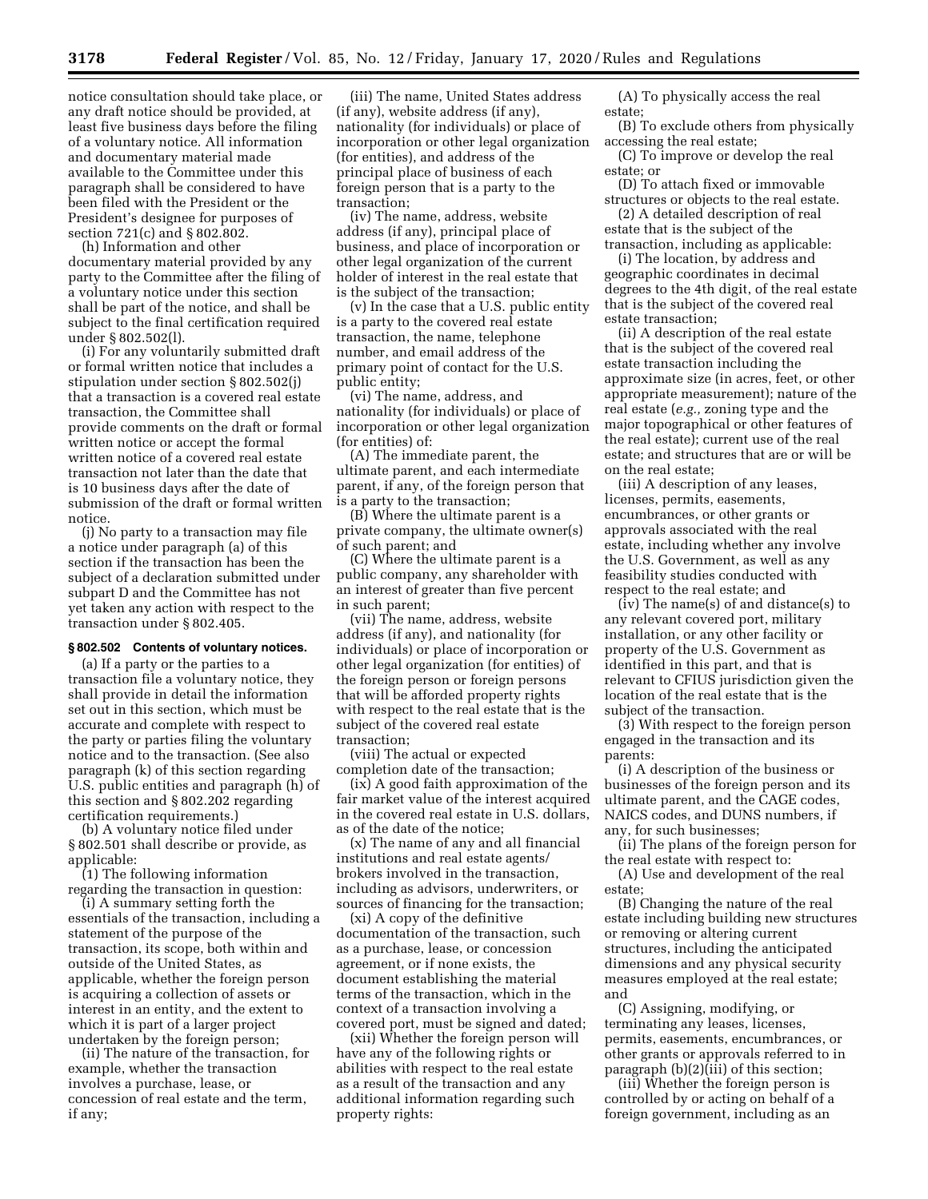notice consultation should take place, or any draft notice should be provided, at least five business days before the filing of a voluntary notice. All information and documentary material made available to the Committee under this paragraph shall be considered to have been filed with the President or the President's designee for purposes of section 721(c) and § 802.802.

(h) Information and other documentary material provided by any party to the Committee after the filing of a voluntary notice under this section shall be part of the notice, and shall be subject to the final certification required under § 802.502(l).

(i) For any voluntarily submitted draft or formal written notice that includes a stipulation under section § 802.502(j) that a transaction is a covered real estate transaction, the Committee shall provide comments on the draft or formal written notice or accept the formal written notice of a covered real estate transaction not later than the date that is 10 business days after the date of submission of the draft or formal written notice.

(j) No party to a transaction may file a notice under paragraph (a) of this section if the transaction has been the subject of a declaration submitted under subpart D and the Committee has not yet taken any action with respect to the transaction under § 802.405.

### **§ 802.502 Contents of voluntary notices.**

(a) If a party or the parties to a transaction file a voluntary notice, they shall provide in detail the information set out in this section, which must be accurate and complete with respect to the party or parties filing the voluntary notice and to the transaction. (See also paragraph (k) of this section regarding U.S. public entities and paragraph (h) of this section and § 802.202 regarding certification requirements.)

(b) A voluntary notice filed under § 802.501 shall describe or provide, as applicable:

(1) The following information regarding the transaction in question:

(i) A summary setting forth the essentials of the transaction, including a statement of the purpose of the transaction, its scope, both within and outside of the United States, as applicable, whether the foreign person is acquiring a collection of assets or interest in an entity, and the extent to which it is part of a larger project undertaken by the foreign person;

(ii) The nature of the transaction, for example, whether the transaction involves a purchase, lease, or concession of real estate and the term, if any;

(iii) The name, United States address (if any), website address (if any), nationality (for individuals) or place of incorporation or other legal organization (for entities), and address of the principal place of business of each foreign person that is a party to the transaction;

(iv) The name, address, website address (if any), principal place of business, and place of incorporation or other legal organization of the current holder of interest in the real estate that is the subject of the transaction;

(v) In the case that a U.S. public entity is a party to the covered real estate transaction, the name, telephone number, and email address of the primary point of contact for the U.S. public entity;

(vi) The name, address, and nationality (for individuals) or place of incorporation or other legal organization (for entities) of:

(A) The immediate parent, the ultimate parent, and each intermediate parent, if any, of the foreign person that is a party to the transaction;

(B) Where the ultimate parent is a private company, the ultimate owner(s) of such parent; and

(C) Where the ultimate parent is a public company, any shareholder with an interest of greater than five percent in such parent;

(vii) The name, address, website address (if any), and nationality (for individuals) or place of incorporation or other legal organization (for entities) of the foreign person or foreign persons that will be afforded property rights with respect to the real estate that is the subject of the covered real estate transaction;

(viii) The actual or expected completion date of the transaction;

(ix) A good faith approximation of the fair market value of the interest acquired in the covered real estate in U.S. dollars, as of the date of the notice;

(x) The name of any and all financial institutions and real estate agents/ brokers involved in the transaction, including as advisors, underwriters, or sources of financing for the transaction;

(xi) A copy of the definitive documentation of the transaction, such as a purchase, lease, or concession agreement, or if none exists, the document establishing the material terms of the transaction, which in the context of a transaction involving a covered port, must be signed and dated;

(xii) Whether the foreign person will have any of the following rights or abilities with respect to the real estate as a result of the transaction and any additional information regarding such property rights:

(A) To physically access the real estate;

(B) To exclude others from physically accessing the real estate;

(C) To improve or develop the real estate; or

(D) To attach fixed or immovable structures or objects to the real estate.

(2) A detailed description of real estate that is the subject of the transaction, including as applicable:

(i) The location, by address and geographic coordinates in decimal degrees to the 4th digit, of the real estate that is the subject of the covered real estate transaction;

(ii) A description of the real estate that is the subject of the covered real estate transaction including the approximate size (in acres, feet, or other appropriate measurement); nature of the real estate (*e.g.,* zoning type and the major topographical or other features of the real estate); current use of the real estate; and structures that are or will be on the real estate;

(iii) A description of any leases, licenses, permits, easements, encumbrances, or other grants or approvals associated with the real estate, including whether any involve the U.S. Government, as well as any feasibility studies conducted with respect to the real estate; and

(iv) The name(s) of and distance(s) to any relevant covered port, military installation, or any other facility or property of the U.S. Government as identified in this part, and that is relevant to CFIUS jurisdiction given the location of the real estate that is the subject of the transaction.

(3) With respect to the foreign person engaged in the transaction and its parents:

(i) A description of the business or businesses of the foreign person and its ultimate parent, and the CAGE codes, NAICS codes, and DUNS numbers, if any, for such businesses;

(ii) The plans of the foreign person for the real estate with respect to:

(A) Use and development of the real estate;

(B) Changing the nature of the real estate including building new structures or removing or altering current structures, including the anticipated dimensions and any physical security measures employed at the real estate; and

(C) Assigning, modifying, or terminating any leases, licenses, permits, easements, encumbrances, or other grants or approvals referred to in paragraph (b)(2)(iii) of this section;

(iii) Whether the foreign person is controlled by or acting on behalf of a foreign government, including as an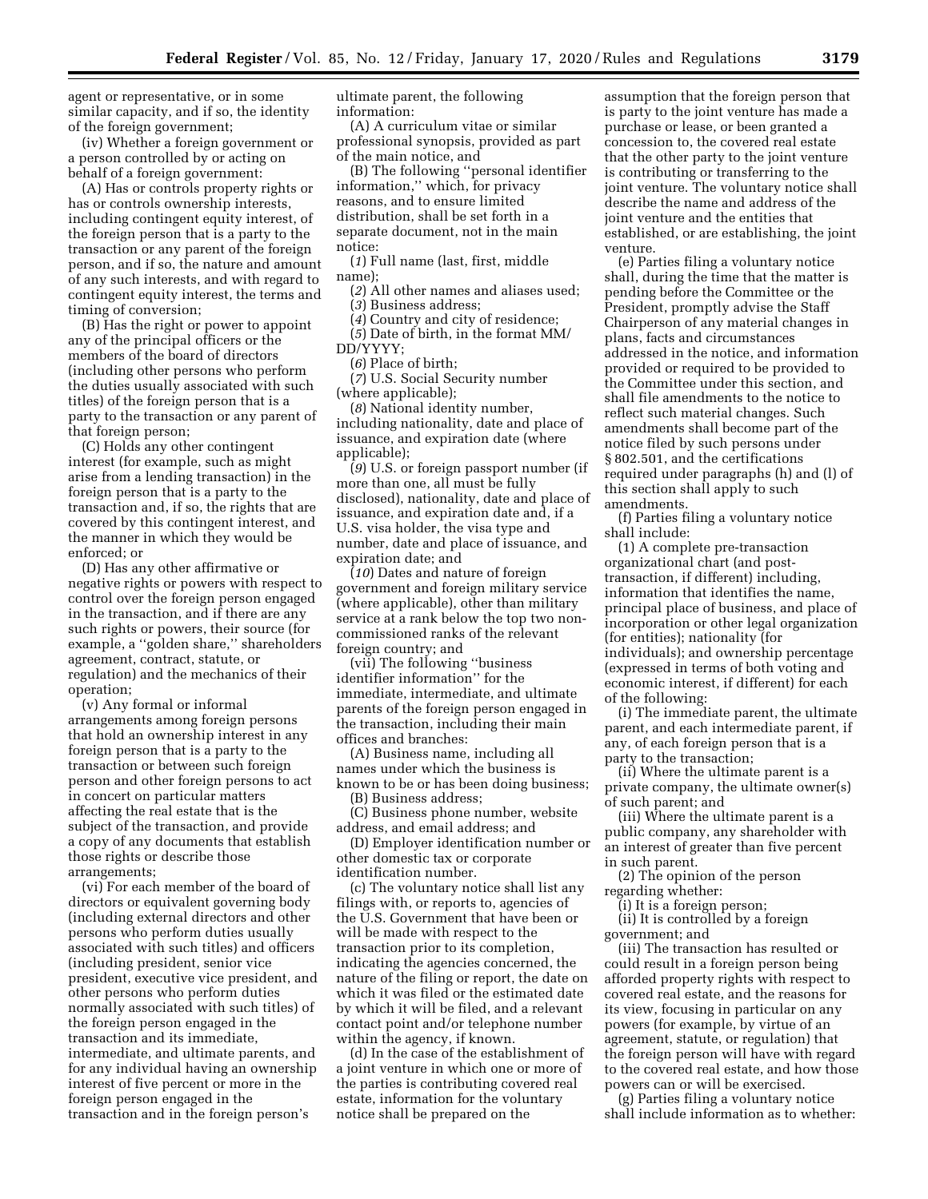agent or representative, or in some similar capacity, and if so, the identity of the foreign government;

(iv) Whether a foreign government or a person controlled by or acting on behalf of a foreign government:

(A) Has or controls property rights or has or controls ownership interests, including contingent equity interest, of the foreign person that is a party to the transaction or any parent of the foreign person, and if so, the nature and amount of any such interests, and with regard to contingent equity interest, the terms and timing of conversion;

(B) Has the right or power to appoint any of the principal officers or the members of the board of directors (including other persons who perform the duties usually associated with such titles) of the foreign person that is a party to the transaction or any parent of that foreign person;

(C) Holds any other contingent interest (for example, such as might arise from a lending transaction) in the foreign person that is a party to the transaction and, if so, the rights that are covered by this contingent interest, and the manner in which they would be enforced; or

(D) Has any other affirmative or negative rights or powers with respect to control over the foreign person engaged in the transaction, and if there are any such rights or powers, their source (for example, a ''golden share,'' shareholders agreement, contract, statute, or regulation) and the mechanics of their operation;

(v) Any formal or informal arrangements among foreign persons that hold an ownership interest in any foreign person that is a party to the transaction or between such foreign person and other foreign persons to act in concert on particular matters affecting the real estate that is the subject of the transaction, and provide a copy of any documents that establish those rights or describe those arrangements;

(vi) For each member of the board of directors or equivalent governing body (including external directors and other persons who perform duties usually associated with such titles) and officers (including president, senior vice president, executive vice president, and other persons who perform duties normally associated with such titles) of the foreign person engaged in the transaction and its immediate, intermediate, and ultimate parents, and for any individual having an ownership interest of five percent or more in the foreign person engaged in the transaction and in the foreign person's

ultimate parent, the following information:

(A) A curriculum vitae or similar professional synopsis, provided as part of the main notice, and

(B) The following ''personal identifier information,'' which, for privacy reasons, and to ensure limited distribution, shall be set forth in a separate document, not in the main notice:

(*1*) Full name (last, first, middle name);

(*2*) All other names and aliases used; (*3*) Business address;

(*4*) Country and city of residence;

(*5*) Date of birth, in the format MM/ DD/YYYY;

(*6*) Place of birth;

(*7*) U.S. Social Security number (where applicable);

(*8*) National identity number, including nationality, date and place of issuance, and expiration date (where applicable);

(*9*) U.S. or foreign passport number (if more than one, all must be fully disclosed), nationality, date and place of issuance, and expiration date and, if a U.S. visa holder, the visa type and number, date and place of issuance, and expiration date; and

(*10*) Dates and nature of foreign government and foreign military service (where applicable), other than military service at a rank below the top two noncommissioned ranks of the relevant foreign country; and

(vii) The following ''business identifier information'' for the immediate, intermediate, and ultimate parents of the foreign person engaged in the transaction, including their main offices and branches:

(A) Business name, including all names under which the business is known to be or has been doing business;

(B) Business address;

(C) Business phone number, website address, and email address; and

(D) Employer identification number or other domestic tax or corporate identification number.

(c) The voluntary notice shall list any filings with, or reports to, agencies of the U.S. Government that have been or will be made with respect to the transaction prior to its completion, indicating the agencies concerned, the nature of the filing or report, the date on which it was filed or the estimated date by which it will be filed, and a relevant contact point and/or telephone number within the agency, if known.

(d) In the case of the establishment of a joint venture in which one or more of the parties is contributing covered real estate, information for the voluntary notice shall be prepared on the

assumption that the foreign person that is party to the joint venture has made a purchase or lease, or been granted a concession to, the covered real estate that the other party to the joint venture is contributing or transferring to the joint venture. The voluntary notice shall describe the name and address of the joint venture and the entities that established, or are establishing, the joint venture.

(e) Parties filing a voluntary notice shall, during the time that the matter is pending before the Committee or the President, promptly advise the Staff Chairperson of any material changes in plans, facts and circumstances addressed in the notice, and information provided or required to be provided to the Committee under this section, and shall file amendments to the notice to reflect such material changes. Such amendments shall become part of the notice filed by such persons under § 802.501, and the certifications required under paragraphs (h) and (l) of this section shall apply to such amendments.

(f) Parties filing a voluntary notice shall include:

(1) A complete pre-transaction organizational chart (and posttransaction, if different) including, information that identifies the name, principal place of business, and place of incorporation or other legal organization (for entities); nationality (for individuals); and ownership percentage (expressed in terms of both voting and economic interest, if different) for each of the following:

(i) The immediate parent, the ultimate parent, and each intermediate parent, if any, of each foreign person that is a party to the transaction;

(ii) Where the ultimate parent is a private company, the ultimate owner(s) of such parent; and

(iii) Where the ultimate parent is a public company, any shareholder with an interest of greater than five percent in such parent.

(2) The opinion of the person regarding whether:

(i) It is a foreign person;

(ii) It is controlled by a foreign government; and

(iii) The transaction has resulted or could result in a foreign person being afforded property rights with respect to covered real estate, and the reasons for its view, focusing in particular on any powers (for example, by virtue of an agreement, statute, or regulation) that the foreign person will have with regard to the covered real estate, and how those powers can or will be exercised.

(g) Parties filing a voluntary notice shall include information as to whether: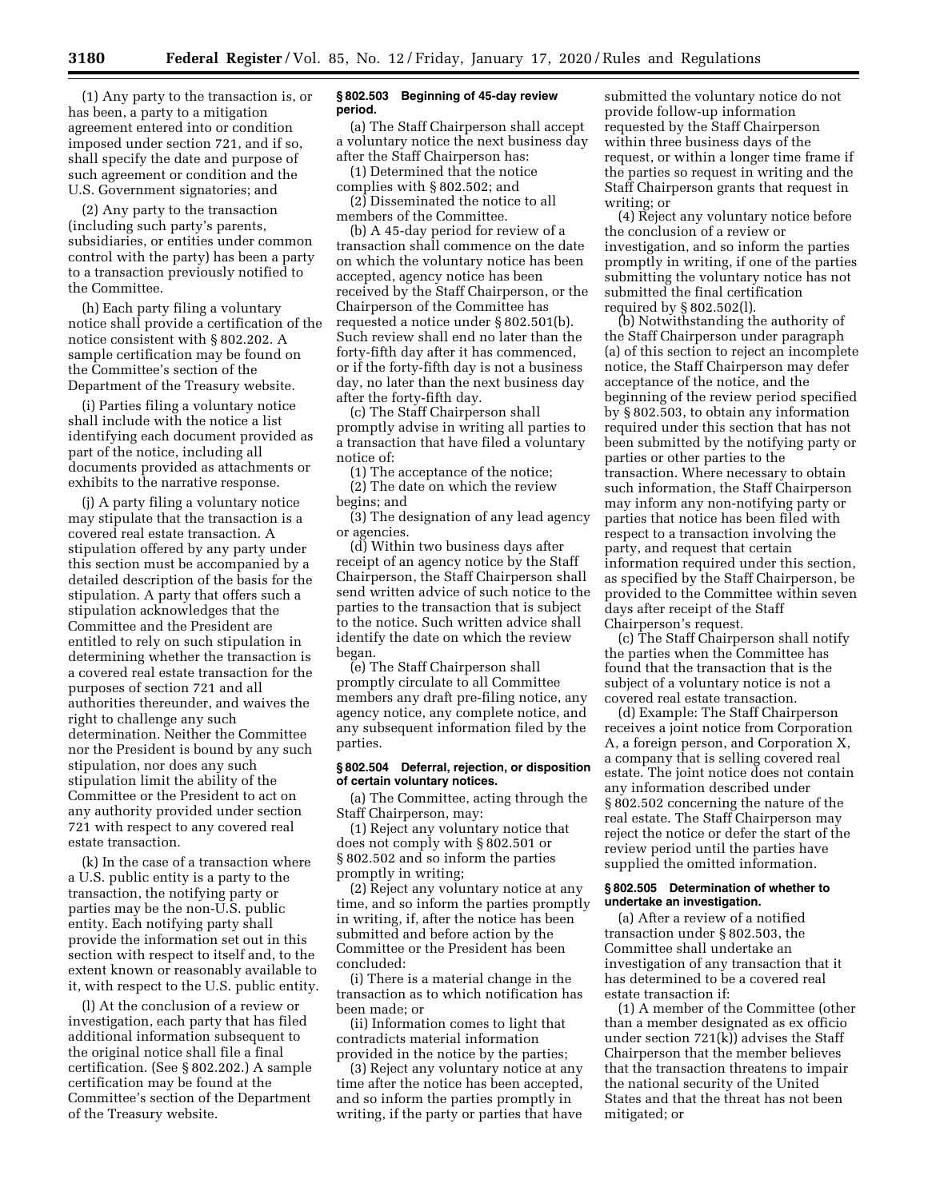(1) Any party to the transaction is, or has been, a party to a mitigation agreement entered into or condition imposed under section 721, and if so, shall specify the date and purpose of such agreement or condition and the U.S. Government signatories; and

(2) Any party to the transaction (including such party's parents, subsidiaries, or entities under common control with the party) has been a party to a transaction previously notified to the Committee.

(h) Each party filing a voluntary notice shall provide a certification of the notice consistent with § 802.202. A sample certification may be found on the Committee's section of the Department of the Treasury website.

(i) Parties filing a voluntary notice shall include with the notice a list identifying each document provided as part of the notice, including all documents provided as attachments or exhibits to the narrative response.

(j) A party filing a voluntary notice may stipulate that the transaction is a covered real estate transaction. A stipulation offered by any party under this section must be accompanied by a detailed description of the basis for the stipulation. A party that offers such a stipulation acknowledges that the Committee and the President are entitled to rely on such stipulation in determining whether the transaction is a covered real estate transaction for the purposes of section 721 and all authorities thereunder, and waives the right to challenge any such determination. Neither the Committee nor the President is bound by any such stipulation, nor does any such stipulation limit the ability of the Committee or the President to act on any authority provided under section 721 with respect to any covered real estate transaction.

(k) In the case of a transaction where a U.S. public entity is a party to the transaction, the notifying party or parties may be the non-U.S. public entity. Each notifying party shall provide the information set out in this section with respect to itself and, to the extent known or reasonably available to it, with respect to the U.S. public entity.

(l) At the conclusion of a review or investigation, each party that has filed additional information subsequent to the original notice shall file a final certification. (See § 802.202.) A sample certification may be found at the Committee's section of the Department of the Treasury website.

### **§ 802.503 Beginning of 45-day review period.**

(a) The Staff Chairperson shall accept a voluntary notice the next business day after the Staff Chairperson has:

(1) Determined that the notice complies with § 802.502; and

(2) Disseminated the notice to all members of the Committee.

(b) A 45-day period for review of a transaction shall commence on the date on which the voluntary notice has been accepted, agency notice has been received by the Staff Chairperson, or the Chairperson of the Committee has requested a notice under § 802.501(b). Such review shall end no later than the forty-fifth day after it has commenced, or if the forty-fifth day is not a business day, no later than the next business day after the forty-fifth day.

(c) The Staff Chairperson shall promptly advise in writing all parties to a transaction that have filed a voluntary notice of:

(1) The acceptance of the notice;

(2) The date on which the review begins; and

(3) The designation of any lead agency or agencies.

(d) Within two business days after receipt of an agency notice by the Staff Chairperson, the Staff Chairperson shall send written advice of such notice to the parties to the transaction that is subject to the notice. Such written advice shall identify the date on which the review began.

(e) The Staff Chairperson shall promptly circulate to all Committee members any draft pre-filing notice, any agency notice, any complete notice, and any subsequent information filed by the parties.

### **§ 802.504 Deferral, rejection, or disposition of certain voluntary notices.**

(a) The Committee, acting through the Staff Chairperson, may:

(1) Reject any voluntary notice that does not comply with § 802.501 or § 802.502 and so inform the parties promptly in writing;

(2) Reject any voluntary notice at any time, and so inform the parties promptly in writing, if, after the notice has been submitted and before action by the Committee or the President has been concluded:

(i) There is a material change in the transaction as to which notification has been made; or

(ii) Information comes to light that contradicts material information provided in the notice by the parties;

(3) Reject any voluntary notice at any time after the notice has been accepted, and so inform the parties promptly in writing, if the party or parties that have

submitted the voluntary notice do not provide follow-up information requested by the Staff Chairperson within three business days of the request, or within a longer time frame if the parties so request in writing and the Staff Chairperson grants that request in writing; or

(4) Reject any voluntary notice before the conclusion of a review or investigation, and so inform the parties promptly in writing, if one of the parties submitting the voluntary notice has not submitted the final certification required by § 802.502(l).

(b) Notwithstanding the authority of the Staff Chairperson under paragraph (a) of this section to reject an incomplete notice, the Staff Chairperson may defer acceptance of the notice, and the beginning of the review period specified by § 802.503, to obtain any information required under this section that has not been submitted by the notifying party or parties or other parties to the transaction. Where necessary to obtain such information, the Staff Chairperson may inform any non-notifying party or parties that notice has been filed with respect to a transaction involving the party, and request that certain information required under this section, as specified by the Staff Chairperson, be provided to the Committee within seven days after receipt of the Staff Chairperson's request.

(c) The Staff Chairperson shall notify the parties when the Committee has found that the transaction that is the subject of a voluntary notice is not a covered real estate transaction.

(d) Example: The Staff Chairperson receives a joint notice from Corporation A, a foreign person, and Corporation X, a company that is selling covered real estate. The joint notice does not contain any information described under § 802.502 concerning the nature of the real estate. The Staff Chairperson may reject the notice or defer the start of the review period until the parties have supplied the omitted information.

# **§ 802.505 Determination of whether to undertake an investigation.**

(a) After a review of a notified transaction under § 802.503, the Committee shall undertake an investigation of any transaction that it has determined to be a covered real estate transaction if:

(1) A member of the Committee (other than a member designated as ex officio under section  $721(k)$  advises the Staff Chairperson that the member believes that the transaction threatens to impair the national security of the United States and that the threat has not been mitigated; or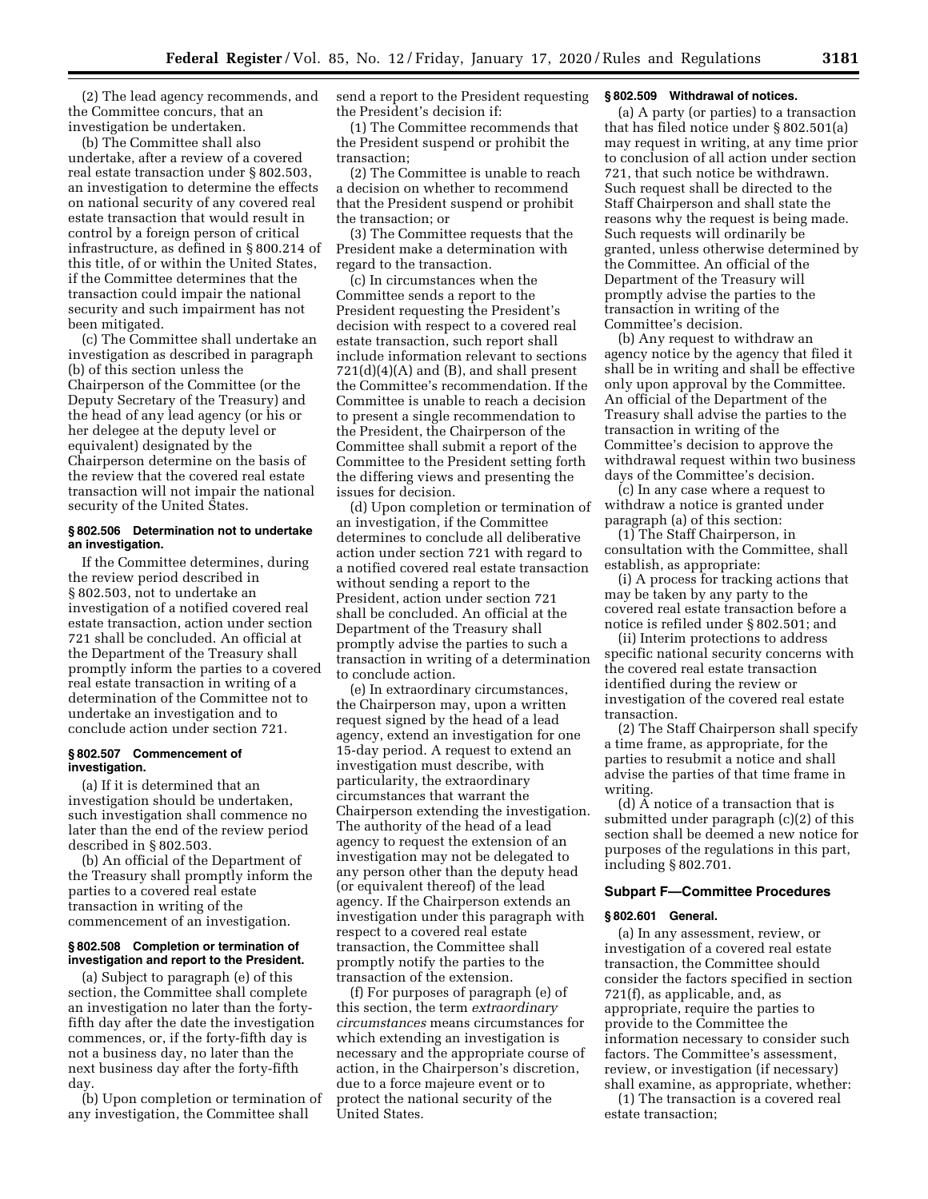(2) The lead agency recommends, and the Committee concurs, that an investigation be undertaken.

(b) The Committee shall also undertake, after a review of a covered real estate transaction under § 802.503, an investigation to determine the effects on national security of any covered real estate transaction that would result in control by a foreign person of critical infrastructure, as defined in § 800.214 of this title, of or within the United States, if the Committee determines that the transaction could impair the national security and such impairment has not been mitigated.

(c) The Committee shall undertake an investigation as described in paragraph (b) of this section unless the Chairperson of the Committee (or the Deputy Secretary of the Treasury) and the head of any lead agency (or his or her delegee at the deputy level or equivalent) designated by the Chairperson determine on the basis of the review that the covered real estate transaction will not impair the national security of the United States.

### **§ 802.506 Determination not to undertake an investigation.**

If the Committee determines, during the review period described in § 802.503, not to undertake an investigation of a notified covered real estate transaction, action under section 721 shall be concluded. An official at the Department of the Treasury shall promptly inform the parties to a covered real estate transaction in writing of a determination of the Committee not to undertake an investigation and to conclude action under section 721.

### **§ 802.507 Commencement of investigation.**

(a) If it is determined that an investigation should be undertaken, such investigation shall commence no later than the end of the review period described in § 802.503.

(b) An official of the Department of the Treasury shall promptly inform the parties to a covered real estate transaction in writing of the commencement of an investigation.

# **§ 802.508 Completion or termination of investigation and report to the President.**

(a) Subject to paragraph (e) of this section, the Committee shall complete an investigation no later than the fortyfifth day after the date the investigation commences, or, if the forty-fifth day is not a business day, no later than the next business day after the forty-fifth day.

(b) Upon completion or termination of any investigation, the Committee shall

send a report to the President requesting the President's decision if:

(1) The Committee recommends that the President suspend or prohibit the transaction;

(2) The Committee is unable to reach a decision on whether to recommend that the President suspend or prohibit the transaction; or

(3) The Committee requests that the President make a determination with regard to the transaction.

(c) In circumstances when the Committee sends a report to the President requesting the President's decision with respect to a covered real estate transaction, such report shall include information relevant to sections  $721(d)(4)(A)$  and (B), and shall present the Committee's recommendation. If the Committee is unable to reach a decision to present a single recommendation to the President, the Chairperson of the Committee shall submit a report of the Committee to the President setting forth the differing views and presenting the issues for decision.

(d) Upon completion or termination of an investigation, if the Committee determines to conclude all deliberative action under section 721 with regard to a notified covered real estate transaction without sending a report to the President, action under section 721 shall be concluded. An official at the Department of the Treasury shall promptly advise the parties to such a transaction in writing of a determination to conclude action.

(e) In extraordinary circumstances, the Chairperson may, upon a written request signed by the head of a lead agency, extend an investigation for one 15-day period. A request to extend an investigation must describe, with particularity, the extraordinary circumstances that warrant the Chairperson extending the investigation. The authority of the head of a lead agency to request the extension of an investigation may not be delegated to any person other than the deputy head (or equivalent thereof) of the lead agency. If the Chairperson extends an investigation under this paragraph with respect to a covered real estate transaction, the Committee shall promptly notify the parties to the transaction of the extension.

(f) For purposes of paragraph (e) of this section, the term *extraordinary circumstances* means circumstances for which extending an investigation is necessary and the appropriate course of action, in the Chairperson's discretion, due to a force majeure event or to protect the national security of the United States.

# **§ 802.509 Withdrawal of notices.**

(a) A party (or parties) to a transaction that has filed notice under § 802.501(a) may request in writing, at any time prior to conclusion of all action under section 721, that such notice be withdrawn. Such request shall be directed to the Staff Chairperson and shall state the reasons why the request is being made. Such requests will ordinarily be granted, unless otherwise determined by the Committee. An official of the Department of the Treasury will promptly advise the parties to the transaction in writing of the Committee's decision.

(b) Any request to withdraw an agency notice by the agency that filed it shall be in writing and shall be effective only upon approval by the Committee. An official of the Department of the Treasury shall advise the parties to the transaction in writing of the Committee's decision to approve the withdrawal request within two business days of the Committee's decision.

(c) In any case where a request to withdraw a notice is granted under paragraph (a) of this section:

(1) The Staff Chairperson, in consultation with the Committee, shall establish, as appropriate:

(i) A process for tracking actions that may be taken by any party to the covered real estate transaction before a notice is refiled under § 802.501; and

(ii) Interim protections to address specific national security concerns with the covered real estate transaction identified during the review or investigation of the covered real estate transaction.

(2) The Staff Chairperson shall specify a time frame, as appropriate, for the parties to resubmit a notice and shall advise the parties of that time frame in writing.

(d)  $\overline{A}$  notice of a transaction that is submitted under paragraph (c)(2) of this section shall be deemed a new notice for purposes of the regulations in this part, including § 802.701.

# **Subpart F—Committee Procedures**

# **§ 802.601 General.**

(a) In any assessment, review, or investigation of a covered real estate transaction, the Committee should consider the factors specified in section 721(f), as applicable, and, as appropriate, require the parties to provide to the Committee the information necessary to consider such factors. The Committee's assessment, review, or investigation (if necessary) shall examine, as appropriate, whether:

(1) The transaction is a covered real estate transaction;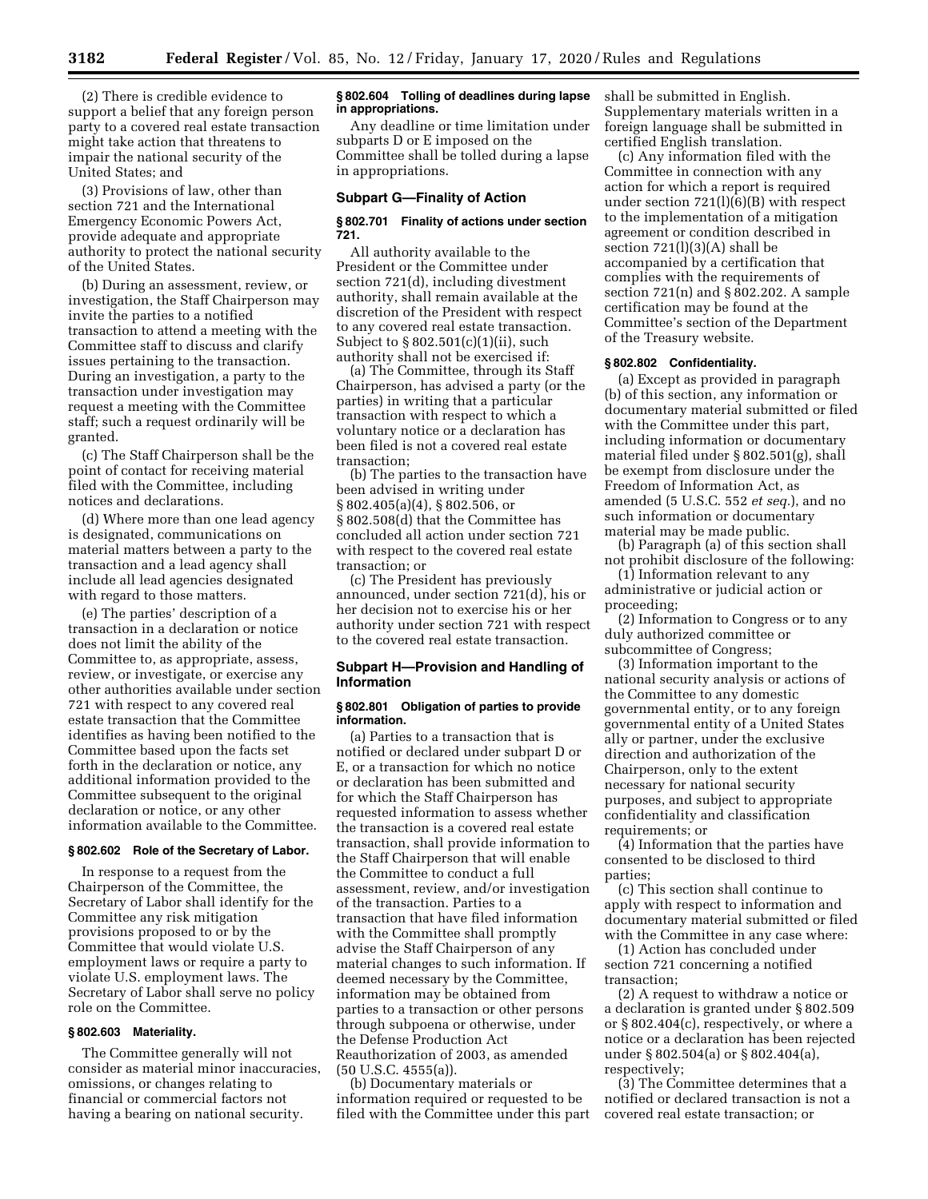(2) There is credible evidence to support a belief that any foreign person party to a covered real estate transaction might take action that threatens to impair the national security of the United States; and

(3) Provisions of law, other than section 721 and the International Emergency Economic Powers Act, provide adequate and appropriate authority to protect the national security of the United States.

(b) During an assessment, review, or investigation, the Staff Chairperson may invite the parties to a notified transaction to attend a meeting with the Committee staff to discuss and clarify issues pertaining to the transaction. During an investigation, a party to the transaction under investigation may request a meeting with the Committee staff; such a request ordinarily will be granted.

(c) The Staff Chairperson shall be the point of contact for receiving material filed with the Committee, including notices and declarations.

(d) Where more than one lead agency is designated, communications on material matters between a party to the transaction and a lead agency shall include all lead agencies designated with regard to those matters.

(e) The parties' description of a transaction in a declaration or notice does not limit the ability of the Committee to, as appropriate, assess, review, or investigate, or exercise any other authorities available under section 721 with respect to any covered real estate transaction that the Committee identifies as having been notified to the Committee based upon the facts set forth in the declaration or notice, any additional information provided to the Committee subsequent to the original declaration or notice, or any other information available to the Committee.

# **§ 802.602 Role of the Secretary of Labor.**

In response to a request from the Chairperson of the Committee, the Secretary of Labor shall identify for the Committee any risk mitigation provisions proposed to or by the Committee that would violate U.S. employment laws or require a party to violate U.S. employment laws. The Secretary of Labor shall serve no policy role on the Committee.

# **§ 802.603 Materiality.**

The Committee generally will not consider as material minor inaccuracies, omissions, or changes relating to financial or commercial factors not having a bearing on national security.

### **§ 802.604 Tolling of deadlines during lapse in appropriations.**

Any deadline or time limitation under subparts D or E imposed on the Committee shall be tolled during a lapse in appropriations.

### **Subpart G—Finality of Action**

### **§ 802.701 Finality of actions under section 721.**

All authority available to the President or the Committee under section 721(d), including divestment authority, shall remain available at the discretion of the President with respect to any covered real estate transaction. Subject to § 802.501(c)(1)(ii), such authority shall not be exercised if:

(a) The Committee, through its Staff Chairperson, has advised a party (or the parties) in writing that a particular transaction with respect to which a voluntary notice or a declaration has been filed is not a covered real estate transaction;

(b) The parties to the transaction have been advised in writing under § 802.405(a)(4), § 802.506, or § 802.508(d) that the Committee has concluded all action under section 721 with respect to the covered real estate transaction; or

(c) The President has previously announced, under section 721(d), his or her decision not to exercise his or her authority under section 721 with respect to the covered real estate transaction.

# **Subpart H—Provision and Handling of Information**

### **§ 802.801 Obligation of parties to provide information.**

(a) Parties to a transaction that is notified or declared under subpart D or E, or a transaction for which no notice or declaration has been submitted and for which the Staff Chairperson has requested information to assess whether the transaction is a covered real estate transaction, shall provide information to the Staff Chairperson that will enable the Committee to conduct a full assessment, review, and/or investigation of the transaction. Parties to a transaction that have filed information with the Committee shall promptly advise the Staff Chairperson of any material changes to such information. If deemed necessary by the Committee, information may be obtained from parties to a transaction or other persons through subpoena or otherwise, under the Defense Production Act Reauthorization of 2003, as amended (50 U.S.C. 4555(a)).

(b) Documentary materials or information required or requested to be filed with the Committee under this part shall be submitted in English. Supplementary materials written in a foreign language shall be submitted in certified English translation.

(c) Any information filed with the Committee in connection with any action for which a report is required under section 721(l)(6)(B) with respect to the implementation of a mitigation agreement or condition described in section  $721(1)(3)(A)$  shall be accompanied by a certification that complies with the requirements of section 721(n) and § 802.202. A sample certification may be found at the Committee's section of the Department of the Treasury website.

#### **§ 802.802 Confidentiality.**

(a) Except as provided in paragraph (b) of this section, any information or documentary material submitted or filed with the Committee under this part, including information or documentary material filed under § 802.501(g), shall be exempt from disclosure under the Freedom of Information Act, as amended (5 U.S.C. 552 *et seq.*), and no such information or documentary material may be made public.

(b) Paragraph (a) of this section shall not prohibit disclosure of the following:

(1) Information relevant to any administrative or judicial action or proceeding;

(2) Information to Congress or to any duly authorized committee or subcommittee of Congress;

(3) Information important to the national security analysis or actions of the Committee to any domestic governmental entity, or to any foreign governmental entity of a United States ally or partner, under the exclusive direction and authorization of the Chairperson, only to the extent necessary for national security purposes, and subject to appropriate confidentiality and classification requirements; or

(4) Information that the parties have consented to be disclosed to third parties;

(c) This section shall continue to apply with respect to information and documentary material submitted or filed with the Committee in any case where:

(1) Action has concluded under section 721 concerning a notified transaction;

(2) A request to withdraw a notice or a declaration is granted under § 802.509 or § 802.404(c), respectively, or where a notice or a declaration has been rejected under § 802.504(a) or § 802.404(a), respectively;

(3) The Committee determines that a notified or declared transaction is not a covered real estate transaction; or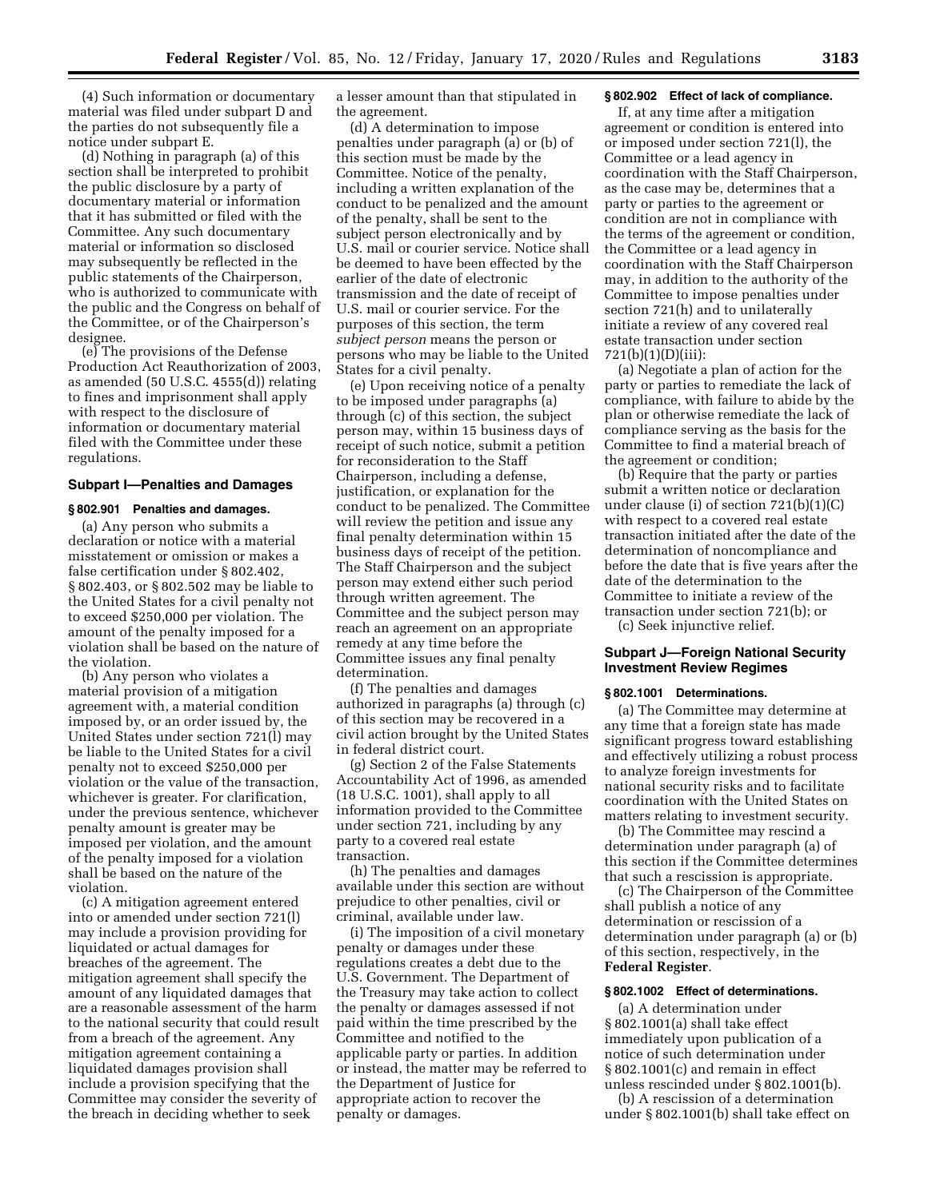(4) Such information or documentary material was filed under subpart D and the parties do not subsequently file a notice under subpart E.

(d) Nothing in paragraph (a) of this section shall be interpreted to prohibit the public disclosure by a party of documentary material or information that it has submitted or filed with the Committee. Any such documentary material or information so disclosed may subsequently be reflected in the public statements of the Chairperson, who is authorized to communicate with the public and the Congress on behalf of the Committee, or of the Chairperson's designee.

(e) The provisions of the Defense Production Act Reauthorization of 2003, as amended (50 U.S.C. 4555(d)) relating to fines and imprisonment shall apply with respect to the disclosure of information or documentary material filed with the Committee under these regulations.

# **Subpart I—Penalties and Damages**

### **§ 802.901 Penalties and damages.**

(a) Any person who submits a declaration or notice with a material misstatement or omission or makes a false certification under § 802.402, § 802.403, or § 802.502 may be liable to the United States for a civil penalty not to exceed \$250,000 per violation. The amount of the penalty imposed for a violation shall be based on the nature of the violation.

(b) Any person who violates a material provision of a mitigation agreement with, a material condition imposed by, or an order issued by, the United States under section 721(l) may be liable to the United States for a civil penalty not to exceed \$250,000 per violation or the value of the transaction, whichever is greater. For clarification, under the previous sentence, whichever penalty amount is greater may be imposed per violation, and the amount of the penalty imposed for a violation shall be based on the nature of the violation.

(c) A mitigation agreement entered into or amended under section 721(l) may include a provision providing for liquidated or actual damages for breaches of the agreement. The mitigation agreement shall specify the amount of any liquidated damages that are a reasonable assessment of the harm to the national security that could result from a breach of the agreement. Any mitigation agreement containing a liquidated damages provision shall include a provision specifying that the Committee may consider the severity of the breach in deciding whether to seek

a lesser amount than that stipulated in the agreement.

(d) A determination to impose penalties under paragraph (a) or (b) of this section must be made by the Committee. Notice of the penalty, including a written explanation of the conduct to be penalized and the amount of the penalty, shall be sent to the subject person electronically and by U.S. mail or courier service. Notice shall be deemed to have been effected by the earlier of the date of electronic transmission and the date of receipt of U.S. mail or courier service. For the purposes of this section, the term *subject person* means the person or persons who may be liable to the United States for a civil penalty.

(e) Upon receiving notice of a penalty to be imposed under paragraphs (a) through (c) of this section, the subject person may, within 15 business days of receipt of such notice, submit a petition for reconsideration to the Staff Chairperson, including a defense, justification, or explanation for the conduct to be penalized. The Committee will review the petition and issue any final penalty determination within 15 business days of receipt of the petition. The Staff Chairperson and the subject person may extend either such period through written agreement. The Committee and the subject person may reach an agreement on an appropriate remedy at any time before the Committee issues any final penalty determination.

(f) The penalties and damages authorized in paragraphs (a) through (c) of this section may be recovered in a civil action brought by the United States in federal district court.

(g) Section 2 of the False Statements Accountability Act of 1996, as amended (18 U.S.C. 1001), shall apply to all information provided to the Committee under section 721, including by any party to a covered real estate transaction.

(h) The penalties and damages available under this section are without prejudice to other penalties, civil or criminal, available under law.

(i) The imposition of a civil monetary penalty or damages under these regulations creates a debt due to the U.S. Government. The Department of the Treasury may take action to collect the penalty or damages assessed if not paid within the time prescribed by the Committee and notified to the applicable party or parties. In addition or instead, the matter may be referred to the Department of Justice for appropriate action to recover the penalty or damages.

# **§ 802.902 Effect of lack of compliance.**

If, at any time after a mitigation agreement or condition is entered into or imposed under section 721(l), the Committee or a lead agency in coordination with the Staff Chairperson, as the case may be, determines that a party or parties to the agreement or condition are not in compliance with the terms of the agreement or condition, the Committee or a lead agency in coordination with the Staff Chairperson may, in addition to the authority of the Committee to impose penalties under section 721(h) and to unilaterally initiate a review of any covered real estate transaction under section 721(b)(1)(D)(iii):

(a) Negotiate a plan of action for the party or parties to remediate the lack of compliance, with failure to abide by the plan or otherwise remediate the lack of compliance serving as the basis for the Committee to find a material breach of the agreement or condition;

(b) Require that the party or parties submit a written notice or declaration under clause (i) of section 721(b)(1)(C) with respect to a covered real estate transaction initiated after the date of the determination of noncompliance and before the date that is five years after the date of the determination to the Committee to initiate a review of the transaction under section 721(b); or (c) Seek injunctive relief.

# **Subpart J—Foreign National Security Investment Review Regimes**

# **§ 802.1001 Determinations.**

(a) The Committee may determine at any time that a foreign state has made significant progress toward establishing and effectively utilizing a robust process to analyze foreign investments for national security risks and to facilitate coordination with the United States on matters relating to investment security.

(b) The Committee may rescind a determination under paragraph (a) of this section if the Committee determines that such a rescission is appropriate.

(c) The Chairperson of the Committee shall publish a notice of any determination or rescission of a determination under paragraph (a) or (b) of this section, respectively, in the **Federal Register**.

# **§ 802.1002 Effect of determinations.**

(a) A determination under § 802.1001(a) shall take effect immediately upon publication of a notice of such determination under § 802.1001(c) and remain in effect unless rescinded under § 802.1001(b).

(b) A rescission of a determination under § 802.1001(b) shall take effect on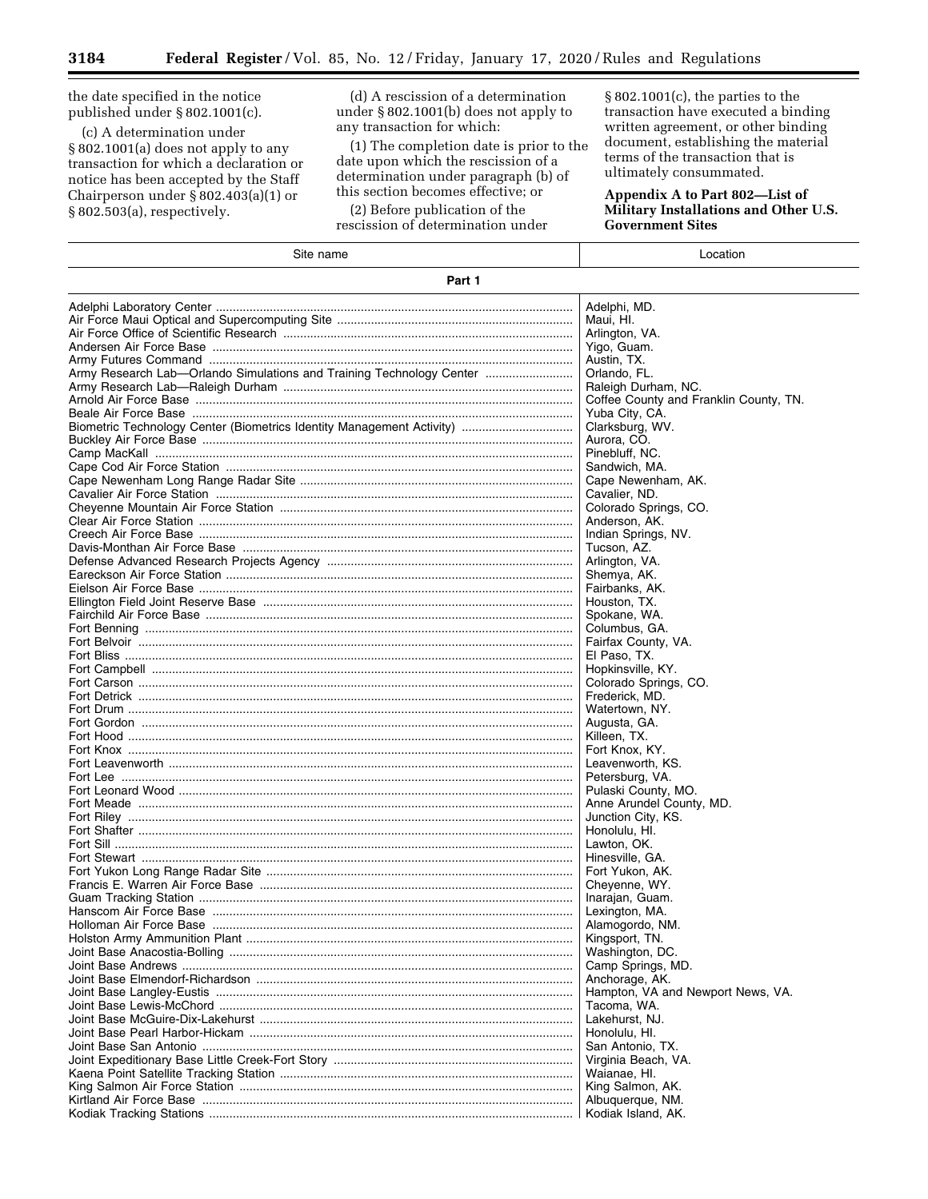=

the date specified in the notice published under § 802.1001(c).

(c) A determination under § 802.1001(a) does not apply to any transaction for which a declaration or notice has been accepted by the Staff Chairperson under § 802.403(a)(1) or § 802.503(a), respectively.

(d) A rescission of a determination under § 802.1001(b) does not apply to any transaction for which:

(1) The completion date is prior to the date upon which the rescission of a determination under paragraph (b) of this section becomes effective; or

(2) Before publication of the rescission of determination under

§ 802.1001(c), the parties to the transaction have executed a binding written agreement, or other binding document, establishing the material terms of the transaction that is ultimately consummated.

# **Appendix A to Part 802—List of Military Installations and Other U.S. Government Sites**

| Site name                                                            | Location                               |  |
|----------------------------------------------------------------------|----------------------------------------|--|
| Part 1                                                               |                                        |  |
|                                                                      | Adelphi, MD.                           |  |
|                                                                      | Maui, HI.                              |  |
|                                                                      | Arlington, VA.                         |  |
|                                                                      | Yigo, Guam.                            |  |
|                                                                      | Austin, TX.                            |  |
| Army Research Lab—Orlando Simulations and Training Technology Center | Orlando, FL.                           |  |
|                                                                      | Raleigh Durham, NC.                    |  |
|                                                                      | Coffee County and Franklin County, TN. |  |
|                                                                      | Yuba City, CA.                         |  |
|                                                                      | Clarksburg, WV.                        |  |
|                                                                      | Aurora, CO.                            |  |
|                                                                      | Pinebluff, NC.                         |  |
|                                                                      |                                        |  |
|                                                                      | Sandwich, MA.                          |  |
|                                                                      | Cape Newenham, AK.                     |  |
|                                                                      | Cavalier, ND.                          |  |
|                                                                      | Colorado Springs, CO.                  |  |
|                                                                      | Anderson, AK.                          |  |
|                                                                      | Indian Springs, NV.                    |  |
|                                                                      | Tucson, AZ.                            |  |
|                                                                      | Arlington, VA.                         |  |
|                                                                      | Shemya, AK.                            |  |
|                                                                      | Fairbanks, AK.                         |  |
|                                                                      | Houston, TX.                           |  |
|                                                                      | Spokane, WA.                           |  |
|                                                                      | Columbus, GA.                          |  |
|                                                                      | Fairfax County, VA.                    |  |
|                                                                      | El Paso, TX.                           |  |
|                                                                      | Hopkinsville, KY.                      |  |
|                                                                      | Colorado Springs, CO.                  |  |
|                                                                      | Frederick, MD.                         |  |
|                                                                      | Watertown, NY.                         |  |
|                                                                      | Augusta, GA.                           |  |
|                                                                      | Killeen, TX.                           |  |
|                                                                      | Fort Knox, KY.                         |  |
|                                                                      | Leavenworth, KS.                       |  |
|                                                                      | Petersburg, VA.                        |  |
|                                                                      | Pulaski County, MO.                    |  |
|                                                                      | Anne Arundel County, MD.               |  |
|                                                                      | Junction City, KS.                     |  |
|                                                                      | Honolulu, HI.                          |  |
|                                                                      | Lawton, OK.                            |  |
|                                                                      | Hinesville, GA.                        |  |
|                                                                      | Fort Yukon, AK.                        |  |
|                                                                      | Cheyenne, WY.                          |  |
|                                                                      | Inarajan, Guam.                        |  |
| Hanscom Air Force Base ……………………………………………………………………………………………           | Lexington, MA.                         |  |
| Holloman Air Force Base                                              | Alamogordo, NM.                        |  |
|                                                                      | Kingsport, TN.                         |  |
| Joint Base Anacostia-Bolling …………………………………………………………………………………………      | Washington, DC.                        |  |
|                                                                      | Camp Springs, MD.                      |  |
|                                                                      | Anchorage, AK.                         |  |
|                                                                      | Hampton, VA and Newport News, VA.      |  |
|                                                                      | Tacoma, WA.                            |  |
|                                                                      | Lakehurst, NJ.                         |  |
|                                                                      | Honolulu, HI.                          |  |
|                                                                      | San Antonio, TX.                       |  |
|                                                                      | Virginia Beach, VA.                    |  |
|                                                                      | Waianae, HI.                           |  |
|                                                                      | King Salmon, AK.                       |  |
|                                                                      | Albuquerque, NM.                       |  |
|                                                                      | Kodiak Island, AK.                     |  |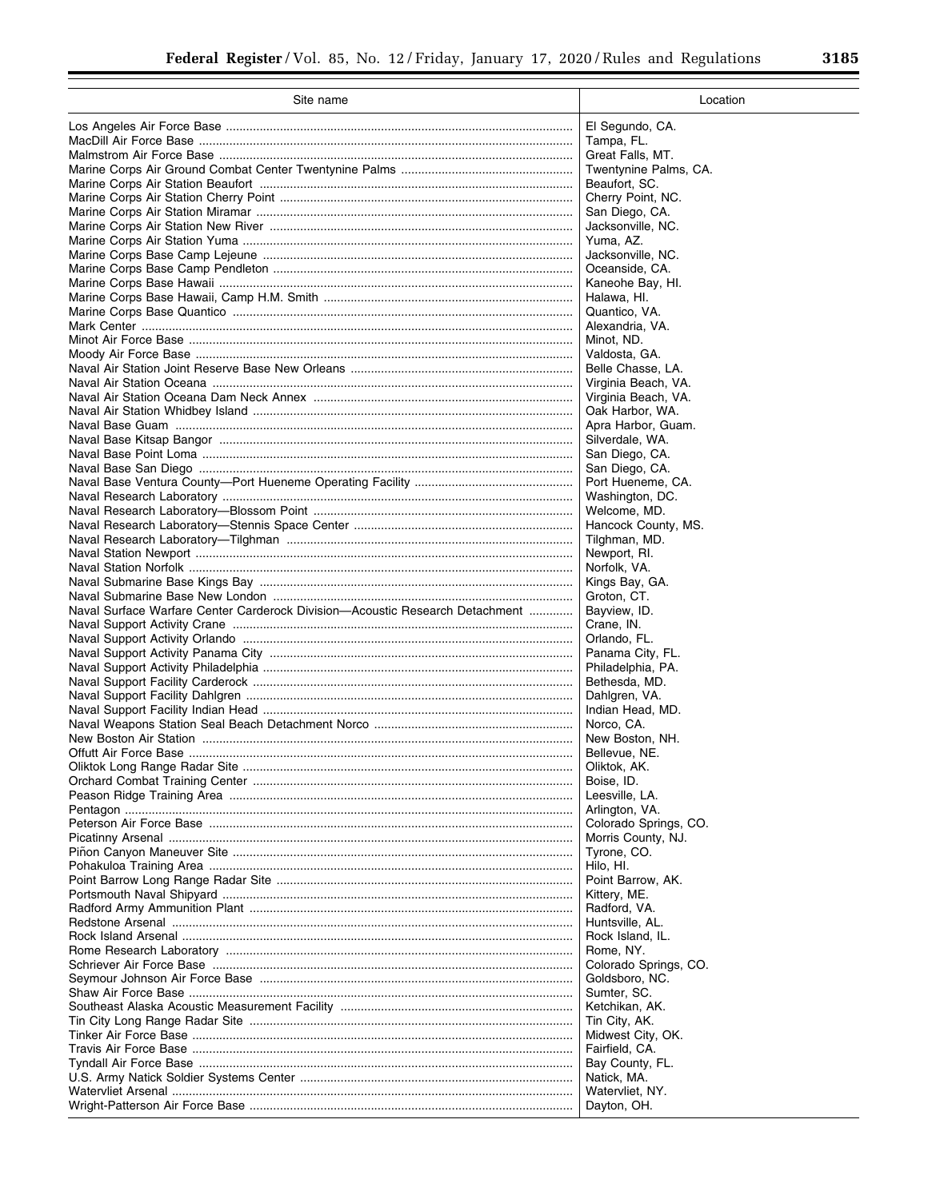| ×<br>v | v.<br>v | ٠ |
|--------|---------|---|

Ξ

| Site name                                                                    | Location                              |
|------------------------------------------------------------------------------|---------------------------------------|
|                                                                              | El Segundo, CA.                       |
|                                                                              | Tampa, FL.                            |
|                                                                              | Great Falls, MT.                      |
|                                                                              | Twentynine Palms, CA.                 |
|                                                                              | Beaufort, SC.                         |
|                                                                              | Cherry Point, NC.                     |
|                                                                              | San Diego, CA.                        |
|                                                                              | Jacksonville, NC.                     |
|                                                                              | Yuma, AZ.                             |
|                                                                              | Jacksonville, NC.                     |
|                                                                              | Oceanside, CA.<br>Kaneohe Bay, HI.    |
|                                                                              | Halawa, HI.                           |
|                                                                              | Quantico, VA.                         |
|                                                                              | Alexandria, VA.                       |
|                                                                              | Minot, ND.                            |
|                                                                              | Valdosta, GA.                         |
|                                                                              | Belle Chasse, LA.                     |
|                                                                              | Virginia Beach, VA.                   |
|                                                                              | Virginia Beach, VA.                   |
|                                                                              | Oak Harbor, WA.                       |
|                                                                              | Apra Harbor, Guam.<br>Silverdale, WA. |
|                                                                              | San Diego, CA.                        |
|                                                                              | San Diego, CA.                        |
|                                                                              | Port Hueneme, CA.                     |
|                                                                              | Washington, DC.                       |
|                                                                              | Welcome, MD.                          |
|                                                                              | Hancock County, MS.                   |
|                                                                              | Tilghman, MD.                         |
|                                                                              | Newport, RI.                          |
|                                                                              | Norfolk, VA.                          |
|                                                                              | Kings Bay, GA.                        |
| Naval Surface Warfare Center Carderock Division—Acoustic Research Detachment | Groton, CT.                           |
|                                                                              | Bayview, ID.<br>Crane, IN.            |
|                                                                              | Orlando, FL.                          |
|                                                                              | Panama City, FL.                      |
|                                                                              | Philadelphia, PA.                     |
|                                                                              | Bethesda, MD.                         |
|                                                                              | Dahlgren, VA.                         |
|                                                                              | Indian Head, MD.                      |
|                                                                              | Norco, CA.                            |
|                                                                              | New Boston, NH.                       |
| <b>Oliktok Long Range Radar Site</b>                                         | Bellevue, NE.                         |
|                                                                              | Oliktok, AK.<br>Boise, ID.            |
|                                                                              | Leesville, LA.                        |
|                                                                              | Arlington, VA.                        |
|                                                                              | Colorado Springs, CO.                 |
|                                                                              | Morris County, NJ.                    |
|                                                                              | Tyrone, CO.                           |
|                                                                              | Hilo, HI.                             |
|                                                                              | Point Barrow, AK.                     |
|                                                                              | Kittery, ME.<br>Radford, VA.          |
|                                                                              | Huntsville, AL.                       |
|                                                                              | Rock Island, IL.                      |
|                                                                              | Rome, NY.                             |
|                                                                              | Colorado Springs, CO.                 |
|                                                                              | Goldsboro, NC.                        |
|                                                                              | Sumter, SC.                           |
|                                                                              | Ketchikan, AK.                        |
|                                                                              | Tin City, AK.                         |
|                                                                              | Midwest City, OK.<br>Fairfield, CA.   |
|                                                                              | Bay County, FL.                       |
|                                                                              | Natick, MA.                           |
|                                                                              | Watervliet, NY.                       |
|                                                                              | Dayton, OH.                           |
|                                                                              |                                       |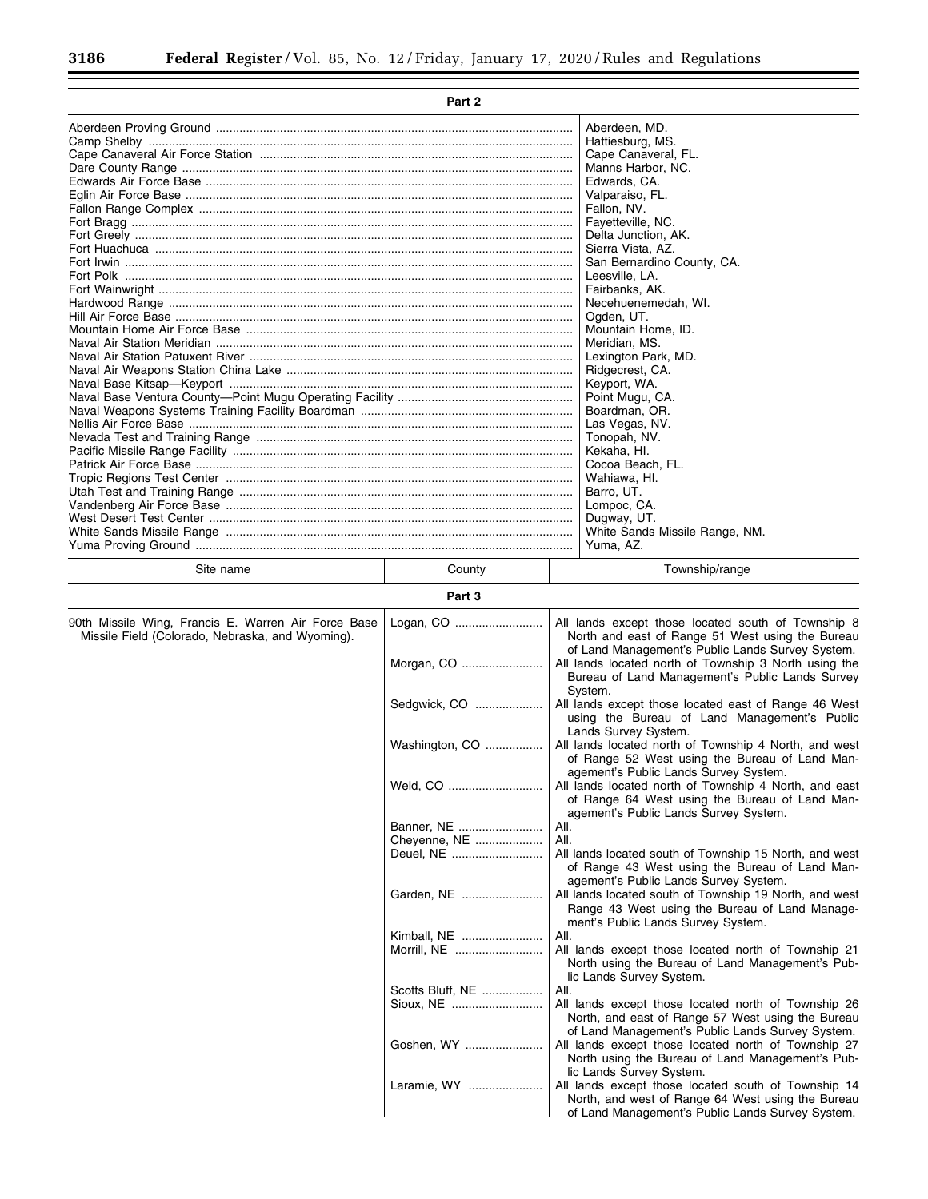**Part 2** 

|           |                                | Aberdeen, MD.              |
|-----------|--------------------------------|----------------------------|
|           |                                | Hattiesburg, MS.           |
|           |                                | Cape Canaveral, FL.        |
|           |                                | Manns Harbor, NC.          |
|           |                                | Edwards, CA.               |
|           |                                | Valparaiso, FL.            |
|           |                                | Fallon, NV.                |
|           |                                | Fayetteville, NC.          |
|           |                                | Delta Junction, AK.        |
|           |                                | Sierra Vista, AZ.          |
|           |                                | San Bernardino County, CA. |
|           |                                | Leesville, LA.             |
|           |                                | Fairbanks, AK.             |
|           |                                | Necehuenemedah, WI.        |
|           |                                | Ogden, UT.                 |
|           |                                | Mountain Home, ID.         |
|           |                                | Meridian, MS.              |
|           | Lexington Park, MD.            |                            |
|           |                                | Ridgecrest, CA.            |
|           | Keyport, WA.                   |                            |
|           | Point Mugu, CA.                |                            |
|           |                                | Boardman, OR.              |
|           |                                | Las Vegas, NV.             |
|           | Tonopah, NV.                   |                            |
|           | Kekaha, HI.                    |                            |
|           | Cocoa Beach, FL.               |                            |
|           | Wahiawa, HI.                   |                            |
|           | Barro, UT.                     |                            |
|           | Lompoc, CA.                    |                            |
|           | Dugway, UT.                    |                            |
|           | White Sands Missile Range, NM. |                            |
|           |                                | Yuma, AZ.                  |
| Site name | County                         | Township/range             |

**Part 3** 

| 90th Missile Wing, Francis E. Warren Air Force Base<br>Missile Field (Colorado, Nebraska, and Wyoming). | Logan, CO        | All lands except those located south of Township 8<br>North and east of Range 51 West using the Bureau<br>of Land Management's Public Lands Survey System.   |
|---------------------------------------------------------------------------------------------------------|------------------|--------------------------------------------------------------------------------------------------------------------------------------------------------------|
|                                                                                                         | Morgan, CO       | All lands located north of Township 3 North using the<br>Bureau of Land Management's Public Lands Survey<br>System.                                          |
|                                                                                                         | Sedgwick, CO     | All lands except those located east of Range 46 West<br>using the Bureau of Land Management's Public<br>Lands Survey System.                                 |
|                                                                                                         | Washington, CO   | All lands located north of Township 4 North, and west<br>of Range 52 West using the Bureau of Land Man-<br>agement's Public Lands Survey System.             |
|                                                                                                         | Weld, CO         | All lands located north of Township 4 North, and east<br>of Range 64 West using the Bureau of Land Man-<br>agement's Public Lands Survey System.             |
|                                                                                                         | Banner, NE       | All.                                                                                                                                                         |
|                                                                                                         | Cheyenne, NE     | All.                                                                                                                                                         |
|                                                                                                         | Deuel, NE        | All lands located south of Township 15 North, and west<br>of Range 43 West using the Bureau of Land Man-<br>agement's Public Lands Survey System.            |
|                                                                                                         | Garden, NE       | All lands located south of Township 19 North, and west<br>Range 43 West using the Bureau of Land Manage-<br>ment's Public Lands Survey System.               |
|                                                                                                         | Kimball, NE      | AII.                                                                                                                                                         |
|                                                                                                         | Morrill, NE      | All lands except those located north of Township 21<br>North using the Bureau of Land Management's Pub-<br>lic Lands Survey System.                          |
|                                                                                                         | Scotts Bluff, NE | All.                                                                                                                                                         |
|                                                                                                         | Sioux, NE        | All lands except those located north of Township 26<br>North, and east of Range 57 West using the Bureau<br>of Land Management's Public Lands Survey System. |
|                                                                                                         | Goshen, WY       | All lands except those located north of Township 27<br>North using the Bureau of Land Management's Pub-<br>lic Lands Survey System.                          |
|                                                                                                         | Laramie, WY      | All lands except those located south of Township 14<br>North, and west of Range 64 West using the Bureau<br>of Land Management's Public Lands Survey System. |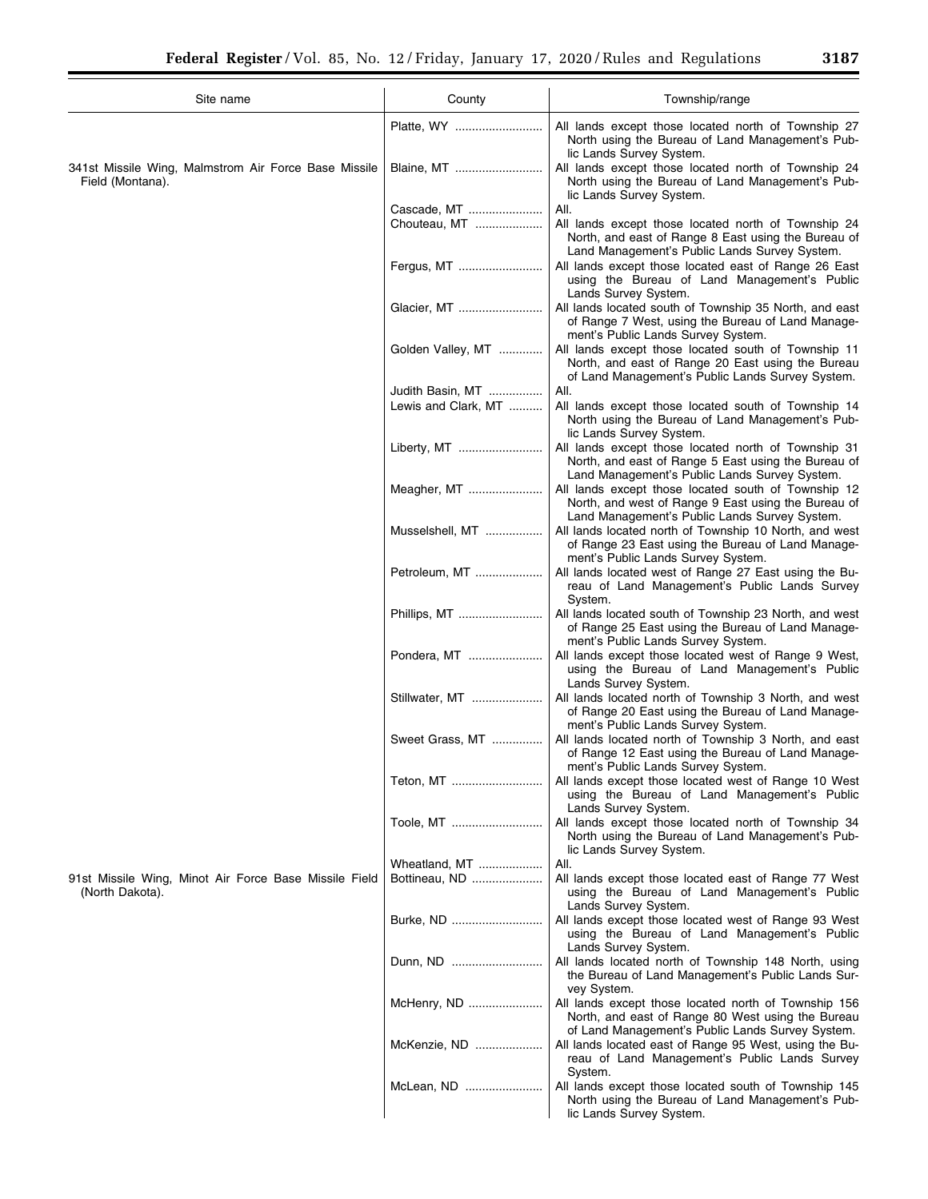| Site name                                                                | County                      | Township/range                                                                                                                                                |
|--------------------------------------------------------------------------|-----------------------------|---------------------------------------------------------------------------------------------------------------------------------------------------------------|
| 341st Missile Wing, Malmstrom Air Force Base Missile<br>Field (Montana). | Platte, WY                  | All lands except those located north of Township 27<br>North using the Bureau of Land Management's Pub-<br>lic Lands Survey System.                           |
|                                                                          | Blaine, MT                  | All lands except those located north of Township 24<br>North using the Bureau of Land Management's Pub-<br>lic Lands Survey System.                           |
|                                                                          | Cascade, MT<br>Chouteau, MT | All.<br>All lands except those located north of Township 24                                                                                                   |
|                                                                          |                             | North, and east of Range 8 East using the Bureau of<br>Land Management's Public Lands Survey System.                                                          |
|                                                                          | Fergus, MT                  | All lands except those located east of Range 26 East<br>using the Bureau of Land Management's Public<br>Lands Survey System.                                  |
|                                                                          | Glacier, MT                 | All lands located south of Township 35 North, and east<br>of Range 7 West, using the Bureau of Land Manage-<br>ment's Public Lands Survey System.             |
|                                                                          | Golden Valley, MT           | All lands except those located south of Township 11<br>North, and east of Range 20 East using the Bureau<br>of Land Management's Public Lands Survey System.  |
|                                                                          | Judith Basin, MT            | All.                                                                                                                                                          |
|                                                                          | Lewis and Clark, MT         | All lands except those located south of Township 14<br>North using the Bureau of Land Management's Pub-<br>lic Lands Survey System.                           |
|                                                                          | Liberty, MT                 | All lands except those located north of Township 31<br>North, and east of Range 5 East using the Bureau of<br>Land Management's Public Lands Survey System.   |
|                                                                          | Meagher, MT                 | All lands except those located south of Township 12<br>North, and west of Range 9 East using the Bureau of<br>Land Management's Public Lands Survey System.   |
|                                                                          | Musselshell, MT             | All lands located north of Township 10 North, and west<br>of Range 23 East using the Bureau of Land Manage-<br>ment's Public Lands Survey System.             |
|                                                                          | Petroleum, MT               | All lands located west of Range 27 East using the Bu-<br>reau of Land Management's Public Lands Survey<br>System.                                             |
|                                                                          | Phillips, MT                | All lands located south of Township 23 North, and west<br>of Range 25 East using the Bureau of Land Manage-<br>ment's Public Lands Survey System.             |
| 91st Missile Wing, Minot Air Force Base Missile Field<br>(North Dakota). | Pondera, MT                 | All lands except those located west of Range 9 West,<br>using the Bureau of Land Management's Public<br>Lands Survey System.                                  |
|                                                                          | Stillwater, MT              | All lands located north of Township 3 North, and west<br>of Range 20 East using the Bureau of Land Manage-<br>ment's Public Lands Survey System.              |
|                                                                          | Sweet Grass, MT             | All lands located north of Township 3 North, and east<br>of Range 12 East using the Bureau of Land Manage-<br>ment's Public Lands Survey System.              |
|                                                                          | Teton, MT                   | All lands except those located west of Range 10 West<br>using the Bureau of Land Management's Public<br>Lands Survey System.                                  |
|                                                                          | Toole, MT                   | All lands except those located north of Township 34<br>North using the Bureau of Land Management's Pub-<br>lic Lands Survey System.                           |
|                                                                          | Wheatland, MT               | AII.                                                                                                                                                          |
|                                                                          | Bottineau, ND               | All lands except those located east of Range 77 West<br>using the Bureau of Land Management's Public<br>Lands Survey System.                                  |
|                                                                          | Burke, ND                   | All lands except those located west of Range 93 West<br>using the Bureau of Land Management's Public<br>Lands Survey System.                                  |
|                                                                          | Dunn, ND                    | All lands located north of Township 148 North, using<br>the Bureau of Land Management's Public Lands Sur-<br>vey System.                                      |
|                                                                          | McHenry, ND                 | All lands except those located north of Township 156<br>North, and east of Range 80 West using the Bureau<br>of Land Management's Public Lands Survey System. |
|                                                                          | McKenzie, ND                | All lands located east of Range 95 West, using the Bu-<br>reau of Land Management's Public Lands Survey<br>System.                                            |
|                                                                          | McLean, ND                  | All lands except those located south of Township 145<br>North using the Bureau of Land Management's Pub-<br>lic Lands Survey System.                          |